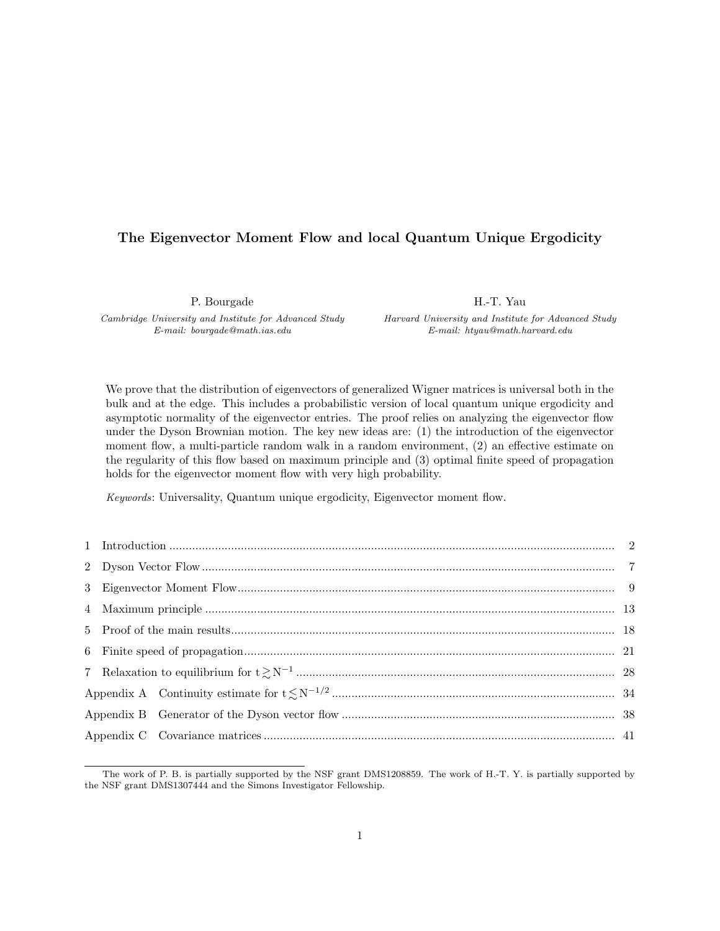#### The Eigenvector Moment Flow and local Quantum Unique Ergodicity

P. Bourgade

Cambridge University and Institute for Advanced Study E-mail: bourgade@math.ias.edu

H.-T. Yau

Harvard University and Institute for Advanced Study E-mail: htyau@math.harvard.edu

We prove that the distribution of eigenvectors of generalized Wigner matrices is universal both in the bulk and at the edge. This includes a probabilistic version of local quantum unique ergodicity and asymptotic normality of the eigenvector entries. The proof relies on analyzing the eigenvector flow under the Dyson Brownian motion. The key new ideas are: (1) the introduction of the eigenvector moment flow, a multi-particle random walk in a random environment, (2) an effective estimate on the regularity of this flow based on maximum principle and (3) optimal finite speed of propagation holds for the eigenvector moment flow with very high probability.

Keywords: Universality, Quantum unique ergodicity, Eigenvector moment flow.

The work of P. B. is partially supported by the NSF grant DMS1208859. The work of H.-T. Y. is partially supported by the NSF grant DMS1307444 and the Simons Investigator Fellowship.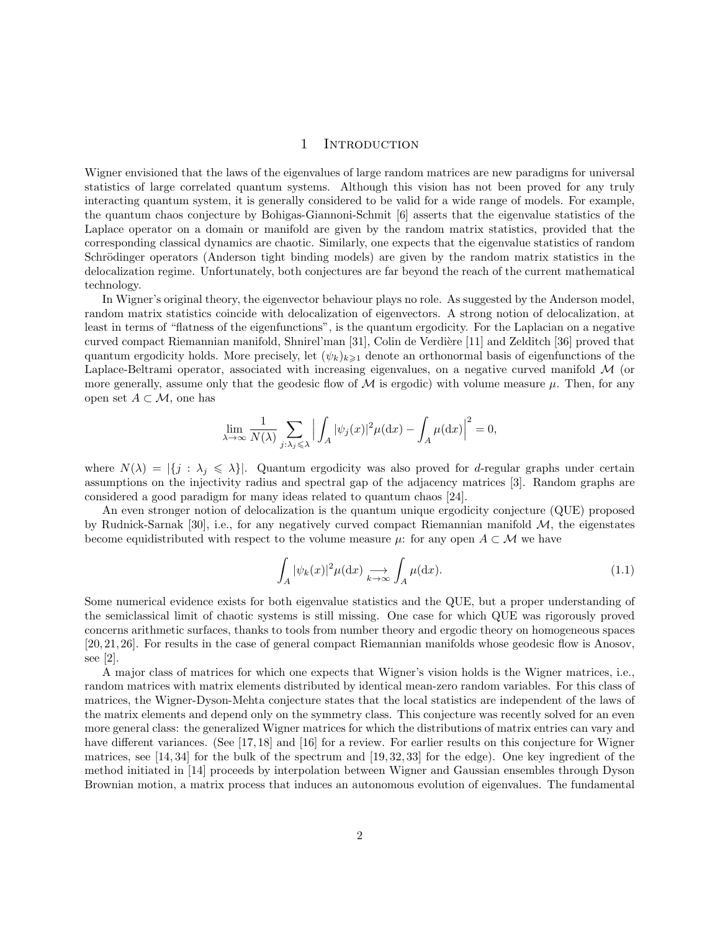#### 1 INTRODUCTION

Wigner envisioned that the laws of the eigenvalues of large random matrices are new paradigms for universal statistics of large correlated quantum systems. Although this vision has not been proved for any truly interacting quantum system, it is generally considered to be valid for a wide range of models. For example, the quantum chaos conjecture by Bohigas-Giannoni-Schmit [6] asserts that the eigenvalue statistics of the Laplace operator on a domain or manifold are given by the random matrix statistics, provided that the corresponding classical dynamics are chaotic. Similarly, one expects that the eigenvalue statistics of random Schrödinger operators (Anderson tight binding models) are given by the random matrix statistics in the delocalization regime. Unfortunately, both conjectures are far beyond the reach of the current mathematical technology.

In Wigner's original theory, the eigenvector behaviour plays no role. As suggested by the Anderson model, random matrix statistics coincide with delocalization of eigenvectors. A strong notion of delocalization, at least in terms of "flatness of the eigenfunctions", is the quantum ergodicity. For the Laplacian on a negative curved compact Riemannian manifold, Shnirel'man [31], Colin de Verdière [11] and Zelditch [36] proved that quantum ergodicity holds. More precisely, let  $(\psi_k)_{k\geq 1}$  denote an orthonormal basis of eigenfunctions of the Laplace-Beltrami operator, associated with increasing eigenvalues, on a negative curved manifold  $\mathcal{M}$  (or more generally, assume only that the geodesic flow of  $\mathcal M$  is ergodic) with volume measure  $\mu$ . Then, for any open set  $A \subset \mathcal{M}$ , one has

$$
\lim_{\lambda \to \infty} \frac{1}{N(\lambda)} \sum_{j:\lambda_j \leqslant \lambda} \Big| \int_A |\psi_j(x)|^2 \mu(\mathrm{d} x) - \int_A \mu(\mathrm{d} x) \Big|^2 = 0,
$$

where  $N(\lambda) = |\{j : \lambda_j \leq \lambda\}|$ . Quantum ergodicity was also proved for d-regular graphs under certain assumptions on the injectivity radius and spectral gap of the adjacency matrices [3]. Random graphs are considered a good paradigm for many ideas related to quantum chaos [24].

An even stronger notion of delocalization is the quantum unique ergodicity conjecture (QUE) proposed by Rudnick-Sarnak [30], i.e., for any negatively curved compact Riemannian manifold  $M$ , the eigenstates become equidistributed with respect to the volume measure  $\mu$ : for any open  $A \subset \mathcal{M}$  we have

$$
\int_{A} |\psi_k(x)|^2 \mu(\mathrm{d}x) \underset{k \to \infty}{\longrightarrow} \int_{A} \mu(\mathrm{d}x). \tag{1.1}
$$

Some numerical evidence exists for both eigenvalue statistics and the QUE, but a proper understanding of the semiclassical limit of chaotic systems is still missing. One case for which QUE was rigorously proved concerns arithmetic surfaces, thanks to tools from number theory and ergodic theory on homogeneous spaces [20, 21, 26]. For results in the case of general compact Riemannian manifolds whose geodesic flow is Anosov, see [2].

A major class of matrices for which one expects that Wigner's vision holds is the Wigner matrices, i.e., random matrices with matrix elements distributed by identical mean-zero random variables. For this class of matrices, the Wigner-Dyson-Mehta conjecture states that the local statistics are independent of the laws of the matrix elements and depend only on the symmetry class. This conjecture was recently solved for an even more general class: the generalized Wigner matrices for which the distributions of matrix entries can vary and have different variances. (See [17,18] and [16] for a review. For earlier results on this conjecture for Wigner matrices, see [14, 34] for the bulk of the spectrum and [19, 32, 33] for the edge). One key ingredient of the method initiated in [14] proceeds by interpolation between Wigner and Gaussian ensembles through Dyson Brownian motion, a matrix process that induces an autonomous evolution of eigenvalues. The fundamental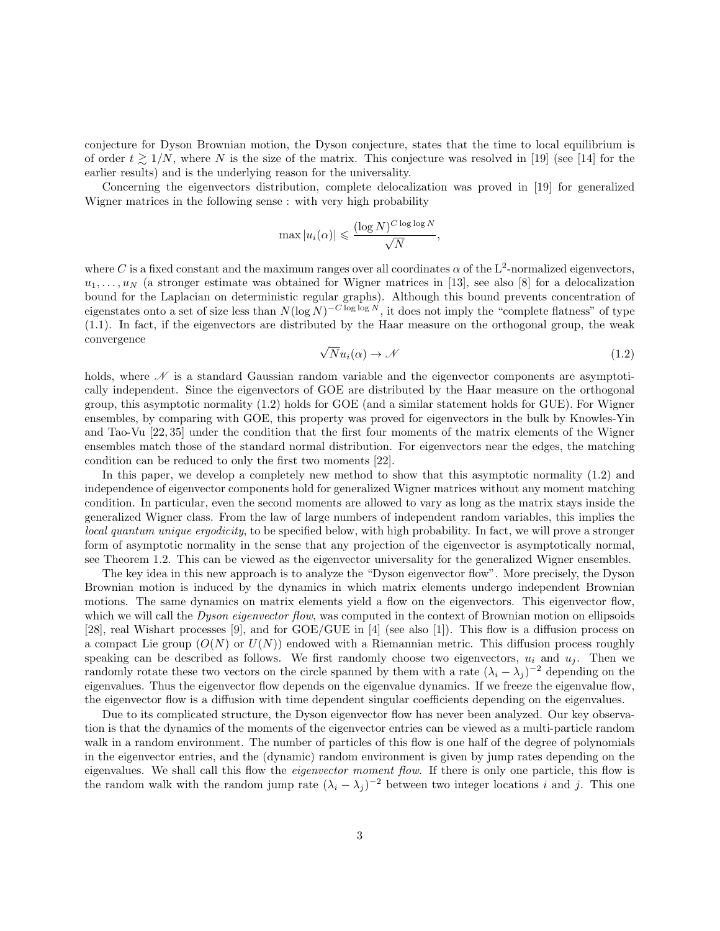conjecture for Dyson Brownian motion, the Dyson conjecture, states that the time to local equilibrium is of order  $t \ge 1/N$ , where N is the size of the matrix. This conjecture was resolved in [19] (see [14] for the earlier results) and is the underlying reason for the universality.

Concerning the eigenvectors distribution, complete delocalization was proved in [19] for generalized Wigner matrices in the following sense : with very high probability

$$
\max |u_i(\alpha)| \leqslant \frac{(\log N)^{C \log \log N}}{\sqrt{N}}
$$

where C is a fixed constant and the maximum ranges over all coordinates  $\alpha$  of the L<sup>2</sup>-normalized eigenvectors,  $u_1, \ldots, u_N$  (a stronger estimate was obtained for Wigner matrices in [13], see also [8] for a delocalization bound for the Laplacian on deterministic regular graphs). Although this bound prevents concentration of eigenstates onto a set of size less than  $N(\log N)^{-C \log \log N}$ , it does not imply the "complete flatness" of type (1.1). In fact, if the eigenvectors are distributed by the Haar measure on the orthogonal group, the weak convergence

$$
\sqrt{N}u_i(\alpha) \to \mathcal{N} \tag{1.2}
$$

,

holds, where  $\mathscr N$  is a standard Gaussian random variable and the eigenvector components are asymptotically independent. Since the eigenvectors of GOE are distributed by the Haar measure on the orthogonal group, this asymptotic normality (1.2) holds for GOE (and a similar statement holds for GUE). For Wigner ensembles, by comparing with GOE, this property was proved for eigenvectors in the bulk by Knowles-Yin and Tao-Vu [22, 35] under the condition that the first four moments of the matrix elements of the Wigner ensembles match those of the standard normal distribution. For eigenvectors near the edges, the matching condition can be reduced to only the first two moments [22].

In this paper, we develop a completely new method to show that this asymptotic normality (1.2) and independence of eigenvector components hold for generalized Wigner matrices without any moment matching condition. In particular, even the second moments are allowed to vary as long as the matrix stays inside the generalized Wigner class. From the law of large numbers of independent random variables, this implies the local quantum unique ergodicity, to be specified below, with high probability. In fact, we will prove a stronger form of asymptotic normality in the sense that any projection of the eigenvector is asymptotically normal, see Theorem 1.2. This can be viewed as the eigenvector universality for the generalized Wigner ensembles.

The key idea in this new approach is to analyze the "Dyson eigenvector flow". More precisely, the Dyson Brownian motion is induced by the dynamics in which matrix elements undergo independent Brownian motions. The same dynamics on matrix elements yield a flow on the eigenvectors. This eigenvector flow, which we will call the *Dyson eigenvector flow*, was computed in the context of Brownian motion on ellipsoids [28], real Wishart processes [9], and for GOE/GUE in [4] (see also [1]). This flow is a diffusion process on a compact Lie group  $(O(N))$  or  $U(N)$ ) endowed with a Riemannian metric. This diffusion process roughly speaking can be described as follows. We first randomly choose two eigenvectors,  $u_i$  and  $u_j$ . Then we randomly rotate these two vectors on the circle spanned by them with a rate  $(\lambda_i - \lambda_j)^{-2}$  depending on the eigenvalues. Thus the eigenvector flow depends on the eigenvalue dynamics. If we freeze the eigenvalue flow, the eigenvector flow is a diffusion with time dependent singular coefficients depending on the eigenvalues.

Due to its complicated structure, the Dyson eigenvector flow has never been analyzed. Our key observation is that the dynamics of the moments of the eigenvector entries can be viewed as a multi-particle random walk in a random environment. The number of particles of this flow is one half of the degree of polynomials in the eigenvector entries, and the (dynamic) random environment is given by jump rates depending on the eigenvalues. We shall call this flow the *eigenvector moment flow*. If there is only one particle, this flow is the random walk with the random jump rate  $(\lambda_i - \lambda_j)^{-2}$  between two integer locations i and j. This one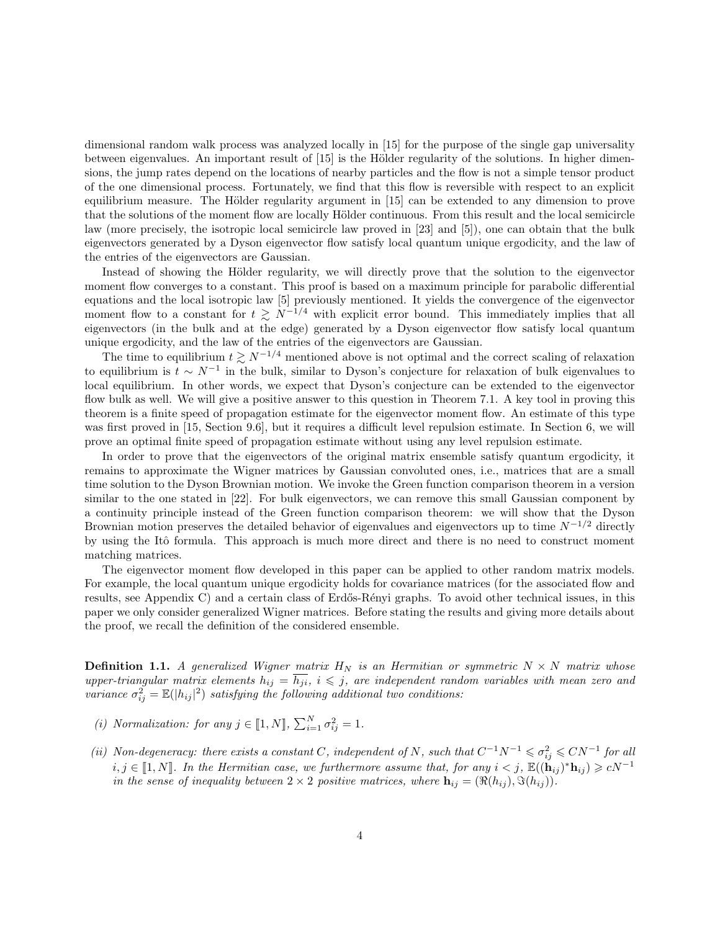dimensional random walk process was analyzed locally in [15] for the purpose of the single gap universality between eigenvalues. An important result of  $[15]$  is the Hölder regularity of the solutions. In higher dimensions, the jump rates depend on the locations of nearby particles and the flow is not a simple tensor product of the one dimensional process. Fortunately, we find that this flow is reversible with respect to an explicit equilibrium measure. The Hölder regularity argument in  $[15]$  can be extended to any dimension to prove that the solutions of the moment flow are locally Hölder continuous. From this result and the local semicircle law (more precisely, the isotropic local semicircle law proved in [23] and [5]), one can obtain that the bulk eigenvectors generated by a Dyson eigenvector flow satisfy local quantum unique ergodicity, and the law of the entries of the eigenvectors are Gaussian.

Instead of showing the Hölder regularity, we will directly prove that the solution to the eigenvector moment flow converges to a constant. This proof is based on a maximum principle for parabolic differential equations and the local isotropic law [5] previously mentioned. It yields the convergence of the eigenvector moment flow to a constant for  $t \geq N^{-1/4}$  with explicit error bound. This immediately implies that all eigenvectors (in the bulk and at the edge) generated by a Dyson eigenvector flow satisfy local quantum unique ergodicity, and the law of the entries of the eigenvectors are Gaussian.

The time to equilibrium  $t \gtrsim N^{-1/4}$  mentioned above is not optimal and the correct scaling of relaxation to equilibrium is  $t \sim N^{-1}$  in the bulk, similar to Dyson's conjecture for relaxation of bulk eigenvalues to local equilibrium. In other words, we expect that Dyson's conjecture can be extended to the eigenvector flow bulk as well. We will give a positive answer to this question in Theorem 7.1. A key tool in proving this theorem is a finite speed of propagation estimate for the eigenvector moment flow. An estimate of this type was first proved in [15, Section 9.6], but it requires a difficult level repulsion estimate. In Section 6, we will prove an optimal finite speed of propagation estimate without using any level repulsion estimate.

In order to prove that the eigenvectors of the original matrix ensemble satisfy quantum ergodicity, it remains to approximate the Wigner matrices by Gaussian convoluted ones, i.e., matrices that are a small time solution to the Dyson Brownian motion. We invoke the Green function comparison theorem in a version similar to the one stated in [22]. For bulk eigenvectors, we can remove this small Gaussian component by a continuity principle instead of the Green function comparison theorem: we will show that the Dyson Brownian motion preserves the detailed behavior of eigenvalues and eigenvectors up to time  $N^{-1/2}$  directly by using the Itô formula. This approach is much more direct and there is no need to construct moment matching matrices.

The eigenvector moment flow developed in this paper can be applied to other random matrix models. For example, the local quantum unique ergodicity holds for covariance matrices (for the associated flow and results, see Appendix C) and a certain class of Erdős-Rényi graphs. To avoid other technical issues, in this paper we only consider generalized Wigner matrices. Before stating the results and giving more details about the proof, we recall the definition of the considered ensemble.

**Definition 1.1.** A generalized Wigner matrix  $H_N$  is an Hermitian or symmetric  $N \times N$  matrix whose upper-triangular matrix elements  $h_{ij} = h_{ji}$ ,  $i \leq j$ , are independent random variables with mean zero and variance  $\sigma_{ij}^2 = \mathbb{E}(|h_{ij}|^2)$  satisfying the following additional two conditions:

- (i) Normalization: for any  $j \in [\![1,N]\!], \sum_{i=1}^N \sigma_{ij}^2 = 1$ .
- (ii) Non-degeneracy: there exists a constant C, independent of N, such that  $C^{-1}N^{-1} \leq \sigma_{ij}^2 \leq CN^{-1}$  for all  $i, j \in [1, N]$ . In the Hermitian case, we furthermore assume that, for any  $i < j$ ,  $\mathbb{E}((\mathbf{h}_{ij})^* \mathbf{h}_{ij}) \geqslant cN^{-1}$ in the sense of inequality between  $2 \times 2$  positive matrices, where  $\mathbf{h}_{ij} = (\Re(h_{ij}), \Im(h_{ij})).$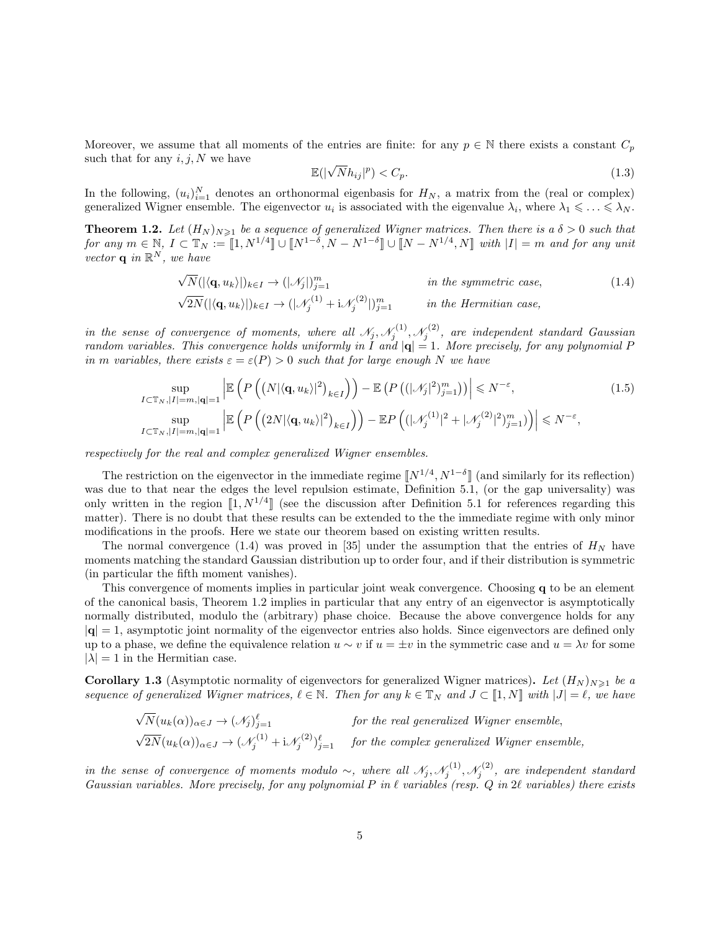Moreover, we assume that all moments of the entries are finite: for any  $p \in \mathbb{N}$  there exists a constant  $C_p$ such that for any  $i, j, N$  we have

$$
\mathbb{E}(|\sqrt{N}h_{ij}|^p) < C_p. \tag{1.3}
$$

In the following,  $(u_i)_{i=1}^N$  denotes an orthonormal eigenbasis for  $H_N$ , a matrix from the (real or complex) generalized Wigner ensemble. The eigenvector  $u_i$  is associated with the eigenvalue  $\lambda_i$ , where  $\lambda_1 \leq \ldots \leq \lambda_N$ .

**Theorem 1.2.** Let  $(H_N)_{N\geqslant1}$  be a sequence of generalized Wigner matrices. Then there is a  $\delta > 0$  such that  $for any m \in \mathbb{N}, I \subset \mathbb{T}_N := [1, N^{1/4}] \cup [N^{1-\delta}, N - N^{1-\delta}] \cup [N - N^{1/4}, N]$  with  $|I| = m$  and for any unit vector  $\mathbf{q}$  in  $\mathbb{R}^N$ , we have

$$
\sqrt{N}(|\langle \mathbf{q}, u_k \rangle|)_{k \in I} \rightarrow (|\mathcal{N}_j|)_{j=1}^m \qquad \text{in the symmetric case,}
$$
  
\n
$$
\sqrt{2N}(|\langle \mathbf{q}, u_k \rangle|)_{k \in I} \rightarrow (|\mathcal{N}_j^{(1)} + i \mathcal{N}_j^{(2)}|)_{j=1}^m \qquad \text{in the Hermitian case,}
$$
\n(1.4)

in the sense of convergence of moments, where all  $\mathcal{N}_j$ ,  $\mathcal{N}_j^{(1)}$ ,  $\mathcal{N}_j^{(2)}$ , are independent standard Gaussian random variables. This convergence holds uniformly in I and  $|\mathbf{q}| = 1$ . More precisely, for any polynomial P in m variables, there exists  $\varepsilon = \varepsilon(P) > 0$  such that for large enough N we have

$$
\sup_{I \subset \mathbb{T}_N, |I| = m, |\mathbf{q}| = 1} \left| \mathbb{E} \left( P \left( (N |\langle \mathbf{q}, u_k \rangle|^2)_{k \in I} \right) \right) - \mathbb{E} \left( P \left( (|\mathcal{N}_j|^2)_{j=1}^m \right) \right) \right| \le N^{-\varepsilon},
$$
\n
$$
\sup_{I \subset \mathbb{T}_N, |I| = m, |\mathbf{q}| = 1} \left| \mathbb{E} \left( P \left( (2N |\langle \mathbf{q}, u_k \rangle|^2)_{k \in I} \right) \right) - \mathbb{E} P \left( (|\mathcal{N}_j^{(1)}|^2 + |\mathcal{N}_j^{(2)}|^2)_{j=1}^m \right) \right) \right| \le N^{-\varepsilon},
$$
\n(1.5)

respectively for the real and complex generalized Wigner ensembles.

The restriction on the eigenvector in the immediate regime  $\llbracket N^{1/4}, N^{1-\delta} \rrbracket$  (and similarly for its reflection) was due to that near the edges the level repulsion estimate, Definition 5.1, (or the gap universality) was only written in the region  $\llbracket 1, N^{1/4} \rrbracket$  (see the discussion after Definition 5.1 for references regarding this matter). There is no doubt that these results can be extended to the the immediate regime with only minor modifications in the proofs. Here we state our theorem based on existing written results.

The normal convergence (1.4) was proved in [35] under the assumption that the entries of  $H<sub>N</sub>$  have moments matching the standard Gaussian distribution up to order four, and if their distribution is symmetric (in particular the fifth moment vanishes).

This convergence of moments implies in particular joint weak convergence. Choosing q to be an element of the canonical basis, Theorem 1.2 implies in particular that any entry of an eigenvector is asymptotically normally distributed, modulo the (arbitrary) phase choice. Because the above convergence holds for any  $|q| = 1$ , asymptotic joint normality of the eigenvector entries also holds. Since eigenvectors are defined only up to a phase, we define the equivalence relation  $u \sim v$  if  $u = \pm v$  in the symmetric case and  $u = \lambda v$  for some  $|\lambda| = 1$  in the Hermitian case.

**Corollary 1.3** (Asymptotic normality of eigenvectors for generalized Wigner matrices). Let  $(H_N)_{N\geq 1}$  be a sequence of generalized Wigner matrices,  $\ell \in \mathbb{N}$ . Then for any  $k \in \mathbb{T}_N$  and  $J \subset [1, N]$  with  $|J| = \ell$ , we have

$$
\sqrt{N}(u_k(\alpha))_{\alpha \in J} \to (\mathcal{N}_j)_{j=1}^{\ell} \qquad \text{for the real generalized Wigner ensemble,}
$$
  

$$
\sqrt{2N}(u_k(\alpha))_{\alpha \in J} \to (\mathcal{N}_j^{(1)} + i \mathcal{N}_j^{(2)})_{j=1}^{\ell} \qquad \text{for the complex generalized Wigner ensemble,}
$$

in the sense of convergence of moments modulo  $\sim$ , where all  $\mathcal{N}_j, \mathcal{N}_j^{(1)}, \mathcal{N}_j^{(2)}$ , are independent standard Gaussian variables. More precisely, for any polynomial P in  $\ell$  variables (resp. Q in 2 $\ell$  variables) there exists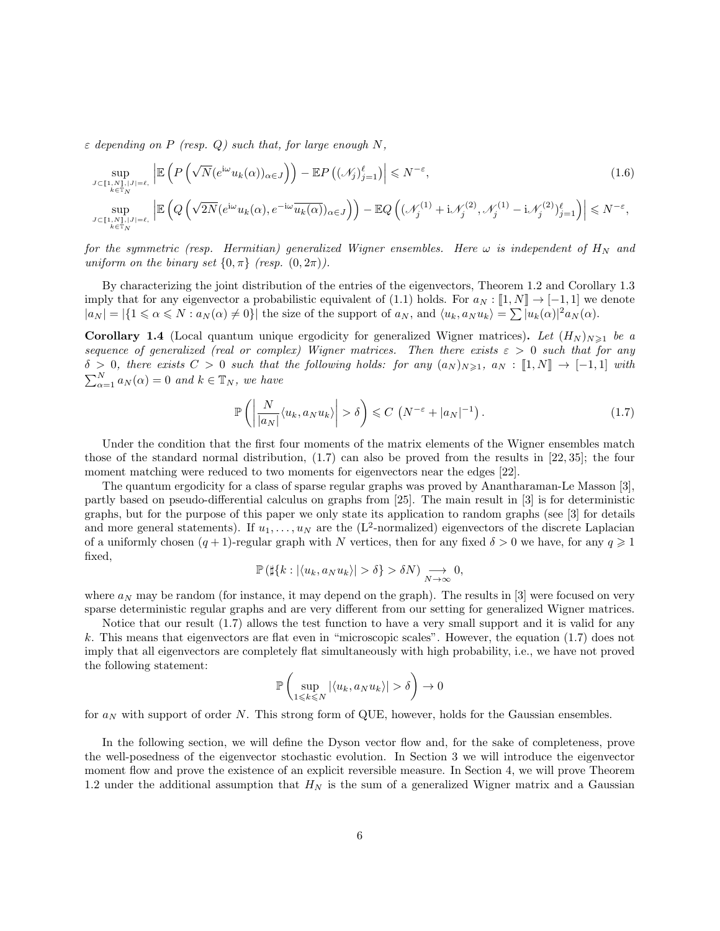$\varepsilon$  depending on P (resp. Q) such that, for large enough N,

$$
\sup_{J \subset [\![1,N]\!],|J|=\ell, \atop k \in \mathbb{T}_N} \left| \mathbb{E} \left( P \left( \sqrt{N} (e^{i\omega} u_k(\alpha))_{\alpha \in J} \right) \right) - \mathbb{E} P \left( (\mathcal{N}_j)_{j=1}^{\ell} \right) \right| \le N^{-\varepsilon},
$$
\n
$$
\sup_{J \subset [\![1,N]\!],|J|=\ell, \atop k \in \mathbb{T}_N} \left| \mathbb{E} \left( Q \left( \sqrt{2N} (e^{i\omega} u_k(\alpha), e^{-i\omega} \overline{u_k(\alpha)})_{\alpha \in J} \right) \right) - \mathbb{E} Q \left( (\mathcal{N}_j^{(1)} + i \mathcal{N}_j^{(2)}, \mathcal{N}_j^{(1)} - i \mathcal{N}_j^{(2)})_{j=1}^{\ell} \right) \right| \le N^{-\varepsilon},
$$
\n(1.6)

for the symmetric (resp. Hermitian) generalized Wigner ensembles. Here  $\omega$  is independent of  $H_N$  and uniform on the binary set  $\{0, \pi\}$  (resp.  $(0, 2\pi)$ ).

By characterizing the joint distribution of the entries of the eigenvectors, Theorem 1.2 and Corollary 1.3 imply that for any eigenvector a probabilistic equivalent of (1.1) holds. For  $a_N : [1, N] \to [-1, 1]$  we denote  $|a_N| = |\{1 \le \alpha \le N : a_N(\alpha) \neq 0\}|$  the size of the support of  $a_N$ , and  $\langle u_k, a_N u_k \rangle = \sum |u_k(\alpha)|^2 a_N(\alpha)$ .

**Corollary 1.4** (Local quantum unique ergodicity for generalized Wigner matrices). Let  $(H_N)_{N\geq 1}$  be a sequence of generalized (real or complex) Wigner matrices. Then there exists  $\varepsilon > 0$  such that for any  $\delta > 0$ , there exists  $C > 0$  such that the following holds: for any  $(a_N)_{N \geq 1}$ ,  $a_N : [1, N] \rightarrow [-1, 1]$  with  $\sum_{\alpha=1}^{N} a_N(\alpha) = 0$  and  $k \in \mathbb{T}_N$ , we have

$$
\mathbb{P}\left(\left|\frac{N}{|a_N|}\langle u_k, a_N u_k \rangle\right| > \delta\right) \leqslant C\left(N^{-\varepsilon} + |a_N|^{-1}\right). \tag{1.7}
$$

Under the condition that the first four moments of the matrix elements of the Wigner ensembles match those of the standard normal distribution, (1.7) can also be proved from the results in [22, 35]; the four moment matching were reduced to two moments for eigenvectors near the edges [22].

The quantum ergodicity for a class of sparse regular graphs was proved by Anantharaman-Le Masson [3], partly based on pseudo-differential calculus on graphs from [25]. The main result in [3] is for deterministic graphs, but for the purpose of this paper we only state its application to random graphs (see [3] for details and more general statements). If  $u_1, \ldots, u_N$  are the (L<sup>2</sup>-normalized) eigenvectors of the discrete Laplacian of a uniformly chosen  $(q + 1)$ -regular graph with N vertices, then for any fixed  $\delta > 0$  we have, for any  $q \ge 1$ fixed,

$$
\mathbb{P}\left(\sharp\{k:|\langle u_k, a_N u_k\rangle| > \delta\} > \delta N\right) \underset{N \to \infty}{\longrightarrow} 0,
$$

where  $a_N$  may be random (for instance, it may depend on the graph). The results in [3] were focused on very sparse deterministic regular graphs and are very different from our setting for generalized Wigner matrices.

Notice that our result (1.7) allows the test function to have a very small support and it is valid for any k. This means that eigenvectors are flat even in "microscopic scales". However, the equation (1.7) does not imply that all eigenvectors are completely flat simultaneously with high probability, i.e., we have not proved the following statement:

$$
\mathbb{P}\left(\sup_{1\leq k\leq N}|\langle u_k,a_N u_k\rangle|>\delta\right)\to 0
$$

for  $a_N$  with support of order N. This strong form of QUE, however, holds for the Gaussian ensembles.

In the following section, we will define the Dyson vector flow and, for the sake of completeness, prove the well-posedness of the eigenvector stochastic evolution. In Section 3 we will introduce the eigenvector moment flow and prove the existence of an explicit reversible measure. In Section 4, we will prove Theorem 1.2 under the additional assumption that  $H_N$  is the sum of a generalized Wigner matrix and a Gaussian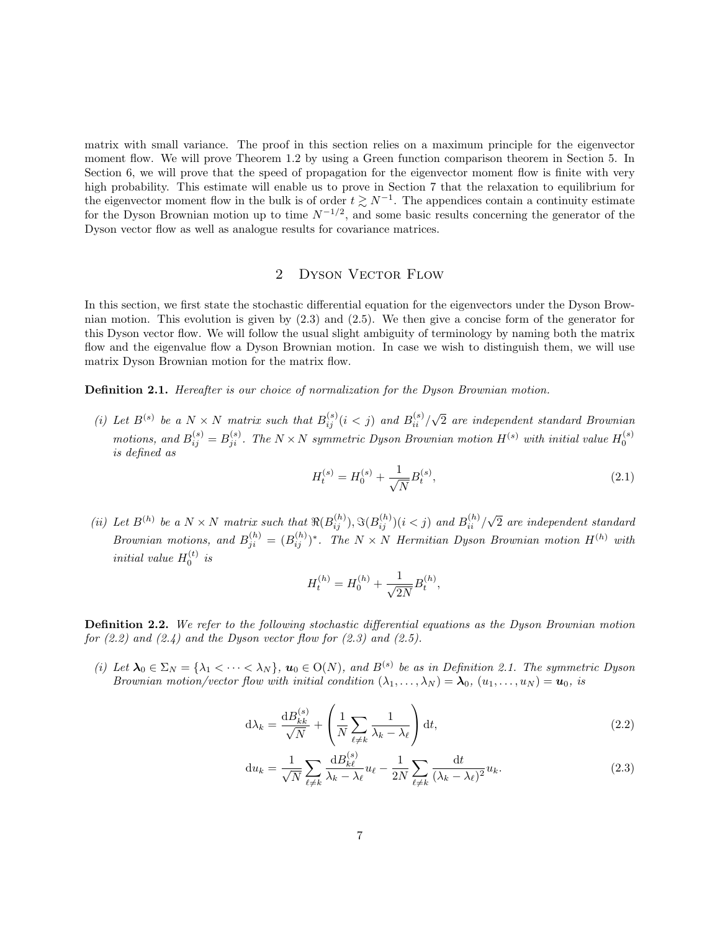matrix with small variance. The proof in this section relies on a maximum principle for the eigenvector moment flow. We will prove Theorem 1.2 by using a Green function comparison theorem in Section 5. In Section 6, we will prove that the speed of propagation for the eigenvector moment flow is finite with very high probability. This estimate will enable us to prove in Section 7 that the relaxation to equilibrium for the eigenvector moment flow in the bulk is of order  $t \gtrsim N^{-1}$ . The appendices contain a continuity estimate for the Dyson Brownian motion up to time  $N^{-1/2}$ , and some basic results concerning the generator of the Dyson vector flow as well as analogue results for covariance matrices.

# 2 DYSON VECTOR FLOW

In this section, we first state the stochastic differential equation for the eigenvectors under the Dyson Brownian motion. This evolution is given by  $(2.3)$  and  $(2.5)$ . We then give a concise form of the generator for this Dyson vector flow. We will follow the usual slight ambiguity of terminology by naming both the matrix flow and the eigenvalue flow a Dyson Brownian motion. In case we wish to distinguish them, we will use matrix Dyson Brownian motion for the matrix flow.

Definition 2.1. Hereafter is our choice of normalization for the Dyson Brownian motion.

(i) Let  $B^{(s)}$  be a  $N \times N$  matrix such that  $B^{(s)}_{ij}(i < j)$  and  $B^{(s)}_{ii}/\sqrt{2}$  are independent standard Brownian motions, and  $B_{ij}^{(s)} = B_{ji}^{(s)}$ . The  $N \times N$  symmetric Dyson Brownian motion  $H^{(s)}$  with initial value  $H_0^{(s)}$ is defined as

$$
H_t^{(s)} = H_0^{(s)} + \frac{1}{\sqrt{N}} B_t^{(s)},\tag{2.1}
$$

(ii) Let  $B^{(h)}$  be a  $N \times N$  matrix such that  $\Re(B_{ij}^{(h)}), \Im(B_{ij}^{(h)})(i \leq j)$  and  $B_{ii}^{(h)}/\sqrt{2}$  are independent standard Brownian motions, and  $B_{ji}^{(h)} = (B_{ij}^{(h)})^*$ . The  $N \times N$  Hermitian Dyson Brownian motion  $H^{(h)}$  with initial value  $H_0^{(t)}$  is

$$
H_t^{(h)} = H_0^{(h)} + \frac{1}{\sqrt{2N}} B_t^{(h)},
$$

Definition 2.2. We refer to the following stochastic differential equations as the Dyson Brownian motion for  $(2.2)$  and  $(2.4)$  and the Dyson vector flow for  $(2.3)$  and  $(2.5)$ .

(i) Let  $\lambda_0 \in \Sigma_N = {\lambda_1 < \cdots < \lambda_N}$ ,  $u_0 \in O(N)$ , and  $B^{(s)}$  be as in Definition 2.1. The symmetric Dyson Brownian motion/vector flow with initial condition  $(\lambda_1, \dots, \lambda_N) = \lambda_0$ ,  $(u_1, \dots, u_N) = u_0$ , is

$$
d\lambda_k = \frac{dB_{kk}^{(s)}}{\sqrt{N}} + \left(\frac{1}{N} \sum_{\ell \neq k} \frac{1}{\lambda_k - \lambda_\ell}\right) dt,\tag{2.2}
$$

$$
\mathrm{d}u_k = \frac{1}{\sqrt{N}} \sum_{\ell \neq k} \frac{\mathrm{d}B_{k\ell}^{(s)}}{\lambda_k - \lambda_\ell} u_\ell - \frac{1}{2N} \sum_{\ell \neq k} \frac{\mathrm{d}t}{(\lambda_k - \lambda_\ell)^2} u_k. \tag{2.3}
$$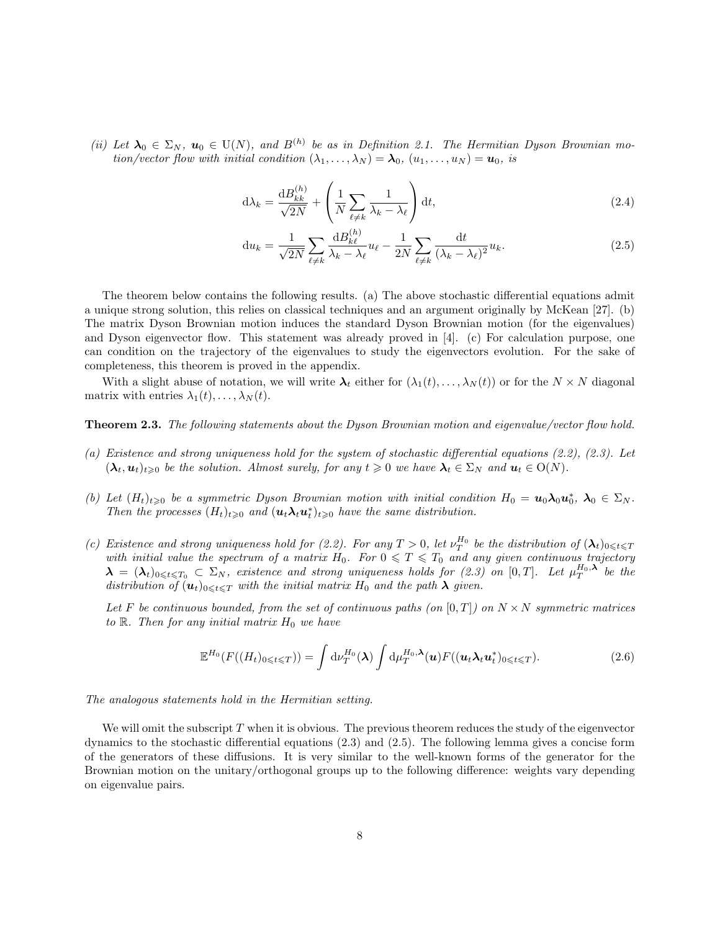(ii) Let  $\lambda_0 \in \Sigma_N$ ,  $u_0 \in U(N)$ , and  $B^{(h)}$  be as in Definition 2.1. The Hermitian Dyson Brownian motion/vector flow with initial condition  $(\lambda_1, \ldots, \lambda_N) = \lambda_0$ ,  $(u_1, \ldots, u_N) = u_0$ , is

$$
d\lambda_k = \frac{dB_{kk}^{(h)}}{\sqrt{2N}} + \left(\frac{1}{N} \sum_{\ell \neq k} \frac{1}{\lambda_k - \lambda_\ell}\right) dt,\tag{2.4}
$$

$$
\mathrm{d}u_k = \frac{1}{\sqrt{2N}} \sum_{\ell \neq k} \frac{\mathrm{d}B_{k\ell}^{(h)}}{\lambda_k - \lambda_\ell} u_\ell - \frac{1}{2N} \sum_{\ell \neq k} \frac{\mathrm{d}t}{(\lambda_k - \lambda_\ell)^2} u_k. \tag{2.5}
$$

The theorem below contains the following results. (a) The above stochastic differential equations admit a unique strong solution, this relies on classical techniques and an argument originally by McKean [27]. (b) The matrix Dyson Brownian motion induces the standard Dyson Brownian motion (for the eigenvalues) and Dyson eigenvector flow. This statement was already proved in [4]. (c) For calculation purpose, one can condition on the trajectory of the eigenvalues to study the eigenvectors evolution. For the sake of completeness, this theorem is proved in the appendix.

With a slight abuse of notation, we will write  $\lambda_t$  either for  $(\lambda_1(t), \ldots, \lambda_N(t))$  or for the  $N \times N$  diagonal matrix with entries  $\lambda_1(t), \ldots, \lambda_N(t)$ .

Theorem 2.3. The following statements about the Dyson Brownian motion and eigenvalue/vector flow hold.

- (a) Existence and strong uniqueness hold for the system of stochastic differential equations (2.2), (2.3). Let  $(\lambda_t, u_t)_{t \geq 0}$  be the solution. Almost surely, for any  $t \geq 0$  we have  $\lambda_t \in \Sigma_N$  and  $u_t \in O(N)$ .
- (b) Let  $(H_t)_{t\geqslant0}$  be a symmetric Dyson Brownian motion with initial condition  $H_0 = \mathbf{u}_0 \lambda_0 \mathbf{u}_0^*, \lambda_0 \in \Sigma_N$ . Then the processes  $(H_t)_{t\geqslant0}$  and  $(\mathbf{u}_t \lambda_t \mathbf{u}_t^*)_{t\geqslant0}$  have the same distribution.
- (c) Existence and strong uniqueness hold for (2.2). For any  $T > 0$ , let  $\nu_T^{H_0}$  be the distribution of  $(\lambda_t)_{0 \leq t \leq T}$ with initial value the spectrum of a matrix  $H_0$ . For  $0 \leq T \leq T_0$  and any given continuous trajectory  $\boldsymbol{\lambda} \,=\, (\boldsymbol{\lambda}_t)_{0\leqslant t\leqslant T_0} \,\subset\, \Sigma_N,$  existence and strong uniqueness holds for (2.3) on  $[0,T].$  Let  $\mu_T^{H_0,\boldsymbol{\lambda}}$  be the distribution of  $(u_t)_{0\leqslant t\leqslant T}$  with the initial matrix  $H_0$  and the path  $\lambda$  given.

Let F be continuous bounded, from the set of continuous paths (on  $[0,T]$ ) on  $N \times N$  symmetric matrices to  $\mathbb{R}$ . Then for any initial matrix  $H_0$  we have

$$
\mathbb{E}^{H_0}(F((H_t)_{0\leqslant t\leqslant T}))=\int \mathrm{d}\nu_T^{H_0}(\boldsymbol{\lambda})\int \mathrm{d}\mu_T^{H_0,\boldsymbol{\lambda}}(\boldsymbol{u})F((\boldsymbol{u}_t\boldsymbol{\lambda}_t\boldsymbol{u}_t^*)_{0\leqslant t\leqslant T}).\tag{2.6}
$$

The analogous statements hold in the Hermitian setting.

We will omit the subscript  $T$  when it is obvious. The previous theorem reduces the study of the eigenvector dynamics to the stochastic differential equations (2.3) and (2.5). The following lemma gives a concise form of the generators of these diffusions. It is very similar to the well-known forms of the generator for the Brownian motion on the unitary/orthogonal groups up to the following difference: weights vary depending on eigenvalue pairs.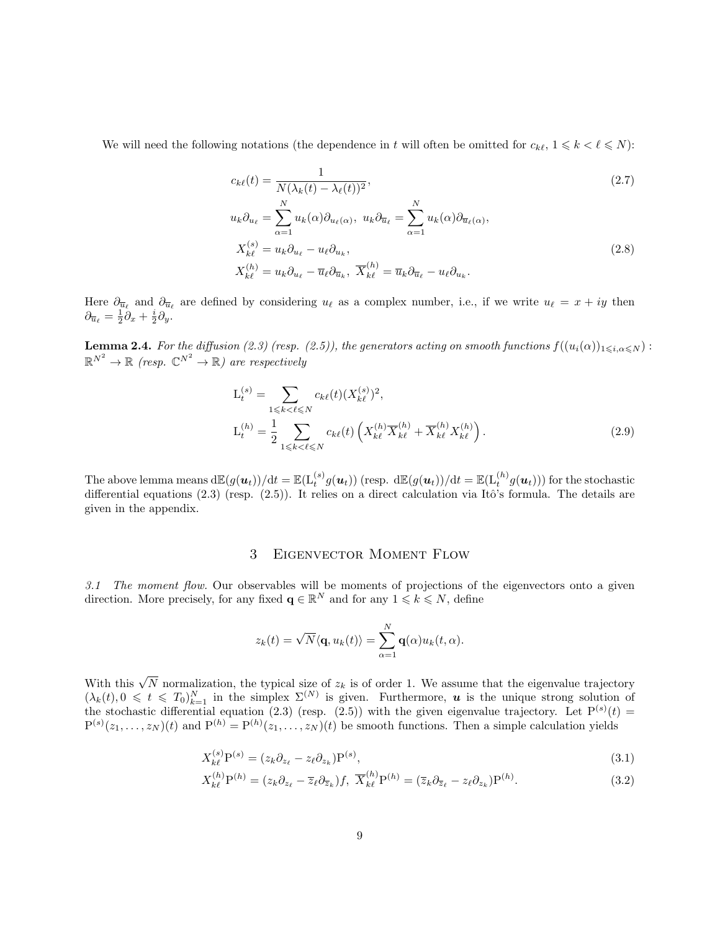We will need the following notations (the dependence in t will often be omitted for  $c_{k\ell}, 1 \leq k \leq \ell \leq N$ ):

$$
c_{k\ell}(t) = \frac{1}{N(\lambda_k(t) - \lambda_\ell(t))^2},
$$
\n
$$
u_k \partial_{u_\ell} = \sum_{\alpha=1}^N u_k(\alpha) \partial_{u_\ell(\alpha)}, \ u_k \partial_{\overline{u}_\ell} = \sum_{\alpha=1}^N u_k(\alpha) \partial_{\overline{u}_\ell(\alpha)},
$$
\n
$$
X_{k\ell}^{(s)} = u_k \partial_{u_\ell} - u_\ell \partial_{u_k},
$$
\n
$$
X_{k\ell}^{(h)} = u_k \partial_{u_\ell} - \overline{u}_\ell \partial_{\overline{u}_k}, \ \overline{X}_{k\ell}^{(h)} = \overline{u}_k \partial_{\overline{u}_\ell} - u_\ell \partial_{u_k}.
$$
\n
$$
(2.8)
$$

Here  $\partial_{\overline{u}_\ell}$  and  $\partial_{\overline{u}_\ell}$  are defined by considering  $u_\ell$  as a complex number, i.e., if we write  $u_\ell = x + iy$  then  $\partial_{\overline{u}_\ell} = \frac{1}{2}\partial_x + \frac{i}{2}\partial_y.$ 

**Lemma 2.4.** For the diffusion (2.3) (resp. (2.5)), the generators acting on smooth functions  $f((u_i(\alpha))_{1\leq i,\alpha\leq N})$ :  $\mathbb{R}^{N^2} \to \mathbb{R}$  (resp.  $\mathbb{C}^{N^2} \to \mathbb{R}$ ) are respectively

$$
L_t^{(s)} = \sum_{1 \le k < \ell \le N} c_{k\ell}(t) (X_{k\ell}^{(s)})^2,
$$
\n
$$
L_t^{(h)} = \frac{1}{2} \sum_{1 \le k < \ell \le N} c_{k\ell}(t) \left( X_{k\ell}^{(h)} \overline{X}_{k\ell}^{(h)} + \overline{X}_{k\ell}^{(h)} X_{k\ell}^{(h)} \right).
$$
\n
$$
(2.9)
$$

The above lemma means  $\mathrm{d}\mathbb{E}(g(\boldsymbol u_t))/\mathrm{d}t = \mathbb{E}(\mathrm{L}_t^{(s)}g(\boldsymbol u_t))$  (resp.  $\mathrm{d}\mathbb{E}(g(\boldsymbol u_t))/\mathrm{d}t = \mathbb{E}(\mathrm{L}_t^{(h)}g(\boldsymbol u_t)))$  for the stochastic differential equations  $(2.3)$  (resp.  $(2.5)$ ). It relies on a direct calculation via Itô's formula. The details are given in the appendix.

# 3 Eigenvector Moment Flow

3.1 The moment flow. Our observables will be moments of projections of the eigenvectors onto a given direction. More precisely, for any fixed  $\mathbf{q} \in \mathbb{R}^N$  and for any  $1 \leq k \leq N$ , define

$$
z_k(t) = \sqrt{N} \langle \mathbf{q}, u_k(t) \rangle = \sum_{\alpha=1}^N \mathbf{q}(\alpha) u_k(t, \alpha).
$$

With this  $\sqrt{N}$  normalization, the typical size of  $z_k$  is of order 1. We assume that the eigenvalue trajectory  $(\lambda_k(t), 0 \leq t \leq T_0)_{k=1}^N$  in the simplex  $\Sigma^{(N)}$  is given. Furthermore, **u** is the unique strong solution of the stochastic differential equation (2.3) (resp. (2.5)) with the given eigenvalue trajectory. Let  $P^{(s)}(t)$  =  $P^{(s)}(z_1,\ldots,z_N)(t)$  and  $P^{(h)} = P^{(h)}(z_1,\ldots,z_N)(t)$  be smooth functions. Then a simple calculation yields

$$
X_{k\ell}^{(s)}\mathbf{P}^{(s)} = (z_k \partial_{z_\ell} - z_\ell \partial_{z_k})\mathbf{P}^{(s)},\tag{3.1}
$$

$$
X_{k\ell}^{(h)}\mathbf{P}^{(h)} = (z_k \partial_{z_\ell} - \overline{z}_\ell \partial_{\overline{z}_k})f, \ \overline{X}_{k\ell}^{(h)}\mathbf{P}^{(h)} = (\overline{z}_k \partial_{\overline{z}_\ell} - z_\ell \partial_{z_k})\mathbf{P}^{(h)}.
$$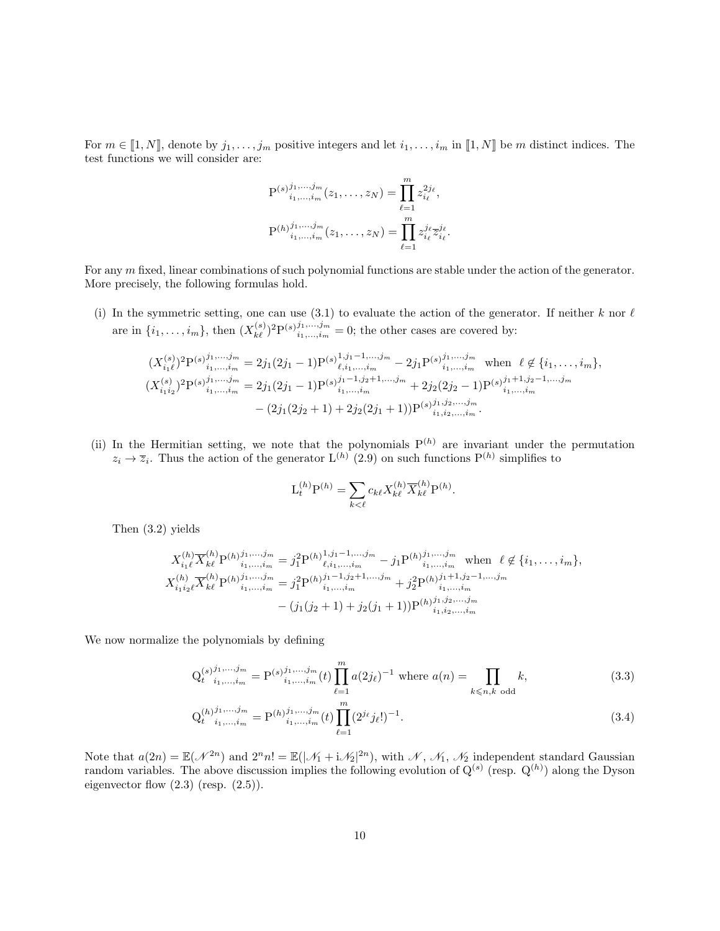For  $m \in [1, N]$ , denote by  $j_1, \ldots, j_m$  positive integers and let  $i_1, \ldots, i_m$  in  $[1, N]$  be m distinct indices. The test functions we will consider are:

$$
P^{(s)}_{i_1,\dots,i_m}^{j_1,\dots,j_m}(z_1,\dots,z_N) = \prod_{\ell=1}^m z_{i_\ell}^{2j_\ell},
$$
  

$$
P^{(h)}_{i_1,\dots,i_m}^{j_1,\dots,j_m}(z_1,\dots,z_N) = \prod_{\ell=1}^m z_{i_\ell}^{j_\ell} \overline{z}_{i_\ell}^{j_\ell}.
$$

For any m fixed, linear combinations of such polynomial functions are stable under the action of the generator. More precisely, the following formulas hold.

(i) In the symmetric setting, one can use (3.1) to evaluate the action of the generator. If neither k nor  $\ell$ are in  $\{i_1,\ldots,i_m\}$ , then  $(X_{k\ell}^{(s)})^2 P^{(s)}i_1,\ldots,i_m=0$ ; the other cases are covered by:

$$
(X_{i_1\ell}^{(s)})^2 P^{(s)}_{i_1,\ldots,i_m}^{j_1,\ldots,j_m} = 2j_1(2j_1 - 1)P^{(s)}_{\ell,i_1,\ldots,i_m}^{1,j_1-1,\ldots,j_m} - 2j_1 P^{(s)}_{i_1,\ldots,i_m}^{j_1,\ldots,j_m} \text{ when } \ell \notin \{i_1,\ldots,i_m\},
$$
  

$$
(X_{i_1i_2}^{(s)})^2 P^{(s)}_{i_1,\ldots,i_m} = 2j_1(2j_1 - 1)P^{(s)}_{i_1,\ldots,i_m}^{j_1-1,j_2+1,\ldots,j_m} + 2j_2(2j_2 - 1)P^{(s)}_{i_1,\ldots,i_m}^{j_1+1,j_2-1,\ldots,j_m}
$$
  

$$
- (2j_1(2j_2 + 1) + 2j_2(2j_1 + 1))P^{(s)}_{i_1,i_2,\ldots,i_m}^{j_1,j_2,\ldots,j_m}.
$$

(ii) In the Hermitian setting, we note that the polynomials  $P^{(h)}$  are invariant under the permutation  $z_i \to \overline{z}_i$ . Thus the action of the generator  $L^{(h)}$  (2.9) on such functions  $P^{(h)}$  simplifies to

$$
\mathcal{L}_t^{(h)} \mathcal{P}^{(h)} = \sum_{k < \ell} c_{k\ell} X_{k\ell}^{(h)} \overline{X}_{k\ell}^{(h)} \mathcal{P}^{(h)}.
$$

Then (3.2) yields

$$
X_{i_1\ell}^{(h)} \overline{X}_{k\ell}^{(h)} P^{(h)}_{i_1,\ldots,i_m} = j_1^2 P^{(h)}_{\ell,i_1,\ldots,i_m}^{1,1,1-1,\ldots,j_m} - j_1 P^{(h)}_{i_1,\ldots,i_m}^{j_1,\ldots,j_m} \text{ when } \ell \notin \{i_1,\ldots,i_m\},
$$
  

$$
X_{i_1i_2\ell}^{(h)} \overline{X}_{k\ell}^{(h)} P^{(h)}_{i_1,\ldots,i_m}^{j_1,\ldots,j_m} = j_1^2 P^{(h)}_{i_1,\ldots,i_m}^{j_1-1,j_2+1,\ldots,j_m} + j_2^2 P^{(h)}_{i_1,\ldots,i_m}^{j_1+1,j_2-1,\ldots,j_m}
$$
  

$$
- (j_1(j_2+1) + j_2(j_1+1)) P^{(h)}_{i_1,i_2,\ldots,i_m}^{j_1,j_2,\ldots,j_m}
$$

We now normalize the polynomials by defining

$$
Q_{t}^{(s)}{}_{i_{1},...,i_{m}}^{j_{1},...,j_{m}} = P^{(s)}{}_{i_{1},...,i_{m}}^{j_{1},...,j_{m}}(t) \prod_{\ell=1}^{m} a(2j_{\ell})^{-1} \text{ where } a(n) = \prod_{k \leq n,k \text{ odd}} k,
$$
\n(3.3)

$$
Q_{t}^{(h)}{}_{i_{1},...,i_{m}}^{j_{1},...,j_{m}} = P^{(h)}{}_{i_{1},...,i_{m}}^{j_{1},...,j_{m}}(t) \prod_{\ell=1}^{m} (2^{j_{\ell}}j_{\ell}!)^{-1}.
$$
\n(3.4)

Note that  $a(2n) = \mathbb{E}(\mathcal{N}^{2n})$  and  $2^n n! = \mathbb{E}(|\mathcal{N}_1 + i\mathcal{N}_2|^{2n})$ , with  $\mathcal{N}, \mathcal{N}_1, \mathcal{N}_2$  independent standard Gaussian random variables. The above discussion implies the following evolution of  $Q^{(s)}$  (resp.  $Q^{(h)}$ ) along the Dyson eigenvector flow  $(2.3)$  (resp.  $(2.5)$ ).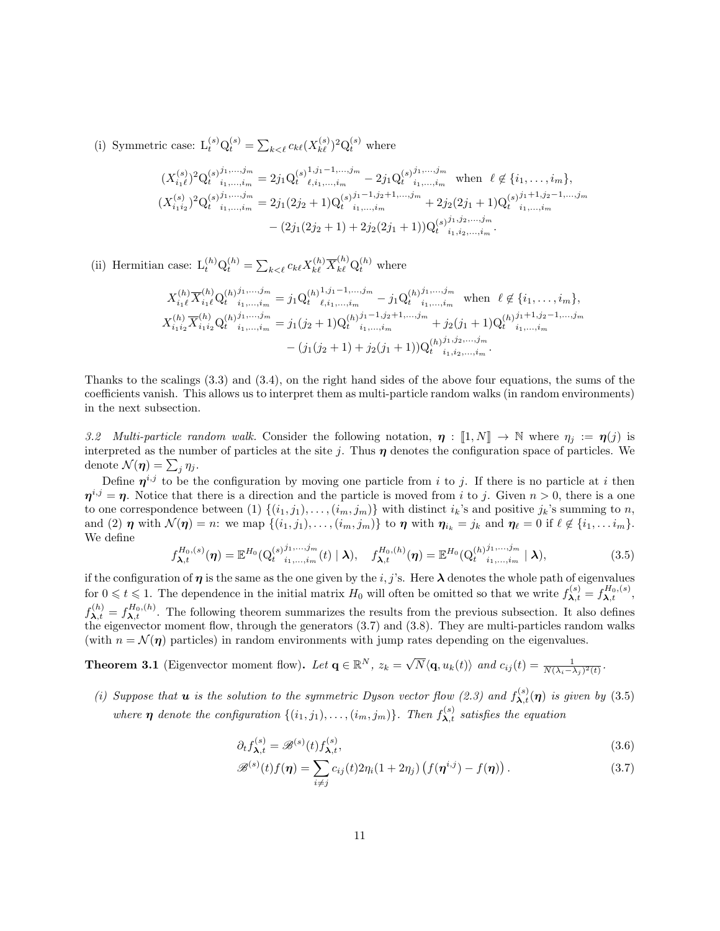(i) Symmetric case:  $L_t^{(s)} Q_t^{(s)} = \sum_{k \lt \ell} c_{k\ell} (X_{k\ell}^{(s)})^2 Q_t^{(s)}$  where

$$
(X_{i_1\ell}^{(s)})^2 Q_t^{(s)j_1,\ldots,j_m} = 2j_1 Q_t^{(s)1,j_1-1,\ldots,j_m} - 2j_1 Q_t^{(s)j_1,\ldots,j_m} \text{ when } \ell \notin \{i_1,\ldots,i_m\},
$$
  

$$
(X_{i_1i_2}^{(s)})^2 Q_t^{(s)j_1,\ldots,j_m} = 2j_1 (2j_2+1) Q_t^{(s)j_1-1,j_2+1,\ldots,j_m} + 2j_2 (2j_1+1) Q_t^{(s)j_1+1,j_2-1,\ldots,j_m}
$$
  

$$
- (2j_1 (2j_2+1) + 2j_2 (2j_1+1)) Q_t^{(s)j_1,j_2,\ldots,j_m}
$$

(ii) Hermitian case:  $L_t^{(h)} Q_t^{(h)} = \sum_{k \leq \ell} c_{k\ell} X_{k\ell}^{(h)} \overline{X}_{k\ell}^{(h)} Q_t^{(h)}$  where

$$
X_{i_1\ell}^{(h)} \overline{X}_{i_1\ell}^{(h)} Q_t^{(h)} j_1, \ldots, j_m} = j_1 Q_t^{(h)} j_1 j_1 - 1, \ldots, j_m - j_1 Q_t^{(h)} j_1, \ldots, j_m \text{ when } \ell \notin \{i_1, \ldots, i_m\},
$$
  

$$
X_{i_1 i_2}^{(h)} \overline{X}_{i_1 i_2}^{(h)} Q_t^{(h)} j_1, \ldots, j_m} = j_1 (j_2 + 1) Q_t^{(h)} j_1 - 1, j_2 + 1, \ldots, j_m + j_2 (j_1 + 1) Q_t^{(h)} j_1 + 1, j_2 - 1, \ldots, j_m
$$
  

$$
- (j_1 (j_2 + 1) + j_2 (j_1 + 1)) Q_t^{(h)} j_1, j_2, \ldots, j_m - (j_1 (j_2 + 1) + j_2 (j_1 + 1)) Q_t^{(h)} j_1, j_2, \ldots, j_m.
$$

Thanks to the scalings (3.3) and (3.4), on the right hand sides of the above four equations, the sums of the coefficients vanish. This allows us to interpret them as multi-particle random walks (in random environments) in the next subsection.

3.2 Multi-particle random walk. Consider the following notation,  $\eta : [1, N] \to \mathbb{N}$  where  $\eta_j := \eta(j)$  is interpreted as the number of particles at the site j. Thus  $\eta$  denotes the configuration space of particles. We denote  $\mathcal{N}(\boldsymbol{\eta}) = \sum_j \eta_j$ .

Define  $\eta^{i,j}$  to be the configuration by moving one particle from i to j. If there is no particle at i then  $\eta^{i,j} = \eta$ . Notice that there is a direction and the particle is moved from i to j. Given  $n > 0$ , there is a one to one correspondence between (1)  $\{(i_1, j_1), \ldots, (i_m, j_m)\}\$  with distinct  $i_k$ 's and positive  $j_k$ 's summing to n, and (2)  $\eta$  with  $\mathcal{N}(\eta) = n$ : we map  $\{(i_1, j_1), \ldots, (i_m, j_m)\}$  to  $\eta$  with  $\eta_{i_k} = j_k$  and  $\eta_\ell = 0$  if  $\ell \notin \{i_1, \ldots i_m\}$ . We define

$$
f_{\lambda,t}^{H_0,(s)}(\eta) = \mathbb{E}^{H_0}(\mathbf{Q}_{t}^{(s)}; \mathbf{I}_{1,\ldots,i_m}^{j,\ldots,j_m}(t) \mid \lambda), \quad f_{\lambda,t}^{H_0,(h)}(\eta) = \mathbb{E}^{H_0}(\mathbf{Q}_{t}^{(h)}; \mathbf{I}_{1,\ldots,i_m}^{j,\ldots,j_m} \mid \lambda), \tag{3.5}
$$

if the configuration of  $\eta$  is the same as the one given by the i, j's. Here  $\lambda$  denotes the whole path of eigenvalues for  $0 \leq t \leq 1$ . The dependence in the initial matrix  $H_0$  will often be omitted so that we write  $f_{\lambda,t}^{(s)} = f_{\lambda,t}^{H_0,(s)}$ ,  $f_{\lambda,t}^{(h)} = f_{\lambda,t}^{H_0,(h)}$ . The following theorem summarizes the results from the previous subsection. It also defines the eigenvector moment flow, through the generators (3.7) and (3.8). They are multi-particles random walks (with  $n = \mathcal{N}(\eta)$  particles) in random environments with jump rates depending on the eigenvalues.

**Theorem 3.1** (Eigenvector moment flow). Let  $\mathbf{q} \in \mathbb{R}^N$ ,  $z_k = \sqrt{N} \langle \mathbf{q}, u_k(t) \rangle$  and  $c_{ij}(t) = \frac{1}{N(\lambda_i - \lambda_j)^2(t)}$ .

(i) Suppose that **u** is the solution to the symmetric Dyson vector flow (2.3) and  $f_{\lambda,t}^{(s)}(\eta)$  is given by (3.5) where  $\eta$  denote the configuration  $\{(i_1,j_1),\ldots,(i_m,j_m)\}$ . Then  $f_{\lambda,t}^{(s)}$  satisfies the equation

$$
\partial_t f_{\lambda,t}^{(s)} = \mathcal{B}^{(s)}(t) f_{\lambda,t}^{(s)},\tag{3.6}
$$

$$
\mathcal{B}^{(s)}(t)f(\boldsymbol{\eta}) = \sum_{i \neq j} c_{ij}(t) 2\eta_i (1 + 2\eta_j) \left( f(\boldsymbol{\eta}^{i,j}) - f(\boldsymbol{\eta}) \right). \tag{3.7}
$$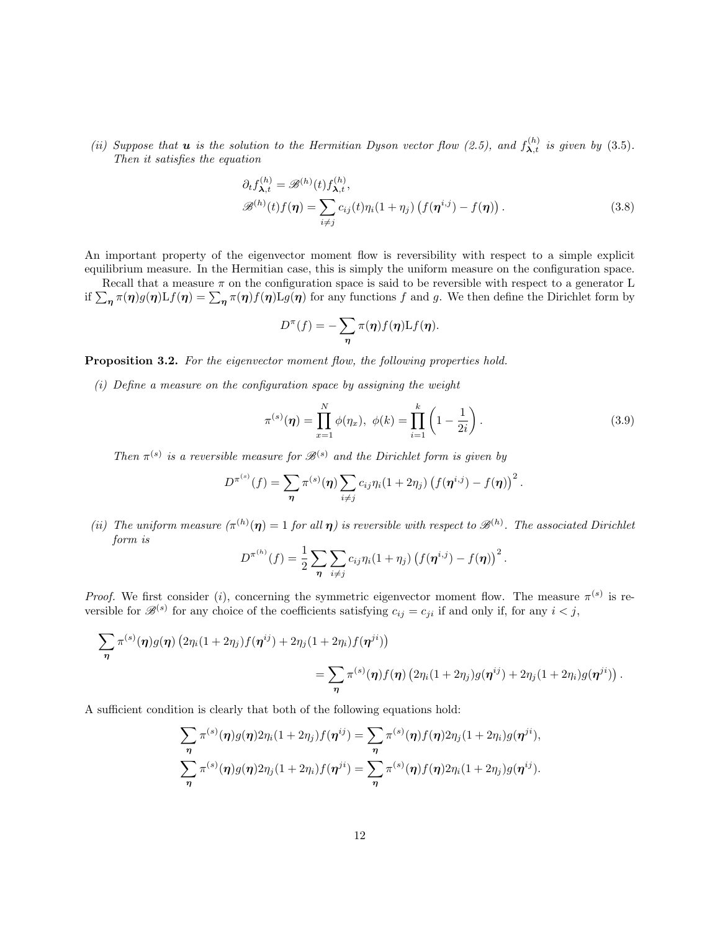(ii) Suppose that **u** is the solution to the Hermitian Dyson vector flow (2.5), and  $f_{\lambda,t}^{(h)}$  is given by (3.5). Then it satisfies the equation

$$
\partial_t f_{\lambda,t}^{(h)} = \mathscr{B}^{(h)}(t) f_{\lambda,t}^{(h)},
$$
  

$$
\mathscr{B}^{(h)}(t) f(\boldsymbol{\eta}) = \sum_{i \neq j} c_{ij}(t) \eta_i (1 + \eta_j) \left( f(\boldsymbol{\eta}^{i,j}) - f(\boldsymbol{\eta}) \right).
$$
 (3.8)

An important property of the eigenvector moment flow is reversibility with respect to a simple explicit equilibrium measure. In the Hermitian case, this is simply the uniform measure on the configuration space.

Recall that a measure  $\pi$  on the configuration space is said to be reversible with respect to a generator L if  $\sum_{\eta} \pi(\eta)g(\eta) L f(\eta) = \sum_{\eta} \pi(\eta) f(\eta) L g(\eta)$  for any functions f and g. We then define the Dirichlet form by

$$
D^{\pi}(f) = -\sum_{\eta} \pi(\eta) f(\eta) \mathcal{L}f(\eta).
$$

Proposition 3.2. For the eigenvector moment flow, the following properties hold.

(i) Define a measure on the configuration space by assigning the weight

$$
\pi^{(s)}(\eta) = \prod_{x=1}^{N} \phi(\eta_x), \ \phi(k) = \prod_{i=1}^{k} \left(1 - \frac{1}{2i}\right).
$$
 (3.9)

Then  $\pi^{(s)}$  is a reversible measure for  $\mathcal{B}^{(s)}$  and the Dirichlet form is given by

$$
D^{\pi^{(s)}}(f) = \sum_{\eta} \pi^{(s)}(\eta) \sum_{i \neq j} c_{ij} \eta_i (1 + 2 \eta_j) \left( f(\eta^{i,j}) - f(\eta) \right)^2.
$$

(ii) The uniform measure  $(\pi^{(h)}(\eta)) = 1$  for all  $\eta$ ) is reversible with respect to  $\mathcal{B}^{(h)}$ . The associated Dirichlet form is

$$
D^{\pi^{(h)}}(f) = \frac{1}{2} \sum_{\eta} \sum_{i \neq j} c_{ij} \eta_i (1 + \eta_j) \left( f(\eta^{i,j}) - f(\eta) \right)^2.
$$

*Proof.* We first consider (*i*), concerning the symmetric eigenvector moment flow. The measure  $\pi^{(s)}$  is reversible for  $\mathscr{B}^{(s)}$  for any choice of the coefficients satisfying  $c_{ij} = c_{ji}$  if and only if, for any  $i < j$ ,

$$
\sum_{\eta} \pi^{(s)}(\eta) g(\eta) (2\eta_i (1+2\eta_j) f(\eta^{ij}) + 2\eta_j (1+2\eta_i) f(\eta^{ji}))
$$
  
= 
$$
\sum_{\eta} \pi^{(s)}(\eta) f(\eta) (2\eta_i (1+2\eta_j) g(\eta^{ij}) + 2\eta_j (1+2\eta_i) g(\eta^{ji})).
$$

A sufficient condition is clearly that both of the following equations hold:

$$
\sum_{\eta} \pi^{(s)}(\eta) g(\eta) 2\eta_i (1+2\eta_j) f(\eta^{ij}) = \sum_{\eta} \pi^{(s)}(\eta) f(\eta) 2\eta_j (1+2\eta_i) g(\eta^{ji}),
$$
  

$$
\sum_{\eta} \pi^{(s)}(\eta) g(\eta) 2\eta_j (1+2\eta_i) f(\eta^{ji}) = \sum_{\eta} \pi^{(s)}(\eta) f(\eta) 2\eta_i (1+2\eta_j) g(\eta^{ij}).
$$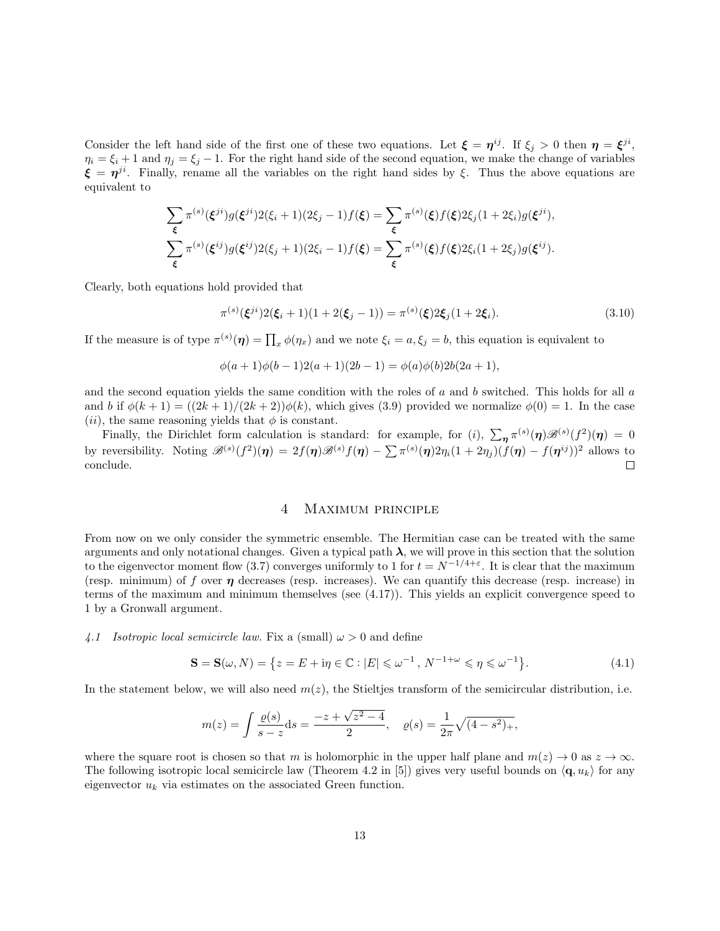Consider the left hand side of the first one of these two equations. Let  $\xi = \eta^{ij}$ . If  $\xi_j > 0$  then  $\eta = \xi^{ji}$ ,  $\eta_i = \xi_i + 1$  and  $\eta_j = \xi_j - 1$ . For the right hand side of the second equation, we make the change of variables  $\xi = \eta^{ji}$ . Finally, rename all the variables on the right hand sides by  $\xi$ . Thus the above equations are equivalent to

$$
\sum_{\xi} \pi^{(s)}(\xi^{ji}) g(\xi^{ji}) 2(\xi_i + 1)(2\xi_j - 1) f(\xi) = \sum_{\xi} \pi^{(s)}(\xi) f(\xi) 2\xi_j (1 + 2\xi_i) g(\xi^{ji}),
$$
  

$$
\sum_{\xi} \pi^{(s)}(\xi^{ij}) g(\xi^{ij}) 2(\xi_j + 1)(2\xi_i - 1) f(\xi) = \sum_{\xi} \pi^{(s)}(\xi) f(\xi) 2\xi_i (1 + 2\xi_j) g(\xi^{ij}).
$$

Clearly, both equations hold provided that

$$
\pi^{(s)}(\xi^{ji})2(\xi_i+1)(1+2(\xi_j-1)) = \pi^{(s)}(\xi)2\xi_j(1+2\xi_i). \tag{3.10}
$$

If the measure is of type  $\pi^{(s)}(\eta) = \prod_x \phi(\eta_x)$  and we note  $\xi_i = a, \xi_j = b$ , this equation is equivalent to

$$
\phi(a+1)\phi(b-1)2(a+1)(2b-1) = \phi(a)\phi(b)2b(2a+1),
$$

and the second equation yields the same condition with the roles of  $a$  and  $b$  switched. This holds for all  $a$ and b if  $\phi(k+1) = ((2k+1)/(2k+2))\phi(k)$ , which gives (3.9) provided we normalize  $\phi(0) = 1$ . In the case (*ii*), the same reasoning yields that  $\phi$  is constant.

Finally, the Dirichlet form calculation is standard: for example, for (i),  $\sum_{\eta} \pi^{(s)}(\eta) \mathscr{B}^{(s)}(f^2)(\eta) = 0$ by reversibility. Noting  $\mathscr{B}^{(s)}(f^2)(\eta) = 2f(\eta)\mathscr{B}^{(s)}f(\eta) - \sum \pi^{(s)}(\eta)2\eta_i(1+2\eta_j)(f(\eta) - f(\eta^{ij}))^2$  allows to conclude.  $\Box$ 

#### 4 Maximum principle

From now on we only consider the symmetric ensemble. The Hermitian case can be treated with the same arguments and only notational changes. Given a typical path  $\lambda$ , we will prove in this section that the solution to the eigenvector moment flow (3.7) converges uniformly to 1 for  $t = N^{-1/4+\epsilon}$ . It is clear that the maximum (resp. minimum) of f over  $\eta$  decreases (resp. increases). We can quantify this decrease (resp. increase) in terms of the maximum and minimum themselves (see (4.17)). This yields an explicit convergence speed to 1 by a Gronwall argument.

4.1 Isotropic local semicircle law. Fix a (small)  $\omega > 0$  and define

$$
\mathbf{S} = \mathbf{S}(\omega, N) = \{ z = E + i\eta \in \mathbb{C} : |E| \le \omega^{-1}, N^{-1+\omega} \le \eta \le \omega^{-1} \}. \tag{4.1}
$$

In the statement below, we will also need  $m(z)$ , the Stieltjes transform of the semicircular distribution, i.e.

$$
m(z) = \int \frac{\varrho(s)}{s - z} ds = \frac{-z + \sqrt{z^2 - 4}}{2}, \quad \varrho(s) = \frac{1}{2\pi} \sqrt{(4 - s^2)_+},
$$

where the square root is chosen so that m is holomorphic in the upper half plane and  $m(z) \to 0$  as  $z \to \infty$ . The following isotropic local semicircle law (Theorem 4.2 in [5]) gives very useful bounds on  $\langle \mathbf{q}, u_k \rangle$  for any eigenvector  $u_k$  via estimates on the associated Green function.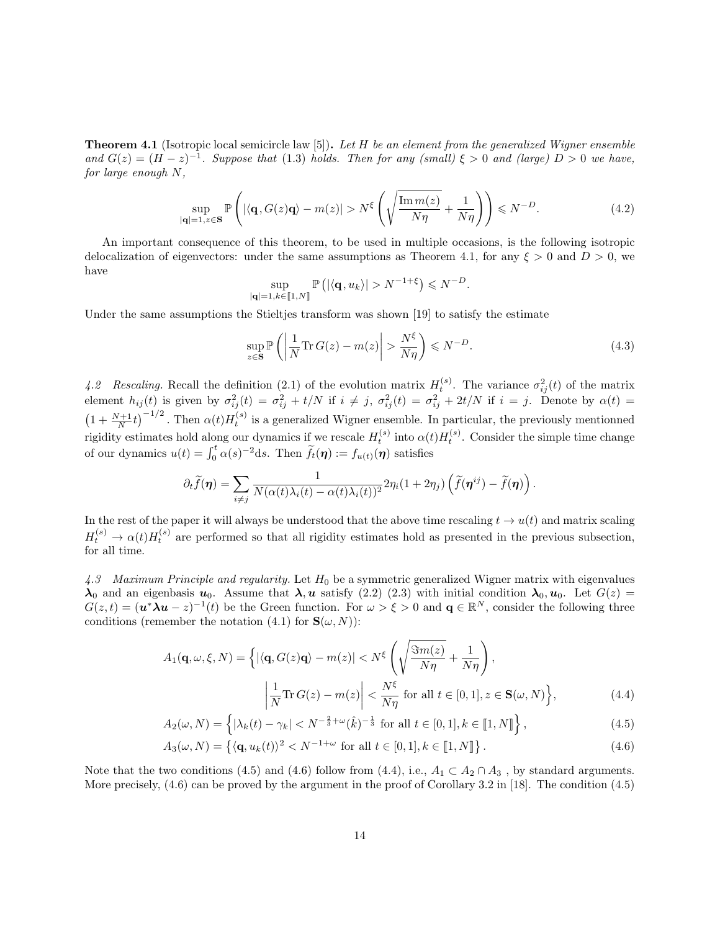**Theorem 4.1** (Isotropic local semicircle law [5]). Let  $H$  be an element from the generalized Wigner ensemble and  $G(z) = (H - z)^{-1}$ . Suppose that (1.3) holds. Then for any (small)  $\xi > 0$  and (large)  $D > 0$  we have, for large enough N,

$$
\sup_{|\mathbf{q}|=1, z \in \mathbf{S}} \mathbb{P}\left(|\langle \mathbf{q}, G(z)\mathbf{q}\rangle - m(z)| > N^{\xi} \left(\sqrt{\frac{\operatorname{Im} m(z)}{N\eta}} + \frac{1}{N\eta}\right)\right) \leq N^{-D}.
$$
\n(4.2)

An important consequence of this theorem, to be used in multiple occasions, is the following isotropic delocalization of eigenvectors: under the same assumptions as Theorem 4.1, for any  $\xi > 0$  and  $D > 0$ , we have

$$
\sup_{|\mathbf{q}|=1,k\in[\![1,N]\!]} \mathbb{P}\left(|\langle \mathbf{q},u_k\rangle|>N^{-1+\xi}\right) \leqslant N^{-D}.
$$

Under the same assumptions the Stieltjes transform was shown [19] to satisfy the estimate

$$
\sup_{z \in \mathbf{S}} \mathbb{P}\left(\left|\frac{1}{N}\text{Tr}\,G(z) - m(z)\right| > \frac{N^{\xi}}{N\eta}\right) \leqslant N^{-D}.\tag{4.3}
$$

4.2 Rescaling. Recall the definition (2.1) of the evolution matrix  $H_t^{(s)}$ . The variance  $\sigma_{ij}^2(t)$  of the matrix element  $h_{ij}(t)$  is given by  $\sigma_{ij}^2(t) = \sigma_{ij}^2 + t/N$  if  $i \neq j$ ,  $\sigma_{ij}^2(t) = \sigma_{ij}^2 + 2t/N$  if  $i = j$ . Denote by  $\alpha(t) =$  $\left(1+\frac{N+1}{N}t\right)^{-1/2}$ . Then  $\alpha(t)H_t^{(s)}$  is a generalized Wigner ensemble. In particular, the previously mentionned rigidity estimates hold along our dynamics if we rescale  $H_t^{(s)}$  into  $\alpha(t)H_t^{(s)}$ . Consider the simple time change of our dynamics  $u(t) = \int_0^t \alpha(s)^{-2} \, \mathrm{d}s$ . Then  $\widetilde{f}_t(\eta) := f_{u(t)}(\eta)$  satisfies

$$
\partial_t \widetilde{f}(\boldsymbol{\eta}) = \sum_{i \neq j} \frac{1}{N(\alpha(t)\lambda_i(t) - \alpha(t)\lambda_i(t))^2} 2\eta_i(1 + 2\eta_j) \left(\widetilde{f}(\boldsymbol{\eta}^{ij}) - \widetilde{f}(\boldsymbol{\eta})\right).
$$

In the rest of the paper it will always be understood that the above time rescaling  $t \to u(t)$  and matrix scaling  $H_t^{(s)} \to \alpha(t)H_t^{(s)}$  are performed so that all rigidity estimates hold as presented in the previous subsection, for all time.

4.3 Maximum Principle and regularity. Let  $H_0$  be a symmetric generalized Wigner matrix with eigenvalues  $\lambda_0$  and an eigenbasis  $u_0$ . Assume that  $\lambda, u$  satisfy (2.2) (2.3) with initial condition  $\lambda_0, u_0$ . Let  $G(z)$  $G(z,t) = (\boldsymbol{u}^* \boldsymbol{\lambda} \boldsymbol{u} - z)^{-1}(t)$  be the Green function. For  $\omega > \xi > 0$  and  $\mathbf{q} \in \mathbb{R}^N$ , consider the following three conditions (remember the notation (4.1) for  $\mathbf{S}(\omega, N)$ :

$$
A_1(\mathbf{q}, \omega, \xi, N) = \left\{ |\langle \mathbf{q}, G(z) \mathbf{q} \rangle - m(z)| < N^{\xi} \left( \sqrt{\frac{\Im m(z)}{N\eta}} + \frac{1}{N\eta} \right), \right\}
$$

$$
\left| \frac{1}{N} \text{Tr} \, G(z) - m(z) \right| < \frac{N^{\xi}}{N\eta} \text{ for all } t \in [0, 1], z \in \mathbf{S}(\omega, N) \right\},\tag{4.4}
$$

$$
A_2(\omega, N) = \left\{ |\lambda_k(t) - \gamma_k| < N^{-\frac{2}{3} + \omega}(\hat{k})^{-\frac{1}{3}} \text{ for all } t \in [0, 1], k \in [1, N] \right\},\tag{4.5}
$$

$$
A_3(\omega, N) = \{ \langle \mathbf{q}, u_k(t) \rangle^2 < N^{-1+\omega} \text{ for all } t \in [0, 1], k \in [1, N] \} . \tag{4.6}
$$

Note that the two conditions (4.5) and (4.6) follow from (4.4), i.e.,  $A_1 \subset A_2 \cap A_3$ , by standard arguments. More precisely,  $(4.6)$  can be proved by the argument in the proof of Corollary 3.2 in [18]. The condition  $(4.5)$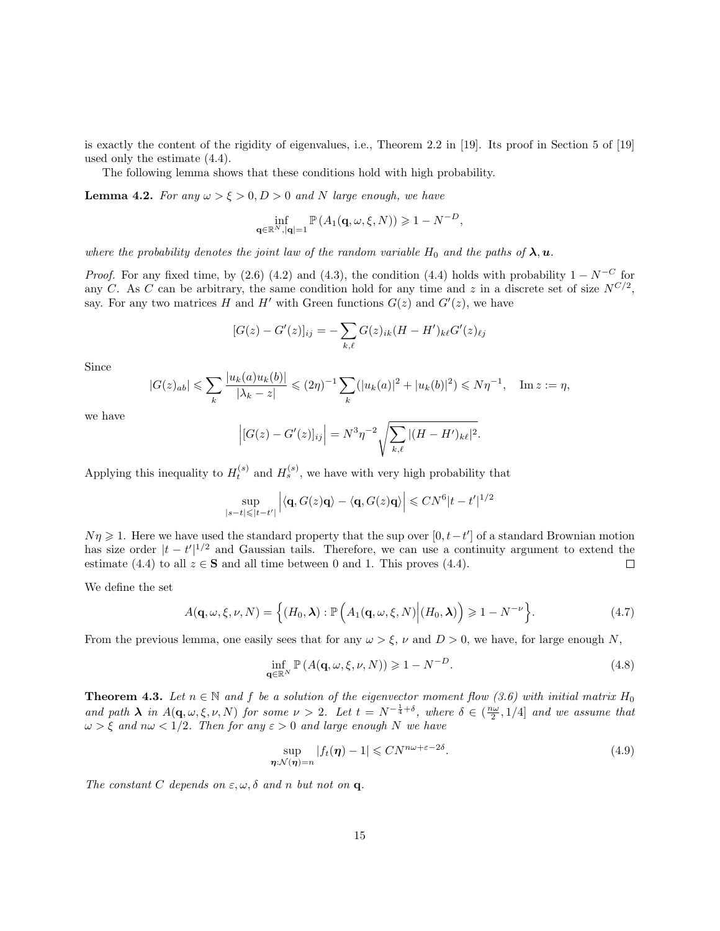is exactly the content of the rigidity of eigenvalues, i.e., Theorem 2.2 in [19]. Its proof in Section 5 of [19] used only the estimate (4.4).

The following lemma shows that these conditions hold with high probability.

**Lemma 4.2.** For any  $\omega > \xi > 0, D > 0$  and N large enough, we have

$$
\inf_{\mathbf{q}\in\mathbb{R}^N,|\mathbf{q}|=1}\mathbb{P}\left(A_1(\mathbf{q},\omega,\xi,N)\right)\geqslant 1-N^{-D},
$$

where the probability denotes the joint law of the random variable  $H_0$  and the paths of  $\lambda, u$ .

*Proof.* For any fixed time, by (2.6) (4.2) and (4.3), the condition (4.4) holds with probability  $1 - N^{-C}$  for any C. As C can be arbitrary, the same condition hold for any time and z in a discrete set of size  $N^{C/2}$ , say. For any two matrices H and H' with Green functions  $G(z)$  and  $G'(z)$ , we have

$$
[G(z) - G'(z)]_{ij} = -\sum_{k,\ell} G(z)_{ik} (H - H')_{k\ell} G'(z)_{\ell j}
$$

Since

$$
|G(z)_{ab}| \leqslant \sum_{k} \frac{|u_k(a)u_k(b)|}{|\lambda_k - z|} \leqslant (2\eta)^{-1} \sum_{k} (|u_k(a)|^2 + |u_k(b)|^2) \leqslant N\eta^{-1}, \quad \text{Im } z := \eta,
$$

we have

$$
\left| [G(z) - G'(z)]_{ij} \right| = N^3 \eta^{-2} \sqrt{\sum_{k,\ell} |(H - H')_{k\ell}|^2}.
$$

Applying this inequality to  $H_t^{(s)}$  and  $H_s^{(s)}$ , we have with very high probability that

$$
\sup_{|s-t|\leq |t-t'|}\Big|\langle \mathbf{q}, G(z)\mathbf{q}\rangle - \langle \mathbf{q}, G(z)\mathbf{q}\rangle\Big| \leqslant CN^6|t-t'|^{1/2}
$$

 $N\eta \geq 1$ . Here we have used the standard property that the sup over  $[0, t-t']$  of a standard Brownian motion has size order  $|t-t'|^{1/2}$  and Gaussian tails. Therefore, we can use a continuity argument to extend the estimate (4.4) to all  $z \in S$  and all time between 0 and 1. This proves (4.4).  $\Box$ 

We define the set

$$
A(\mathbf{q},\omega,\xi,\nu,N) = \Big\{ (H_0,\boldsymbol{\lambda}) : \mathbb{P}\left( A_1(\mathbf{q},\omega,\xi,N) \Big| (H_0,\boldsymbol{\lambda}) \right) \geqslant 1 - N^{-\nu} \Big\}.
$$
 (4.7)

From the previous lemma, one easily sees that for any  $\omega > \xi$ ,  $\nu$  and  $D > 0$ , we have, for large enough N,

$$
\inf_{\mathbf{q}\in\mathbb{R}^N} \mathbb{P}\left( A(\mathbf{q},\omega,\xi,\nu,N)\right) \geqslant 1 - N^{-D}.\tag{4.8}
$$

**Theorem 4.3.** Let  $n \in \mathbb{N}$  and f be a solution of the eigenvector moment flow (3.6) with initial matrix  $H_0$ and path  $\lambda$  in  $A(q,\omega,\xi,\nu,N)$  for some  $\nu > 2$ . Let  $t = N^{-\frac{1}{4}+\delta}$ , where  $\delta \in (\frac{n\omega}{2},1/4]$  and we assume that  $\omega > \xi$  and  $n\omega < 1/2$ . Then for any  $\varepsilon > 0$  and large enough N we have

$$
\sup_{\boldsymbol{\eta} \cdot \mathcal{N}(\boldsymbol{\eta}) = n} |f_t(\boldsymbol{\eta}) - 1| \leq C N^{n\omega + \varepsilon - 2\delta}.
$$
\n(4.9)

The constant C depends on  $\varepsilon, \omega, \delta$  and n but not on q.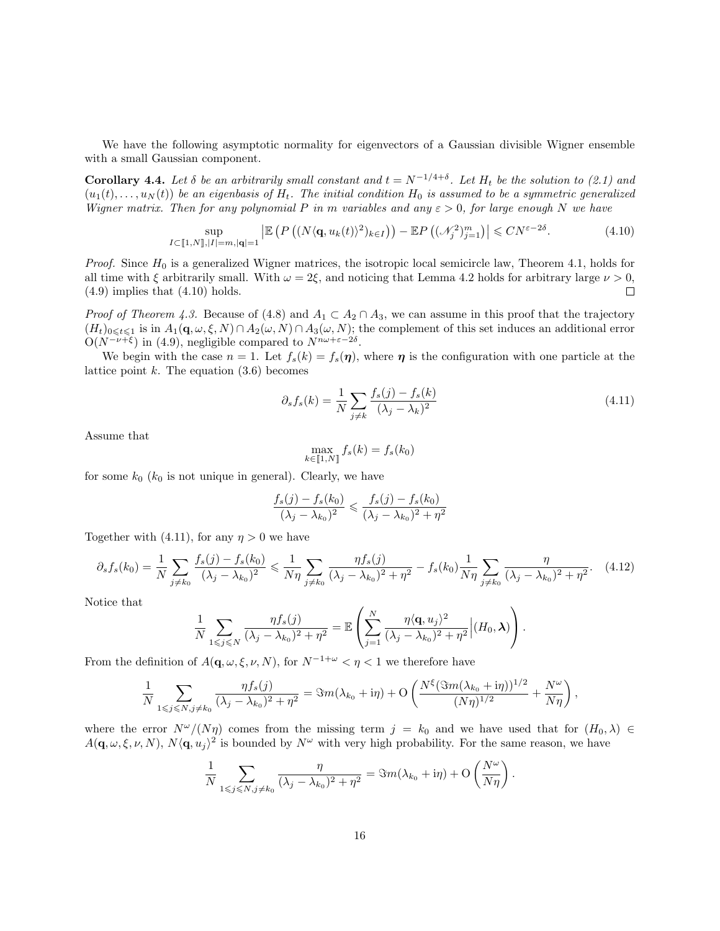We have the following asymptotic normality for eigenvectors of a Gaussian divisible Wigner ensemble with a small Gaussian component.

**Corollary 4.4.** Let  $\delta$  be an arbitrarily small constant and  $t = N^{-1/4+\delta}$ . Let  $H_t$  be the solution to (2.1) and  $(u_1(t), \ldots, u_N(t))$  be an eigenbasis of  $H_t$ . The initial condition  $H_0$  is assumed to be a symmetric generalized Wigner matrix. Then for any polynomial P in m variables and any  $\varepsilon > 0$ , for large enough N we have

$$
\sup_{I \subset [1,N],|I|=m,|\mathbf{q}|=1} \left| \mathbb{E} \left( P \left( (N \langle \mathbf{q}, u_k(t) \rangle^2)_{k \in I} \right) \right) - \mathbb{E} P \left( (\mathcal{N}_j^2)_{j=1}^m \right) \right| \leq C N^{\varepsilon - 2\delta}.
$$
\n(4.10)

*Proof.* Since  $H_0$  is a generalized Wigner matrices, the isotropic local semicircle law, Theorem 4.1, holds for all time with  $\xi$  arbitrarily small. With  $\omega = 2\xi$ , and noticing that Lemma 4.2 holds for arbitrary large  $\nu > 0$ ,  $(4.9)$  implies that  $(4.10)$  holds.  $\Box$ 

*Proof of Theorem 4.3.* Because of (4.8) and  $A_1 \subset A_2 \cap A_3$ , we can assume in this proof that the trajectory  $(H_t)_{0\leqslant t\leqslant 1}$  is in  $A_1(\mathbf{q},\omega,\xi,N)\cap A_2(\omega,N)\cap A_3(\omega,N);$  the complement of this set induces an additional error  $O(N^{-\nu+\xi})$  in (4.9), negligible compared to  $N^{n\omega+\varepsilon-2\delta}$ .

We begin with the case  $n = 1$ . Let  $f_s(k) = f_s(\eta)$ , where  $\eta$  is the configuration with one particle at the lattice point  $k$ . The equation  $(3.6)$  becomes

$$
\partial_s f_s(k) = \frac{1}{N} \sum_{j \neq k} \frac{f_s(j) - f_s(k)}{(\lambda_j - \lambda_k)^2} \tag{4.11}
$$

.

Assume that

$$
\max_{k \in [\![1,N]\!]} f_s(k) = f_s(k_0)
$$

for some  $k_0$  ( $k_0$  is not unique in general). Clearly, we have

$$
\frac{f_s(j) - f_s(k_0)}{(\lambda_j - \lambda_{k_0})^2} \leq \frac{f_s(j) - f_s(k_0)}{(\lambda_j - \lambda_{k_0})^2 + \eta^2}
$$

Together with (4.11), for any  $\eta > 0$  we have

$$
\partial_s f_s(k_0) = \frac{1}{N} \sum_{j \neq k_0} \frac{f_s(j) - f_s(k_0)}{(\lambda_j - \lambda_{k_0})^2} \leq \frac{1}{N\eta} \sum_{j \neq k_0} \frac{\eta f_s(j)}{(\lambda_j - \lambda_{k_0})^2 + \eta^2} - f_s(k_0) \frac{1}{N\eta} \sum_{j \neq k_0} \frac{\eta}{(\lambda_j - \lambda_{k_0})^2 + \eta^2}.
$$
 (4.12)

Notice that

$$
\frac{1}{N} \sum_{1 \leq j \leq N} \frac{\eta f_s(j)}{(\lambda_j - \lambda_{k_0})^2 + \eta^2} = \mathbb{E} \left( \sum_{j=1}^N \frac{\eta \langle \mathbf{q}, u_j \rangle^2}{(\lambda_j - \lambda_{k_0})^2 + \eta^2} \Big| (H_0, \boldsymbol{\lambda}) \right).
$$

From the definition of  $A(\mathbf{q}, \omega, \xi, \nu, N)$ , for  $N^{-1+\omega} < \eta < 1$  we therefore have

$$
\frac{1}{N} \sum_{1 \leq j \leq N, j \neq k_0} \frac{\eta f_s(j)}{(\lambda_j - \lambda_{k_0})^2 + \eta^2} = \Im m(\lambda_{k_0} + i\eta) + O\left(\frac{N^{\xi}(\Im m(\lambda_{k_0} + i\eta))^{1/2}}{(N\eta)^{1/2}} + \frac{N^{\omega}}{N\eta}\right),
$$

where the error  $N^{\omega}/(N\eta)$  comes from the missing term  $j = k_0$  and we have used that for  $(H_0, \lambda) \in$  $A(q,\omega,\xi,\nu,N), N\langle q,u_j\rangle^2$  is bounded by  $N^{\omega}$  with very high probability. For the same reason, we have

$$
\frac{1}{N} \sum_{1 \leq j \leq N, j \neq k_0} \frac{\eta}{(\lambda_j - \lambda_{k_0})^2 + \eta^2} = \Im m(\lambda_{k_0} + i\eta) + O\left(\frac{N^{\omega}}{N\eta}\right)
$$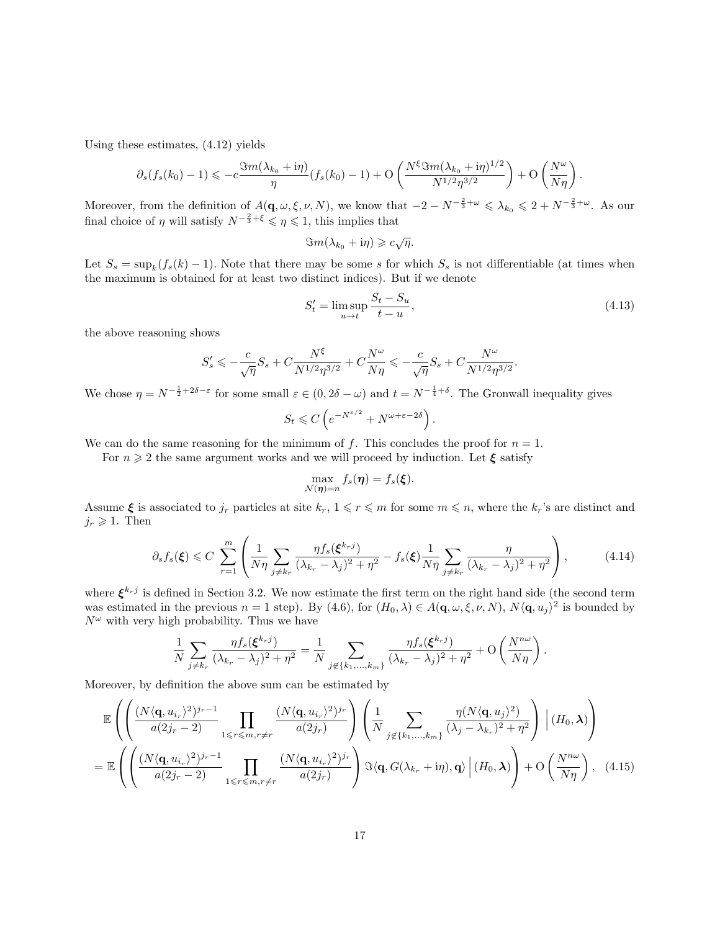Using these estimates, (4.12) yields

$$
\partial_s(f_s(k_0)-1)\leqslant -c\frac{\Im m(\lambda_{k_0}+{\rm i}\eta)}{\eta}(f_s(k_0)-1)+{\rm O}\left(\frac{N^{\xi}\Im m(\lambda_{k_0}+{\rm i}\eta)^{1/2}}{N^{1/2}\eta^{3/2}}\right)+{\rm O}\left(\frac{N^{\omega}}{N\eta}\right).
$$

Moreover, from the definition of  $A(q,\omega,\xi,\nu,N)$ , we know that  $-2 - N^{-\frac{2}{3}+\omega} \leq \lambda_{k_0} \leq 2 + N^{-\frac{2}{3}+\omega}$ . As our final choice of  $\eta$  will satisfy  $N^{-\frac{2}{3}+\xi} \leq \eta \leq 1$ , this implies that

 $\Im m(\lambda_{k_0} + \mathrm{i}\eta) \geqslant c\sqrt{\eta}.$ 

Let  $S_s = \sup_k (f_s(k) - 1)$ . Note that there may be some s for which  $S_s$  is not differentiable (at times when the maximum is obtained for at least two distinct indices). But if we denote

$$
S_t' = \limsup_{u \to t} \frac{S_t - S_u}{t - u},\tag{4.13}
$$

.

the above reasoning shows

$$
S'_s \leqslant -\frac{c}{\sqrt{\eta}}S_s + C\frac{N^{\xi}}{N^{1/2}\eta^{3/2}} + C\frac{N^{\omega}}{N\eta} \leqslant -\frac{c}{\sqrt{\eta}}S_s + C\frac{N^{\omega}}{N^{1/2}\eta^{3/2}}
$$

We chose  $\eta = N^{-\frac{1}{2} + 2\delta - \varepsilon}$  for some small  $\varepsilon \in (0, 2\delta - \omega)$  and  $t = N^{-\frac{1}{4} + \delta}$ . The Gronwall inequality gives

$$
S_t \leqslant C \left( e^{-N^{\varepsilon/2}} + N^{\omega + \varepsilon - 2\delta} \right).
$$

We can do the same reasoning for the minimum of f. This concludes the proof for  $n = 1$ .

For  $n \geqslant 2$  the same argument works and we will proceed by induction. Let  $\xi$  satisfy

$$
\max_{\mathcal{N}(\boldsymbol{\eta})=n} f_s(\boldsymbol{\eta}) = f_s(\boldsymbol{\xi}).
$$

Assume  $\xi$  is associated to  $j_r$  particles at site  $k_r$ ,  $1 \leq r \leq m$  for some  $m \leq n$ , where the  $k_r$ 's are distinct and  $j_r \geqslant 1$ . Then

$$
\partial_s f_s(\boldsymbol{\xi}) \leq C \sum_{r=1}^m \left( \frac{1}{N\eta} \sum_{j \neq k_r} \frac{\eta f_s(\boldsymbol{\xi}^{k_r j})}{(\lambda_{k_r} - \lambda_j)^2 + \eta^2} - f_s(\boldsymbol{\xi}) \frac{1}{N\eta} \sum_{j \neq k_r} \frac{\eta}{(\lambda_{k_r} - \lambda_j)^2 + \eta^2} \right), \tag{4.14}
$$

where  $\xi^{k_r j}$  is defined in Section 3.2. We now estimate the first term on the right hand side (the second term was estimated in the previous  $n = 1$  step). By (4.6), for  $(H_0, \lambda) \in A(\mathbf{q}, \omega, \xi, \nu, N)$ ,  $N \langle \mathbf{q}, u_j \rangle^2$  is bounded by  $N^{\omega}$  with very high probability. Thus we have

$$
\frac{1}{N}\sum_{j\neq k_r}\frac{\eta f_s(\boldsymbol{\xi}^{k_rj})}{(\lambda_{k_r}-\lambda_j)^2+\eta^2}=\frac{1}{N}\sum_{j\notin\{k_1,\ldots,k_m\}}\frac{\eta f_s(\boldsymbol{\xi}^{k_rj})}{(\lambda_{k_r}-\lambda_j)^2+\eta^2}+O\left(\frac{N^{n\omega}}{N\eta}\right).
$$

Moreover, by definition the above sum can be estimated by

$$
\mathbb{E}\left(\left(\frac{(N\langle\mathbf{q},u_{i_{r}}\rangle^{2})^{j_{r}-1}}{a(2j_{r}-2)}\prod_{1\leq r\leq m,r\neq r}\frac{(N\langle\mathbf{q},u_{i_{r}}\rangle^{2})^{j_{r}}}{a(2j_{r})}\right)\left(\frac{1}{N}\sum_{j\notin\{k_{1},...,k_{m}\}}\frac{\eta(N\langle\mathbf{q},u_{j}\rangle^{2})}{(\lambda_{j}-\lambda_{k_{r}})^{2}+\eta^{2}}\right)\Big|(H_{0},\boldsymbol{\lambda})\right)
$$
\n
$$
=\mathbb{E}\left(\left(\frac{(N\langle\mathbf{q},u_{i_{r}}\rangle^{2})^{j_{r}-1}}{a(2j_{r}-2)}\prod_{1\leq r\leq m,r\neq r}\frac{(N\langle\mathbf{q},u_{i_{r}}\rangle^{2})^{j_{r}}}{a(2j_{r})}\right)\Im\langle\mathbf{q},G(\lambda_{k_{r}}+i\eta),\mathbf{q}\rangle\Big|(H_{0},\boldsymbol{\lambda})\right)+O\left(\frac{N^{n\omega}}{N\eta}\right),\quad(4.15)
$$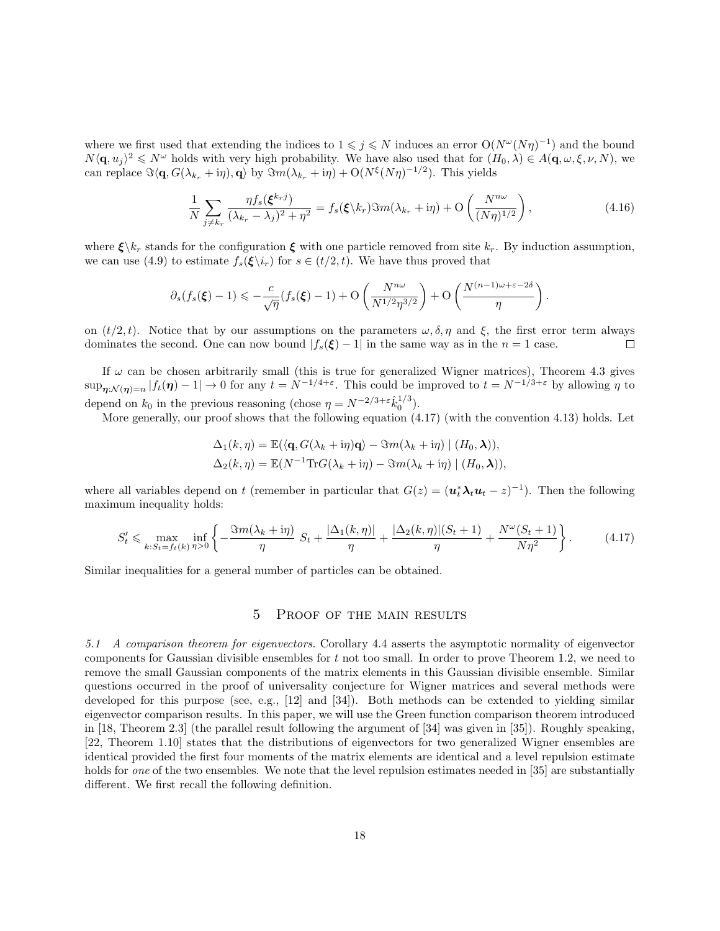where we first used that extending the indices to  $1 \leq j \leq N$  induces an error  $O(N^{\omega}(N\eta)^{-1})$  and the bound  $N\langle \mathbf{q}, u_j \rangle^2 \leq N^{\omega}$  holds with very high probability. We have also used that for  $(H_0, \lambda) \in A(\mathbf{q}, \omega, \xi, \nu, N)$ , we can replace  $\Im\langle \mathbf{q}, G(\lambda_{k_r}+i\eta), \mathbf{q} \rangle$  by  $\Im m(\lambda_{k_r}+i\eta) + O(N^{\xi}(N\eta)^{-1/2})$ . This yields

$$
\frac{1}{N} \sum_{j \neq k_r} \frac{\eta f_s(\boldsymbol{\xi}^{k_r j})}{(\lambda_{k_r} - \lambda_j)^2 + \eta^2} = f_s(\boldsymbol{\xi} \setminus k_r) \Im m(\lambda_{k_r} + \mathrm{i}\eta) + \mathrm{O}\left(\frac{N^{n\omega}}{(N\eta)^{1/2}}\right),\tag{4.16}
$$

where  $\xi \backslash k_r$  stands for the configuration  $\xi$  with one particle removed from site  $k_r$ . By induction assumption, we can use (4.9) to estimate  $f_s(\xi\backslash i_r)$  for  $s \in (t/2, t)$ . We have thus proved that

$$
\partial_s(f_s(\boldsymbol{\xi})-1) \leq -\frac{c}{\sqrt{\eta}}(f_s(\boldsymbol{\xi})-1) + \mathcal{O}\left(\frac{N^{n\omega}}{N^{1/2}\eta^{3/2}}\right) + \mathcal{O}\left(\frac{N^{(n-1)\omega+\varepsilon-2\delta}}{\eta}\right).
$$

on  $(t/2, t)$ . Notice that by our assumptions on the parameters  $\omega, \delta, \eta$  and  $\xi$ , the first error term always dominates the second. One can now bound  $|f_s(\xi) - 1|$  in the same way as in the  $n = 1$  case.  $\Box$ 

If  $\omega$  can be chosen arbitrarily small (this is true for generalized Wigner matrices), Theorem 4.3 gives  $\sup_{\eta:\mathcal{N}(\eta)=n}|f_t(\eta)-1|\to 0$  for any  $t=N^{-1/4+\varepsilon}$ . This could be improved to  $t=N^{-1/3+\varepsilon}$  by allowing  $\eta$  to depend on  $k_0$  in the previous reasoning (chose  $\eta = N^{-2/3 + \epsilon} \hat{k}_0^{1/3}$ ).

More generally, our proof shows that the following equation  $(4.17)$  (with the convention 4.13) holds. Let

$$
\Delta_1(k,\eta) = \mathbb{E}(\langle \mathbf{q}, G(\lambda_k + \mathrm{i}\eta)\mathbf{q}\rangle - \Im m(\lambda_k + \mathrm{i}\eta) \mid (H_0, \lambda)),
$$
  

$$
\Delta_2(k,\eta) = \mathbb{E}(N^{-1}\mathrm{Tr}G(\lambda_k + \mathrm{i}\eta) - \Im m(\lambda_k + \mathrm{i}\eta) \mid (H_0, \lambda)),
$$

where all variables depend on t (remember in particular that  $G(z) = (u_t^* \lambda_t u_t - z)^{-1}$ ). Then the following maximum inequality holds:

$$
S'_{t} \leq \max_{k:S_{t}=f_{t}(k)} \inf_{\eta>0} \left\{ -\frac{\Im m(\lambda_{k}+{\rm i}\eta)}{\eta} S_{t} + \frac{|\Delta_{1}(k,\eta)|}{\eta} + \frac{|\Delta_{2}(k,\eta)|(S_{t}+1)}{\eta} + \frac{N^{\omega}(S_{t}+1)}{N\eta^{2}} \right\}.
$$
 (4.17)

Similar inequalities for a general number of particles can be obtained.

#### 5 Proof of the main results

5.1 A comparison theorem for eigenvectors. Corollary 4.4 asserts the asymptotic normality of eigenvector components for Gaussian divisible ensembles for t not too small. In order to prove Theorem 1.2, we need to remove the small Gaussian components of the matrix elements in this Gaussian divisible ensemble. Similar questions occurred in the proof of universality conjecture for Wigner matrices and several methods were developed for this purpose (see, e.g., [12] and [34]). Both methods can be extended to yielding similar eigenvector comparison results. In this paper, we will use the Green function comparison theorem introduced in [18, Theorem 2.3] (the parallel result following the argument of [34] was given in [35]). Roughly speaking, [22, Theorem 1.10] states that the distributions of eigenvectors for two generalized Wigner ensembles are identical provided the first four moments of the matrix elements are identical and a level repulsion estimate holds for one of the two ensembles. We note that the level repulsion estimates needed in [35] are substantially different. We first recall the following definition.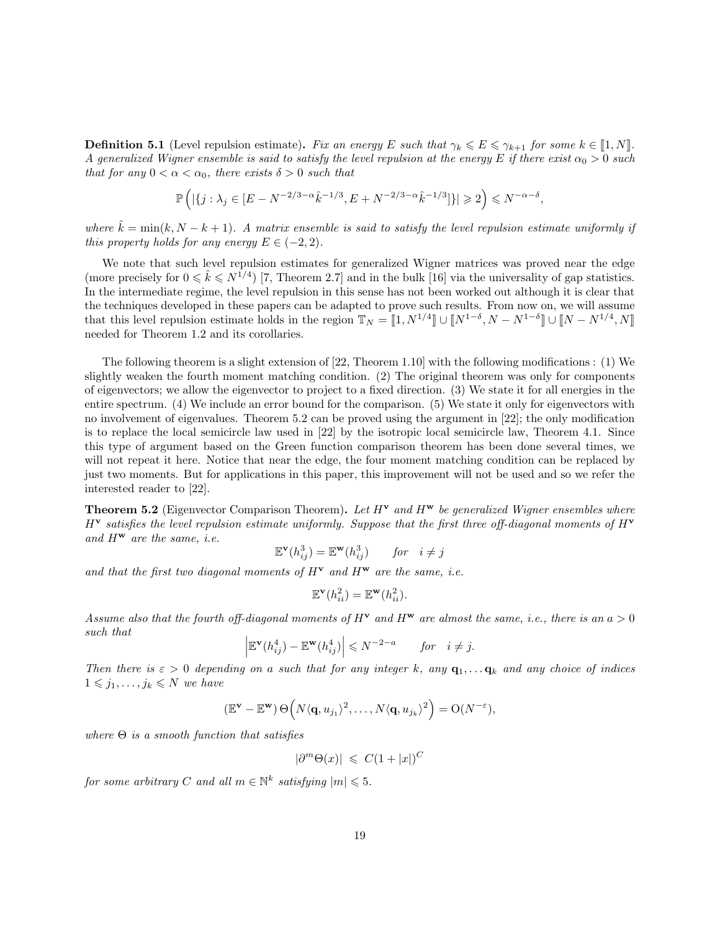**Definition 5.1** (Level repulsion estimate). Fix an energy E such that  $\gamma_k \leq E \leq \gamma_{k+1}$  for some  $k \in [\![1,N]\!]$ . A generalized Wigner ensemble is said to satisfy the level repulsion at the energy E if there exist  $\alpha_0 > 0$  such that for any  $0 < \alpha < \alpha_0$ , there exists  $\delta > 0$  such that

$$
\mathbb{P}\left(|\{j:\lambda_j\in [E-N^{-2/3-\alpha}\hat{k}^{-1/3},E+N^{-2/3-\alpha}\hat{k}^{-1/3}]\}|\geqslant 2\right)\leqslant N^{-\alpha-\delta},
$$

where  $\hat{k} = \min(k, N - k + 1)$ . A matrix ensemble is said to satisfy the level repulsion estimate uniformly if this property holds for any energy  $E \in (-2, 2)$ .

We note that such level repulsion estimates for generalized Wigner matrices was proved near the edge (more precisely for  $0 \leq k \leq N^{1/4}$ ) [7, Theorem 2.7] and in the bulk [16] via the universality of gap statistics. In the intermediate regime, the level repulsion in this sense has not been worked out although it is clear that the techniques developed in these papers can be adapted to prove such results. From now on, we will assume that this level repulsion estimate holds in the region  $\mathbb{T}_N = [1, N^{1/4}] \cup [N^{1-\delta}, N - N^{1-\delta}] \cup [N - N^{1/4}, N]$ needed for Theorem 1.2 and its corollaries.

The following theorem is a slight extension of [22, Theorem 1.10] with the following modifications : (1) We slightly weaken the fourth moment matching condition. (2) The original theorem was only for components of eigenvectors; we allow the eigenvector to project to a fixed direction. (3) We state it for all energies in the entire spectrum. (4) We include an error bound for the comparison. (5) We state it only for eigenvectors with no involvement of eigenvalues. Theorem 5.2 can be proved using the argument in [22]; the only modification is to replace the local semicircle law used in [22] by the isotropic local semicircle law, Theorem 4.1. Since this type of argument based on the Green function comparison theorem has been done several times, we will not repeat it here. Notice that near the edge, the four moment matching condition can be replaced by just two moments. But for applications in this paper, this improvement will not be used and so we refer the interested reader to [22].

**Theorem 5.2** (Eigenvector Comparison Theorem). Let  $H<sup>v</sup>$  and  $H<sup>w</sup>$  be generalized Wigner ensembles where  $H^{\mathbf{v}}$  satisfies the level repulsion estimate uniformly. Suppose that the first three off-diagonal moments of  $H^{\mathbf{v}}$ and  $H^{\mathbf{w}}$  are the same, i.e.

$$
\mathbb{E}^{\mathbf{v}}(h_{ij}^3) = \mathbb{E}^{\mathbf{w}}(h_{ij}^3) \quad for \quad i \neq j
$$

and that the first two diagonal moments of  $H^{\mathbf{v}}$  and  $H^{\mathbf{w}}$  are the same, i.e.

$$
\mathbb{E}^{\mathbf{v}}(h_{ii}^2) = \mathbb{E}^{\mathbf{w}}(h_{ii}^2).
$$

Assume also that the fourth off-diagonal moments of  $H^{\mathbf{v}}$  and  $H^{\mathbf{w}}$  are almost the same, i.e., there is an  $a > 0$ such that

$$
\left| \mathbb{E}^{\mathbf{v}}(h_{ij}^4) - \mathbb{E}^{\mathbf{w}}(h_{ij}^4) \right| \leq N^{-2-a} \quad for \quad i \neq j.
$$

Then there is  $\varepsilon > 0$  depending on a such that for any integer k, any  $\mathbf{q}_1, \ldots, \mathbf{q}_k$  and any choice of indices  $1 \leqslant j_1, \ldots, j_k \leqslant N$  we have

$$
(\mathbb{E}^{\mathbf{v}} - \mathbb{E}^{\mathbf{w}}) \Theta\Big(N\langle \mathbf{q}, u_{j_1}\rangle^2, \ldots, N\langle \mathbf{q}, u_{j_k}\rangle^2\Big) = O(N^{-\varepsilon}),
$$

where  $\Theta$  is a smooth function that satisfies

$$
|\partial^m \Theta(x)| \leqslant C(1+|x|)^C
$$

for some arbitrary C and all  $m \in \mathbb{N}^k$  satisfying  $|m| \leqslant 5$ .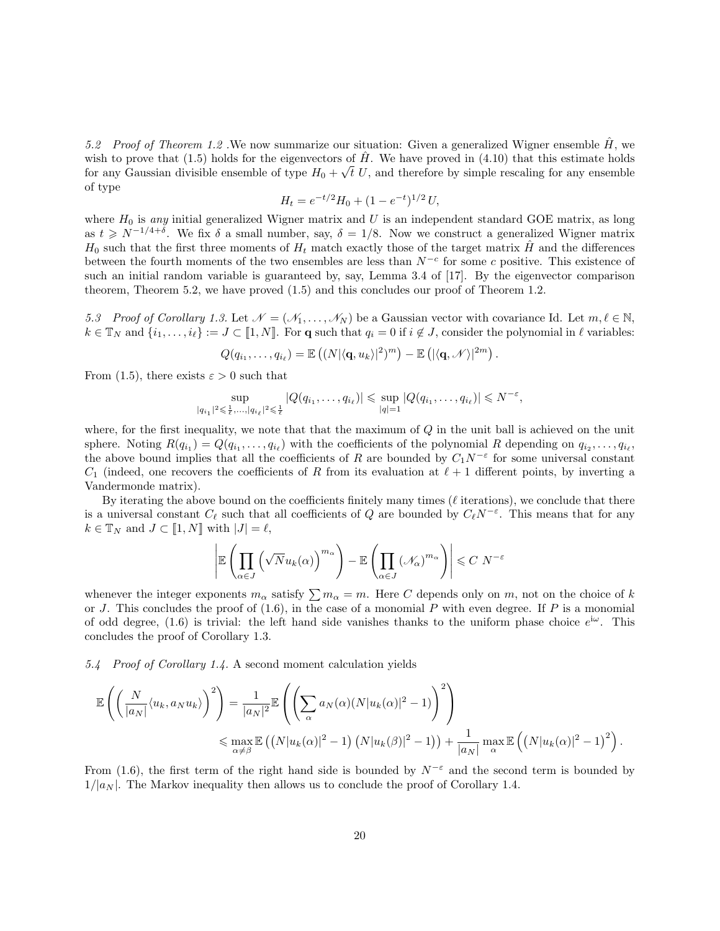5.2 Proof of Theorem 1.2 . We now summarize our situation: Given a generalized Wigner ensemble  $\hat{H}$ , we wish to prove that (1.5) holds for the eigenvectors of  $\hat{H}$ . We have proved in (4.10) that this estimate holds for any Gaussian divisible ensemble of type  $H_0 + \sqrt{t} U$ , and therefore by simple rescaling for any ensemble of type

$$
H_t = e^{-t/2} H_0 + (1 - e^{-t})^{1/2} U,
$$

where  $H_0$  is any initial generalized Wigner matrix and U is an independent standard GOE matrix, as long as  $t \geq N^{-1/4+\delta}$ . We fix  $\delta$  a small number, say,  $\delta = 1/8$ . Now we construct a generalized Wigner matrix  $H_0$  such that the first three moments of  $H_t$  match exactly those of the target matrix  $\hat{H}$  and the differences between the fourth moments of the two ensembles are less than  $N^{-c}$  for some c positive. This existence of such an initial random variable is guaranteed by, say, Lemma 3.4 of [17]. By the eigenvector comparison theorem, Theorem 5.2, we have proved (1.5) and this concludes our proof of Theorem 1.2.

5.3 Proof of Corollary 1.3. Let  $\mathcal{N} = (\mathcal{N}_1, \ldots, \mathcal{N}_N)$  be a Gaussian vector with covariance Id. Let  $m, \ell \in \mathbb{N}$ ,  $k \in \mathbb{T}_N$  and  $\{i_1, \ldots, i_\ell\} := J \subset [\![1, N]\!]$ . For q such that  $q_i = 0$  if  $i \notin J$ , consider the polynomial in  $\ell$  variables:

$$
Q(q_{i_1},\ldots,q_{i_\ell})=\mathbb{E}\left((N|\langle \mathbf{q},u_k\rangle|^2)^m\right)-\mathbb{E}\left(|\langle \mathbf{q},\mathcal{N}\rangle|^{2m}\right).
$$

From (1.5), there exists  $\varepsilon > 0$  such that

$$
\sup_{|q_{i_1}|^2 \leq \frac{1}{\ell}, \dots, |q_{i_\ell}|^2 \leq \frac{1}{\ell}} |Q(q_{i_1}, \dots, q_{i_\ell})| \leq \sup_{|q|=1} |Q(q_{i_1}, \dots, q_{i_\ell})| \leq N^{-\varepsilon},
$$

where, for the first inequality, we note that that the maximum of  $Q$  in the unit ball is achieved on the unit sphere. Noting  $R(q_{i_1}) = Q(q_{i_1},..., q_{i_\ell})$  with the coefficients of the polynomial R depending on  $q_{i_2},..., q_{i_\ell}$ , the above bound implies that all the coefficients of R are bounded by  $C_1 N^{-\varepsilon}$  for some universal constant  $C_1$  (indeed, one recovers the coefficients of R from its evaluation at  $\ell+1$  different points, by inverting a Vandermonde matrix).

By iterating the above bound on the coefficients finitely many times ( $\ell$  iterations), we conclude that there is a universal constant  $C_{\ell}$  such that all coefficients of Q are bounded by  $C_{\ell}N^{-\epsilon}$ . This means that for any  $k \in \mathbb{T}_N$  and  $J \subset [\![1,N]\!]$  with  $|J| = \ell$ ,

$$
\left| \mathbb{E} \left( \prod_{\alpha \in J} \left( \sqrt{N} u_k(\alpha) \right)^{m_\alpha} \right) - \mathbb{E} \left( \prod_{\alpha \in J} \left( \mathcal{N}_\alpha \right)^{m_\alpha} \right) \right| \leqslant C N^{-\varepsilon}
$$

whenever the integer exponents  $m_{\alpha}$  satisfy  $\sum m_{\alpha} = m$ . Here C depends only on m, not on the choice of k or J. This concludes the proof of  $(1.6)$ , in the case of a monomial P with even degree. If P is a monomial of odd degree, (1.6) is trivial: the left hand side vanishes thanks to the uniform phase choice  $e^{i\omega}$ . This concludes the proof of Corollary 1.3.

5.4 Proof of Corollary 1.4. A second moment calculation yields

$$
\mathbb{E}\left(\left(\frac{N}{|a_N|}\langle u_k, a_N u_k \rangle\right)^2\right) = \frac{1}{|a_N|^2} \mathbb{E}\left(\left(\sum_{\alpha} a_N(\alpha) (N|u_k(\alpha)|^2 - 1)\right)^2\right)
$$
  

$$
\leq \max_{\alpha \neq \beta} \mathbb{E}\left((N|u_k(\alpha)|^2 - 1) (N|u_k(\beta)|^2 - 1)\right) + \frac{1}{|a_N|} \max_{\alpha} \mathbb{E}\left((N|u_k(\alpha)|^2 - 1)^2\right).
$$

From (1.6), the first term of the right hand side is bounded by  $N^{-\epsilon}$  and the second term is bounded by  $1/|a_N|$ . The Markov inequality then allows us to conclude the proof of Corollary 1.4.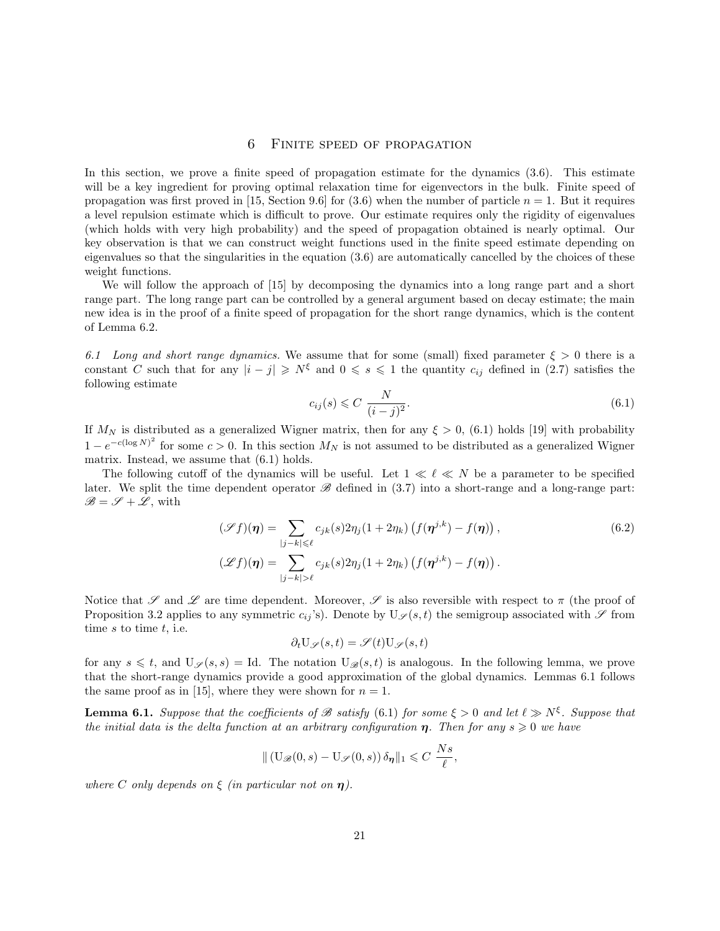#### 6 Finite speed of propagation

In this section, we prove a finite speed of propagation estimate for the dynamics (3.6). This estimate will be a key ingredient for proving optimal relaxation time for eigenvectors in the bulk. Finite speed of propagation was first proved in [15, Section 9.6] for  $(3.6)$  when the number of particle  $n = 1$ . But it requires a level repulsion estimate which is difficult to prove. Our estimate requires only the rigidity of eigenvalues (which holds with very high probability) and the speed of propagation obtained is nearly optimal. Our key observation is that we can construct weight functions used in the finite speed estimate depending on eigenvalues so that the singularities in the equation (3.6) are automatically cancelled by the choices of these weight functions.

We will follow the approach of [15] by decomposing the dynamics into a long range part and a short range part. The long range part can be controlled by a general argument based on decay estimate; the main new idea is in the proof of a finite speed of propagation for the short range dynamics, which is the content of Lemma 6.2.

6.1 Long and short range dynamics. We assume that for some (small) fixed parameter  $\xi > 0$  there is a constant C such that for any  $|i - j| \geq N^{\xi}$  and  $0 \leq s \leq 1$  the quantity  $c_{ij}$  defined in (2.7) satisfies the following estimate

$$
c_{ij}(s) \leq C \frac{N}{(i-j)^2}.
$$
\n
$$
(6.1)
$$

If  $M_N$  is distributed as a generalized Wigner matrix, then for any  $\xi > 0$ , (6.1) holds [19] with probability  $1 - e^{-c(\log N)^2}$  for some  $c > 0$ . In this section  $M_N$  is not assumed to be distributed as a generalized Wigner matrix. Instead, we assume that (6.1) holds.

The following cutoff of the dynamics will be useful. Let  $1 \ll \ell \ll N$  be a parameter to be specified later. We split the time dependent operator  $\mathscr{B}$  defined in (3.7) into a short-range and a long-range part:  $\mathscr{B} = \mathscr{S} + \mathscr{L}$ , with

$$
(\mathscr{S}f)(\boldsymbol{\eta}) = \sum_{|j-k| \leq \ell} c_{jk}(s) 2\eta_j (1 + 2\eta_k) \left( f(\boldsymbol{\eta}^{j,k}) - f(\boldsymbol{\eta}) \right),
$$
\n
$$
(\mathscr{S}f)(\boldsymbol{\eta}) = \sum_{|j-k| > \ell} c_{jk}(s) 2\eta_j (1 + 2\eta_k) \left( f(\boldsymbol{\eta}^{j,k}) - f(\boldsymbol{\eta}) \right).
$$
\n(6.2)

Notice that  $\mathscr S$  and  $\mathscr L$  are time dependent. Moreover,  $\mathscr S$  is also reversible with respect to  $\pi$  (the proof of Proposition 3.2 applies to any symmetric  $c_{ij}$ 's). Denote by  $U_{\mathscr{S}}(s,t)$  the semigroup associated with  $\mathscr{S}$  from time  $s$  to time  $t$ , i.e.

$$
\partial_t \mathbf{U}_{\mathscr{S}}(s,t) = \mathscr{S}(t) \mathbf{U}_{\mathscr{S}}(s,t)
$$

for any  $s \leq t$ , and  $U_{\mathscr{S}}(s, s) = Id$ . The notation  $U_{\mathscr{B}}(s, t)$  is analogous. In the following lemma, we prove that the short-range dynamics provide a good approximation of the global dynamics. Lemmas 6.1 follows the same proof as in [15], where they were shown for  $n = 1$ .

**Lemma 6.1.** Suppose that the coefficients of  $\mathscr B$  satisfy (6.1) for some  $\xi > 0$  and let  $\ell \gg N^{\xi}$ . Suppose that the initial data is the delta function at an arbitrary configuration  $\eta$ . Then for any  $s \geqslant 0$  we have

$$
\| \left( \mathrm{U}_{\mathscr{B}}(0,s) - \mathrm{U}_{\mathscr{S}}(0,s) \right) \delta_{\eta} \|_{1} \leqslant C \frac{Ns}{\ell},
$$

where C only depends on  $\xi$  (in particular not on  $\eta$ ).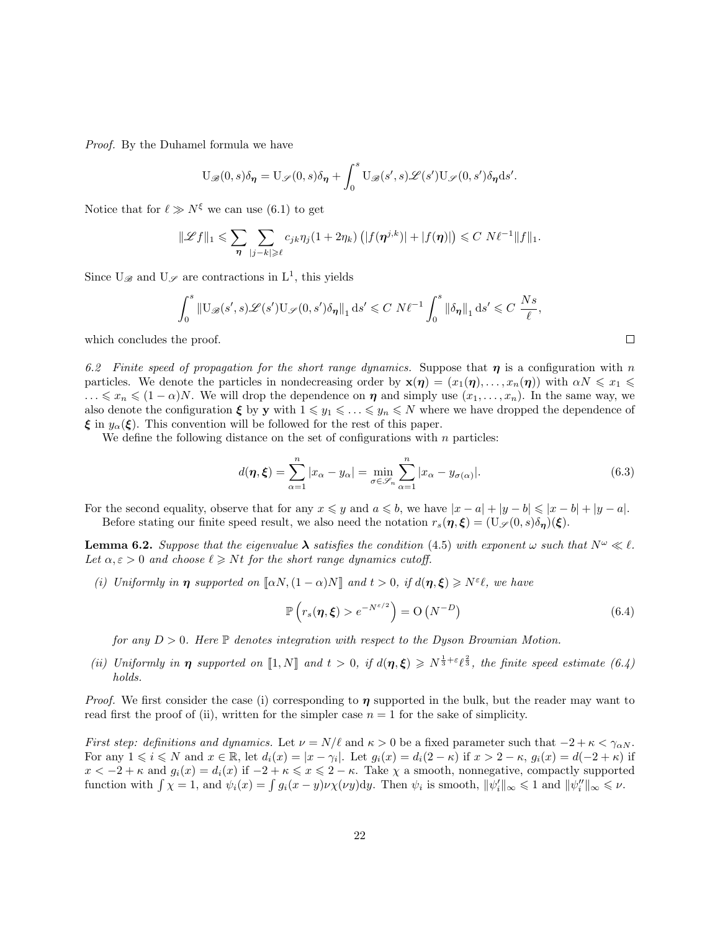Proof. By the Duhamel formula we have

$$
U_{\mathscr{B}}(0,s)\delta_{\eta} = U_{\mathscr{S}}(0,s)\delta_{\eta} + \int_0^s U_{\mathscr{B}}(s',s)\mathscr{L}(s')U_{\mathscr{S}}(0,s')\delta_{\eta}ds'.
$$

Notice that for  $\ell \gg N^{\xi}$  we can use (6.1) to get

$$
\|\mathscr{L}f\|_1 \leqslant \sum_{\eta} \sum_{|j-k| \geqslant \ell} c_{jk} \eta_j(1+2\eta_k) \left( |f(\eta^{j,k})|+|f(\eta)| \right) \leqslant C N \ell^{-1} \|f\|_1.
$$

Since  $U_{\mathscr{B}}$  and  $U_{\mathscr{S}}$  are contractions in  $L^1$ , this yields

$$
\int_0^s \|\mathbf{U}_{\mathscr{B}}(s',s)\mathscr{L}(s')\mathbf{U}_{\mathscr{S}}(0,s')\delta_{\pmb{\eta}}\|_1 ds' \leqslant C\ N\ell^{-1} \int_0^s \|\delta_{\pmb{\eta}}\|_1 ds' \leqslant C\ \frac{Ns}{\ell},
$$

which concludes the proof.

6.2 Finite speed of propagation for the short range dynamics. Suppose that  $\eta$  is a configuration with n particles. We denote the particles in nondecreasing order by  $\mathbf{x}(\eta) = (x_1(\eta), \dots, x_n(\eta))$  with  $\alpha N \leq x_1 \leq$  $\ldots \leqslant x_n \leqslant (1-\alpha)N$ . We will drop the dependence on  $\eta$  and simply use  $(x_1, \ldots, x_n)$ . In the same way, we also denote the configuration  $\xi$  by y with  $1 \leq y_1 \leq \ldots \leq y_n \leq N$  where we have dropped the dependence of  $\xi$  in  $y_\alpha(\xi)$ . This convention will be followed for the rest of this paper.

We define the following distance on the set of configurations with  $n$  particles:

$$
d(\boldsymbol{\eta}, \boldsymbol{\xi}) = \sum_{\alpha=1}^{n} |x_{\alpha} - y_{\alpha}| = \min_{\sigma \in \mathscr{S}_n} \sum_{\alpha=1}^{n} |x_{\alpha} - y_{\sigma(\alpha)}|.
$$
 (6.3)

For the second equality, observe that for any  $x \leq y$  and  $a \leq b$ , we have  $|x - a| + |y - b| \leq |x - b| + |y - a|$ . Before stating our finite speed result, we also need the notation  $r_s(\eta, \xi) = (\mathbf{U}_{\mathscr{S}}(0, s)\delta_{\eta})(\xi)$ .

**Lemma 6.2.** Suppose that the eigenvalue  $\lambda$  satisfies the condition (4.5) with exponent  $\omega$  such that  $N^{\omega} \ll l$ . Let  $\alpha, \varepsilon > 0$  and choose  $\ell \geq Nt$  for the short range dynamics cutoff.

(i) Uniformly in  $\eta$  supported on  $\llbracket \alpha N, (1-\alpha)N \rrbracket$  and  $t > 0$ , if  $d(\eta, \xi) \ge N^{\epsilon} \ell$ , we have

$$
\mathbb{P}\left(r_s(\boldsymbol{\eta},\boldsymbol{\xi}) > e^{-N^{\varepsilon/2}}\right) = \mathcal{O}\left(N^{-D}\right) \tag{6.4}
$$

for any  $D > 0$ . Here  $\mathbb P$  denotes integration with respect to the Dyson Brownian Motion.

(ii) Uniformly in  $\eta$  supported on [1, N] and  $t > 0$ , if  $d(\eta, \xi) \geq N^{\frac{1}{3} + \varepsilon} \ell^{\frac{2}{3}}$ , the finite speed estimate (6.4) holds.

*Proof.* We first consider the case (i) corresponding to  $\eta$  supported in the bulk, but the reader may want to read first the proof of (ii), written for the simpler case  $n = 1$  for the sake of simplicity.

First step: definitions and dynamics. Let  $\nu = N/\ell$  and  $\kappa > 0$  be a fixed parameter such that  $-2 + \kappa < \gamma_{\alpha N}$ . For any  $1 \leq i \leq N$  and  $x \in \mathbb{R}$ , let  $d_i(x) = |x - \gamma_i|$ . Let  $g_i(x) = d_i(2 - \kappa)$  if  $x > 2 - \kappa$ ,  $g_i(x) = d(-2 + \kappa)$  if  $x < -2 + \kappa$  and  $g_i(x) = d_i(x)$  if  $-2 + \kappa \leq x \leq 2 - \kappa$ . Take  $\chi$  a smooth, nonnegative, compactly supported function with  $\int \chi = 1$ , and  $\psi_i(x) = \int g_i(x - y) \nu \chi(\nu y) dy$ . Then  $\psi_i$  is smooth,  $\|\psi_i'\|_{\infty} \leq 1$  and  $\|\psi_i''\|_{\infty} \leq \nu$ .

$$
\Box
$$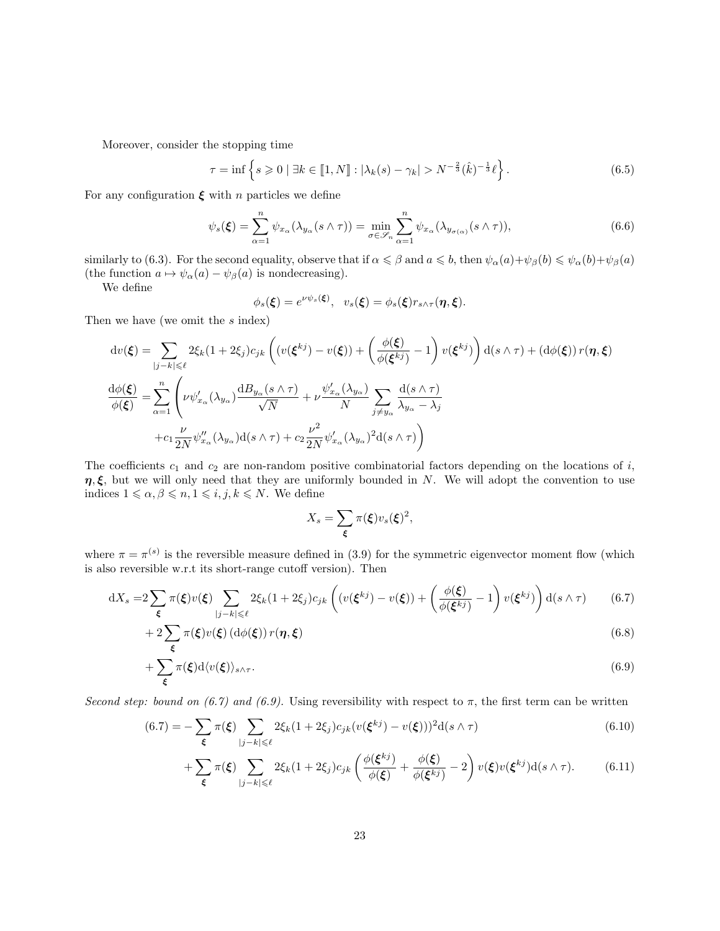Moreover, consider the stopping time

$$
\tau = \inf \left\{ s \geq 0 \mid \exists k \in [1, N] : |\lambda_k(s) - \gamma_k| > N^{-\frac{2}{3}}(\hat{k})^{-\frac{1}{3}} \ell \right\}.
$$
 (6.5)

For any configuration  $\xi$  with n particles we define

$$
\psi_s(\boldsymbol{\xi}) = \sum_{\alpha=1}^n \psi_{x_\alpha}(\lambda_{y_\alpha}(s \wedge \tau)) = \min_{\sigma \in \mathscr{S}_n} \sum_{\alpha=1}^n \psi_{x_\alpha}(\lambda_{y_{\sigma(\alpha)}}(s \wedge \tau)), \tag{6.6}
$$

similarly to (6.3). For the second equality, observe that if  $\alpha \leq \beta$  and  $a \leq b$ , then  $\psi_{\alpha}(a) + \psi_{\beta}(b) \leq \psi_{\alpha}(b) + \psi_{\beta}(a)$ (the function  $a \mapsto \psi_\alpha(a) - \psi_\beta(a)$  is nondecreasing).

We define

$$
\phi_s(\boldsymbol{\xi})=e^{\nu\psi_s(\boldsymbol{\xi})},\ \ v_s(\boldsymbol{\xi})=\phi_s(\boldsymbol{\xi})r_{s\wedge\tau}(\boldsymbol{\eta},\boldsymbol{\xi}).
$$

Then we have (we omit the s index)

$$
dv(\xi) = \sum_{|j-k| \leq \ell} 2\xi_k (1 + 2\xi_j) c_{jk} \left( (v(\xi^{kj}) - v(\xi)) + \left( \frac{\phi(\xi)}{\phi(\xi^{kj})} - 1 \right) v(\xi^{kj}) \right) d(s \wedge \tau) + (d\phi(\xi)) r(\eta, \xi)
$$
  

$$
\frac{d\phi(\xi)}{\phi(\xi)} = \sum_{\alpha=1}^n \left( \nu \psi'_{x_\alpha} (\lambda_{y_\alpha}) \frac{dB_{y_\alpha}(s \wedge \tau)}{\sqrt{N}} + \nu \frac{\psi'_{x_\alpha}(\lambda_{y_\alpha})}{N} \sum_{j \neq y_\alpha} \frac{d(s \wedge \tau)}{\lambda_{y_\alpha} - \lambda_j}
$$
  

$$
+ c_1 \frac{\nu}{2N} \psi''_{x_\alpha} (\lambda_{y_\alpha}) d(s \wedge \tau) + c_2 \frac{\nu^2}{2N} \psi'_{x_\alpha} (\lambda_{y_\alpha})^2 d(s \wedge \tau) \right)
$$

The coefficients  $c_1$  and  $c_2$  are non-random positive combinatorial factors depending on the locations of i,  $\eta, \xi$ , but we will only need that they are uniformly bounded in N. We will adopt the convention to use indices  $1 \leq \alpha, \beta \leq n, 1 \leq i, j, k \leq N$ . We define

$$
X_s = \sum_{\xi} \pi(\xi) v_s(\xi)^2,
$$

where  $\pi = \pi^{(s)}$  is the reversible measure defined in (3.9) for the symmetric eigenvector moment flow (which is also reversible w.r.t its short-range cutoff version). Then

$$
dX_s = 2\sum_{\xi} \pi(\xi)v(\xi) \sum_{|j-k| \leq \ell} 2\xi_k(1+2\xi_j)c_{jk} \left( (v(\xi^{kj}) - v(\xi)) + \left(\frac{\phi(\xi)}{\phi(\xi^{kj})} - 1\right)v(\xi^{kj}) \right) d(s \wedge \tau) \tag{6.7}
$$

$$
+ 2\sum_{\xi} \pi(\xi)v(\xi) \left(\mathrm{d}\phi(\xi)\right) r(\eta, \xi) \tag{6.8}
$$

$$
+\sum_{\xi} \pi(\xi) d\langle v(\xi) \rangle_{s \wedge \tau}.\tag{6.9}
$$

Second step: bound on (6.7) and (6.9). Using reversibility with respect to  $\pi$ , the first term can be written

$$
(6.7) = -\sum_{\xi} \pi(\xi) \sum_{|j-k| \leq \ell} 2\xi_k (1 + 2\xi_j) c_{jk} (v(\xi^{kj}) - v(\xi)))^2 d(s \wedge \tau)
$$
(6.10)

$$
+\sum_{\xi} \pi(\xi) \sum_{|j-k| \leq \ell} 2\xi_k (1+2\xi_j) c_{jk} \left( \frac{\phi(\xi^{kj})}{\phi(\xi)} + \frac{\phi(\xi)}{\phi(\xi^{kj})} - 2 \right) v(\xi) v(\xi^{kj}) d(s \wedge \tau). \tag{6.11}
$$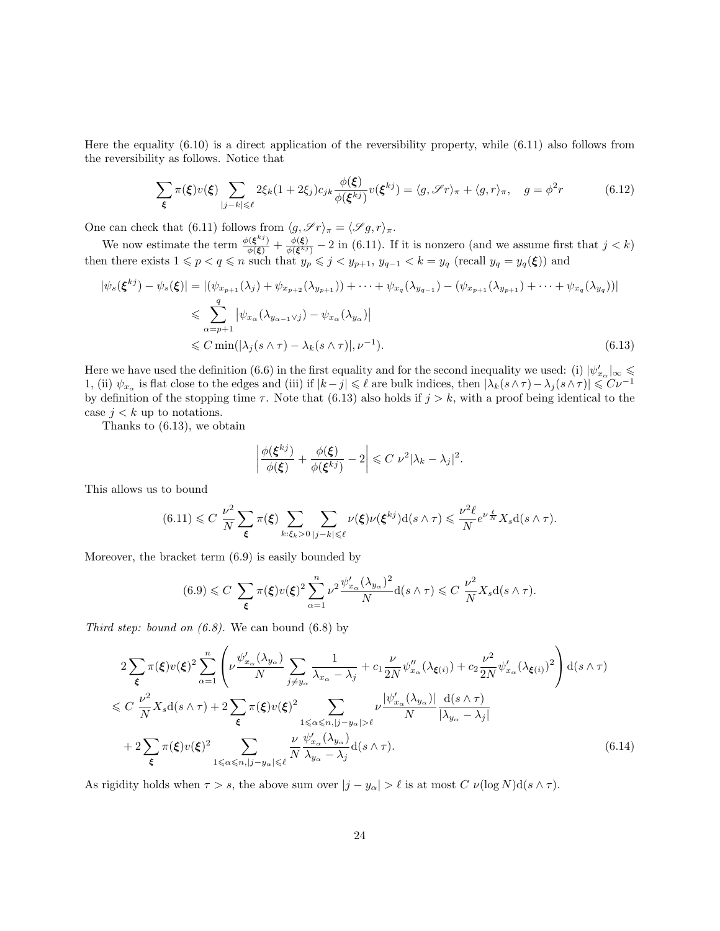Here the equality (6.10) is a direct application of the reversibility property, while (6.11) also follows from the reversibility as follows. Notice that

$$
\sum_{\xi} \pi(\xi) v(\xi) \sum_{|j-k| \leq \ell} 2\xi_k (1 + 2\xi_j) c_{jk} \frac{\phi(\xi)}{\phi(\xi^{kj})} v(\xi^{kj}) = \langle g, \mathcal{S}r \rangle_{\pi} + \langle g, r \rangle_{\pi}, \quad g = \phi^2 r \tag{6.12}
$$

One can check that (6.11) follows from  $\langle g, \mathscr{S}r \rangle_{\pi} = \langle \mathscr{S}g, r \rangle_{\pi}$ .

We now estimate the term  $\frac{\phi(\xi^{kj})}{\phi(\xi)} + \frac{\phi(\xi)}{\phi(\xi^{kj})} - 2$  in (6.11). If it is nonzero (and we assume first that  $j < k$ ) then there exists  $1 \leq p < q \leq n$  such that  $y_p \leq j < y_{p+1}$ ,  $y_{q-1} < k = y_q$  (recall  $y_q = y_q(\xi)$ ) and

$$
|\psi_s(\xi^{kj}) - \psi_s(\xi)| = |(\psi_{x_{p+1}}(\lambda_j) + \psi_{x_{p+2}}(\lambda_{y_{p+1}})) + \dots + \psi_{x_q}(\lambda_{y_{q-1}}) - (\psi_{x_{p+1}}(\lambda_{y_{p+1}}) + \dots + \psi_{x_q}(\lambda_{y_q}))|
$$
  
\n
$$
\leq \sum_{\alpha=p+1}^q |\psi_{x_\alpha}(\lambda_{y_{\alpha-1}\vee j}) - \psi_{x_\alpha}(\lambda_{y_\alpha})|
$$
  
\n
$$
\leq C \min(|\lambda_j(s \wedge \tau) - \lambda_k(s \wedge \tau)|, \nu^{-1}).
$$
\n(6.13)

Here we have used the definition (6.6) in the first equality and for the second inequality we used: (i)  $|\psi'_{x_\alpha}|_{\infty} \leq$ 1, (ii)  $\psi_{x_\alpha}$  is flat close to the edges and (iii) if  $|k-j| \leq \ell$  are bulk indices, then  $|\lambda_k(s \wedge \tau) - \lambda_j(s \wedge \tau)| \leq C \nu^{-1}$ by definition of the stopping time  $\tau$ . Note that (6.13) also holds if  $j > k$ , with a proof being identical to the case  $j < k$  up to notations.

Thanks to (6.13), we obtain

$$
\left|\frac{\phi(\xi^{kj})}{\phi(\xi)}+\frac{\phi(\xi)}{\phi(\xi^{kj})}-2\right|\leqslant C\ \nu^2|\lambda_k-\lambda_j|^2.
$$

This allows us to bound

$$
(6.11) \leq C \frac{\nu^2}{N} \sum_{\xi} \pi(\xi) \sum_{k:\xi_k>0} \sum_{|j-k|\leq \ell} \nu(\xi) \nu(\xi^{kj}) d(s \wedge \tau) \leq \frac{\nu^2 \ell}{N} e^{\nu \frac{\ell}{N}} X_s d(s \wedge \tau).
$$

Moreover, the bracket term (6.9) is easily bounded by

$$
(6.9) \leq C \sum_{\xi} \pi(\xi) v(\xi)^2 \sum_{\alpha=1}^n \nu^2 \frac{\psi_{x_\alpha}'(\lambda_{y_\alpha})^2}{N} d(s \wedge \tau) \leq C \frac{\nu^2}{N} X_s d(s \wedge \tau).
$$

Third step: bound on  $(6.8)$ . We can bound  $(6.8)$  by

$$
2\sum_{\xi} \pi(\xi)v(\xi)^{2} \sum_{\alpha=1}^{n} \left( \nu \frac{\psi_{x_{\alpha}}'(\lambda_{y_{\alpha}})}{N} \sum_{j \neq y_{\alpha}} \frac{1}{\lambda_{x_{\alpha}} - \lambda_{j}} + c_{1} \frac{\nu}{2N} \psi_{x_{\alpha}}''(\lambda_{\xi(i)}) + c_{2} \frac{\nu^{2}}{2N} \psi_{x_{\alpha}}'(\lambda_{\xi(i)})^{2} \right) d(s \wedge \tau)
$$
  
\n
$$
\leq C \frac{\nu^{2}}{N} X_{s} d(s \wedge \tau) + 2 \sum_{\xi} \pi(\xi)v(\xi)^{2} \sum_{1 \leq \alpha \leq n, |j - y_{\alpha}| > \ell} \nu \frac{|\psi_{x_{\alpha}}'(\lambda_{y_{\alpha}})|}{N} \frac{d(s \wedge \tau)}{|\lambda_{y_{\alpha}} - \lambda_{j}|}
$$
  
\n
$$
+ 2 \sum_{\xi} \pi(\xi)v(\xi)^{2} \sum_{1 \leq \alpha \leq n, |j - y_{\alpha}| \leq \ell} \frac{\nu}{N} \frac{\psi_{x_{\alpha}}'(\lambda_{y_{\alpha}})}{\lambda_{y_{\alpha}} - \lambda_{j}} d(s \wedge \tau).
$$
 (6.14)

As rigidity holds when  $\tau > s$ , the above sum over  $|j - y_\alpha| > \ell$  is at most  $C \nu(\log N) d(s \wedge \tau)$ .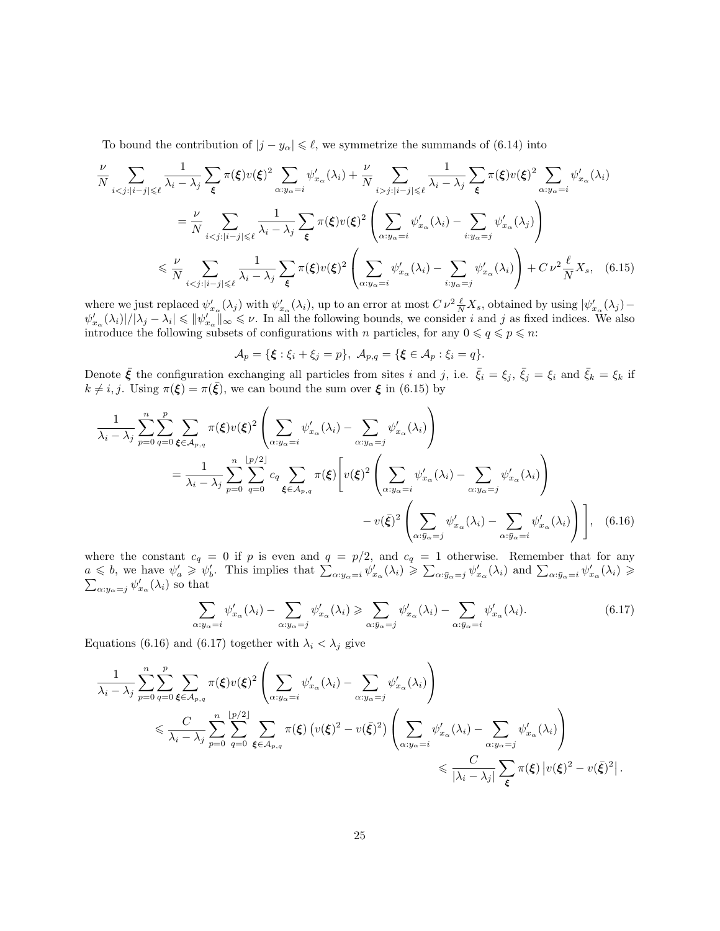To bound the contribution of  $|j - y_\alpha| \leq \ell$ , we symmetrize the summands of (6.14) into

$$
\frac{\nu}{N} \sum_{i < j : |i - j| \leqslant \ell} \frac{1}{\lambda_i - \lambda_j} \sum_{\xi} \pi(\xi) v(\xi)^2 \sum_{\alpha : y_{\alpha} = i} \psi'_{x_{\alpha}}(\lambda_i) + \frac{\nu}{N} \sum_{i > j : |i - j| \leqslant \ell} \frac{1}{\lambda_i - \lambda_j} \sum_{\xi} \pi(\xi) v(\xi)^2 \sum_{\alpha : y_{\alpha} = i} \psi'_{x_{\alpha}}(\lambda_i)
$$
\n
$$
= \frac{\nu}{N} \sum_{i < j : |i - j| \leqslant \ell} \frac{1}{\lambda_i - \lambda_j} \sum_{\xi} \pi(\xi) v(\xi)^2 \left( \sum_{\alpha : y_{\alpha} = i} \psi'_{x_{\alpha}}(\lambda_i) - \sum_{i : y_{\alpha} = j} \psi'_{x_{\alpha}}(\lambda_j) \right)
$$
\n
$$
\leq \frac{\nu}{N} \sum_{i < j : |i - j| \leqslant \ell} \frac{1}{\lambda_i - \lambda_j} \sum_{\xi} \pi(\xi) v(\xi)^2 \left( \sum_{\alpha : y_{\alpha} = i} \psi'_{x_{\alpha}}(\lambda_i) - \sum_{i : y_{\alpha} = j} \psi'_{x_{\alpha}}(\lambda_i) \right) + C \nu^2 \frac{\ell}{N} X_s, \quad (6.15)
$$

where we just replaced  $\psi'_{x_\alpha}(\lambda_j)$  with  $\psi'_{x_\alpha}(\lambda_i)$ , up to an error at most  $C \nu^2 \frac{\ell}{N} X_s$ , obtained by using  $|\psi'_{x_\alpha}(\lambda_j) - \psi'_{x_\alpha}(\lambda_j)|$  $\psi'_{x_\alpha}(\lambda_i)/|\lambda_j-\lambda_i| \leqslant \|\psi'_{x_\alpha}\|_{\infty} \leqslant \nu$ . In all the following bounds, we consider i and j as fixed indices. We also introduce the following subsets of configurations with n particles, for any  $0 \leq q \leq p \leq n$ :

$$
\mathcal{A}_p = \{ \boldsymbol{\xi} : \xi_i + \xi_j = p \}, \ \mathcal{A}_{p,q} = \{ \boldsymbol{\xi} \in \mathcal{A}_p : \xi_i = q \}.
$$

Denote  $\bar{\xi}$  the configuration exchanging all particles from sites i and j, i.e.  $\bar{\xi}_i = \xi_j$ ,  $\bar{\xi}_j = \xi_i$  and  $\bar{\xi}_k = \xi_k$  if  $k \neq i, j$ . Using  $\pi(\xi) = \pi(\bar{\xi})$ , we can bound the sum over  $\xi$  in (6.15) by

$$
\frac{1}{\lambda_i - \lambda_j} \sum_{p=0}^n \sum_{q=0}^p \sum_{\xi \in A_{p,q}} \pi(\xi) v(\xi)^2 \left( \sum_{\alpha: y_\alpha = i} \psi'_{x_\alpha}(\lambda_i) - \sum_{\alpha: y_\alpha = j} \psi'_{x_\alpha}(\lambda_i) \right)
$$
\n
$$
= \frac{1}{\lambda_i - \lambda_j} \sum_{p=0}^n \sum_{q=0}^{\lfloor p/2 \rfloor} c_q \sum_{\xi \in A_{p,q}} \pi(\xi) \left[ v(\xi)^2 \left( \sum_{\alpha: y_\alpha = i} \psi'_{x_\alpha}(\lambda_i) - \sum_{\alpha: y_\alpha = j} \psi'_{x_\alpha}(\lambda_i) \right) - v(\bar{\xi})^2 \left( \sum_{\alpha: \bar{y}_\alpha = j} \psi'_{x_\alpha}(\lambda_i) - \sum_{\alpha: \bar{y}_\alpha = i} \psi'_{x_\alpha}(\lambda_i) \right) \right], \quad (6.16)
$$

where the constant  $c_q = 0$  if p is even and  $q = p/2$ , and  $c_q = 1$  otherwise. Remember that for any  $a \leq b$ , we have  $\psi'_a \geq \psi'_b$ . This implies that  $\sum_{\alpha: y_\alpha = i} \psi'_{x_\alpha}(\lambda_i) \geq \sum_{\alpha: \bar{y}_\alpha = j} \psi'_{x_\alpha}(\lambda_i)$  and  $\sum_{\alpha: \bar{y}_\alpha = i} \psi'_{x_\alpha}(\lambda_i) \geq \sum_{\alpha: \bar{y}_\alpha = j} \psi'_{x_\alpha}(\lambda_i)$  $\alpha_{\alpha\alpha\gamma} = j \psi'_{x_{\alpha}}(\lambda_i)$  so that

$$
\sum_{\alpha: y_{\alpha}=i} \psi'_{x_{\alpha}}(\lambda_i) - \sum_{\alpha: y_{\alpha}=j} \psi'_{x_{\alpha}}(\lambda_i) \geqslant \sum_{\alpha: \bar{y}_{\alpha}=j} \psi'_{x_{\alpha}}(\lambda_i) - \sum_{\alpha: \bar{y}_{\alpha}=i} \psi'_{x_{\alpha}}(\lambda_i). \tag{6.17}
$$

Equations (6.16) and (6.17) together with  $\lambda_i < \lambda_j$  give

$$
\frac{1}{\lambda_i - \lambda_j} \sum_{p=0}^n \sum_{q=0}^p \sum_{\xi \in A_{p,q}} \pi(\xi) v(\xi)^2 \left( \sum_{\alpha: y_\alpha = i} \psi'_{x_\alpha}(\lambda_i) - \sum_{\alpha: y_\alpha = j} \psi'_{x_\alpha}(\lambda_i) \right) \n\leq \frac{C}{\lambda_i - \lambda_j} \sum_{p=0}^n \sum_{q=0}^{\lfloor p/2 \rfloor} \sum_{\xi \in A_{p,q}} \pi(\xi) \left( v(\xi)^2 - v(\bar{\xi})^2 \right) \left( \sum_{\alpha: y_\alpha = i} \psi'_{x_\alpha}(\lambda_i) - \sum_{\alpha: y_\alpha = j} \psi'_{x_\alpha}(\lambda_i) \right) \n\leq \frac{C}{|\lambda_i - \lambda_j|} \sum_{\xi} \pi(\xi) |v(\xi)^2 - v(\bar{\xi})^2|.
$$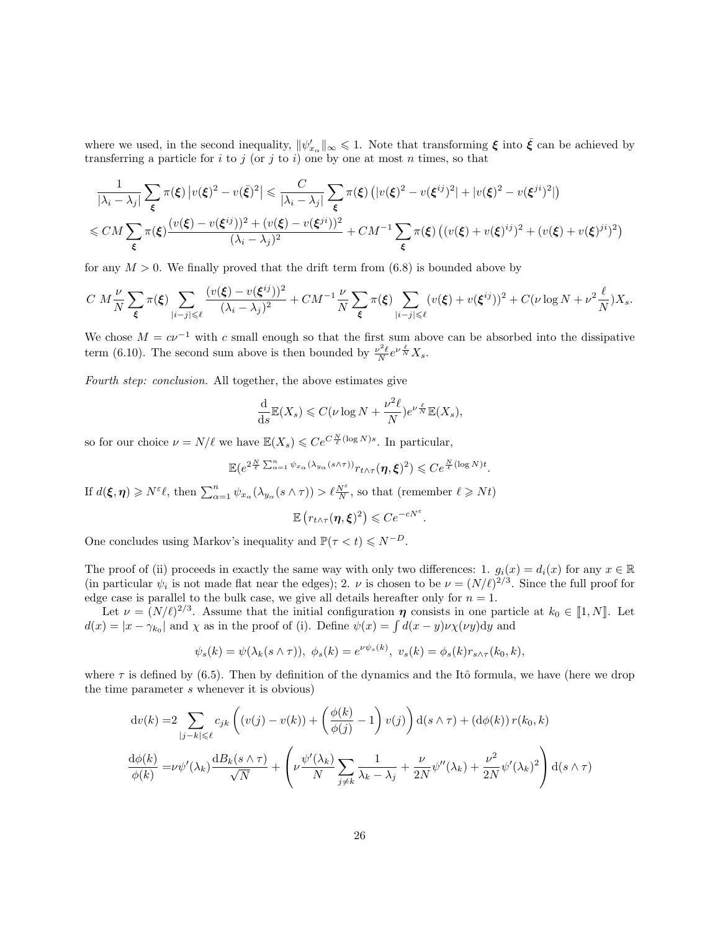where we used, in the second inequality,  $\|\psi_{x_\alpha}'\|_{\infty} \leq 1$ . Note that transforming  $\xi$  into  $\bar{\xi}$  can be achieved by transferring a particle for  $i$  to  $j$  (or  $j$  to  $i$ ) one by one at most  $n$  times, so that

$$
\frac{1}{|\lambda_i - \lambda_j|} \sum_{\xi} \pi(\xi) \left| v(\xi)^2 - v(\xi)^2 \right| \leq \frac{C}{|\lambda_i - \lambda_j|} \sum_{\xi} \pi(\xi) \left( |v(\xi)^2 - v(\xi^{ij})^2| + |v(\xi)^2 - v(\xi^{ji})^2| \right)
$$
  

$$
\leq C M \sum_{\xi} \pi(\xi) \frac{(v(\xi) - v(\xi^{ij}))^2 + (v(\xi) - v(\xi^{ji}))^2}{(\lambda_i - \lambda_j)^2} + C M^{-1} \sum_{\xi} \pi(\xi) \left( (v(\xi) + v(\xi)^{ij})^2 + (v(\xi) + v(\xi)^{ji})^2 \right)
$$

for any  $M > 0$ . We finally proved that the drift term from (6.8) is bounded above by

$$
C\ M\frac{\nu}{N}\sum_{\xi}\pi(\xi)\sum_{|i-j|\leqslant\ell}\frac{(v(\xi)-v(\xi^{ij}))^2}{(\lambda_i-\lambda_j)^2}+CM^{-1}\frac{\nu}{N}\sum_{\xi}\pi(\xi)\sum_{|i-j|\leqslant\ell}(v(\xi)+v(\xi^{ij}))^2+C(\nu\log N+\nu^2\frac{\ell}{N})X_s.
$$

We chose  $M = c\nu^{-1}$  with c small enough so that the first sum above can be absorbed into the dissipative term (6.10). The second sum above is then bounded by  $\frac{\nu^2 \ell}{N} e^{\nu \frac{\ell}{N}} X_s$ .

Fourth step: conclusion. All together, the above estimates give

$$
\frac{\mathrm{d}}{\mathrm{d}s} \mathbb{E}(X_s) \leqslant C(\nu \log N + \frac{\nu^2 \ell}{N}) e^{\nu \frac{\ell}{N}} \mathbb{E}(X_s),
$$

so for our choice  $\nu = N/\ell$  we have  $\mathbb{E}(X_s) \leqslant Ce^{C\frac{N}{\ell}(\log N)s}$ . In particular,

$$
\mathbb{E}(e^{2\frac{N}{\ell}\sum_{\alpha=1}^n\psi_{x_\alpha}(\lambda_{y_\alpha}(s\wedge\tau))}r_{t\wedge\tau}(\eta,\xi)^2)\leq Ce^{\frac{N}{\ell}(\log N)t}.
$$

If  $d(\boldsymbol{\xi}, \boldsymbol{\eta}) \geq N^{\varepsilon} \ell$ , then  $\sum_{\alpha=1}^{n} \psi_{x_{\alpha}}(\lambda_{y_{\alpha}}(s \wedge \tau)) > \ell \frac{N^{\varepsilon}}{N}$ , so that (remember  $\ell \geq Nt$ )

$$
\mathbb{E}\left(r_{t\wedge\tau}(\eta,\boldsymbol{\xi})^2\right) \leqslant Ce^{-cN^{\varepsilon}}.
$$

One concludes using Markov's inequality and  $\mathbb{P}(\tau \leq t) \leq N^{-D}$ .

The proof of (ii) proceeds in exactly the same way with only two differences: 1.  $g_i(x) = d_i(x)$  for any  $x \in \mathbb{R}$ (in particular  $\psi_i$  is not made flat near the edges); 2.  $\nu$  is chosen to be  $\nu = (N/\ell)^{2/3}$ . Since the full proof for edge case is parallel to the bulk case, we give all details hereafter only for  $n = 1$ .

Let  $\nu = (N/\ell)^{2/3}$ . Assume that the initial configuration  $\eta$  consists in one particle at  $k_0 \in [1, N]$ . Let  $d(x) = |x - \gamma_{k_0}|$  and  $\chi$  as in the proof of (i). Define  $\psi(x) = \int d(x - y) \nu \chi(\nu y) dy$  and

$$
\psi_s(k) = \psi(\lambda_k(s \wedge \tau)), \ \phi_s(k) = e^{\nu \psi_s(k)}, \ v_s(k) = \phi_s(k) r_{s \wedge \tau}(k_0, k),
$$

where  $\tau$  is defined by (6.5). Then by definition of the dynamics and the Itô formula, we have (here we drop the time parameter s whenever it is obvious)

$$
dv(k) = 2 \sum_{|j-k| \leq \ell} c_{jk} \left( (v(j) - v(k)) + \left( \frac{\phi(k)}{\phi(j)} - 1 \right) v(j) \right) d(s \wedge \tau) + (d\phi(k)) r(k_0, k)
$$
  

$$
\frac{d\phi(k)}{\phi(k)} = \nu \psi'(\lambda_k) \frac{dB_k(s \wedge \tau)}{\sqrt{N}} + \left( \nu \frac{\psi'(\lambda_k)}{N} \sum_{j \neq k} \frac{1}{\lambda_k - \lambda_j} + \frac{\nu}{2N} \psi''(\lambda_k) + \frac{\nu^2}{2N} \psi'(\lambda_k)^2 \right) d(s \wedge \tau)
$$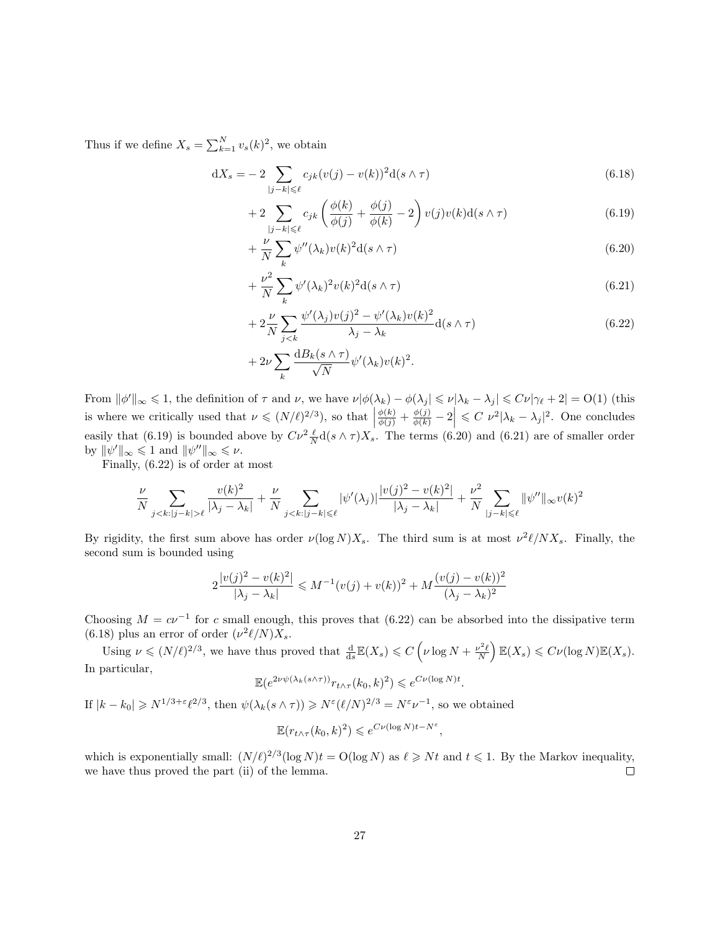Thus if we define  $X_s = \sum_{k=1}^{N} v_s(k)^2$ , we obtain

$$
dX_s = -2 \sum_{|j-k| \leq \ell} c_{jk}(v(j) - v(k))^2 d(s \wedge \tau)
$$
\n(6.18)

$$
+2\sum_{|j-k|\leqslant\ell}c_{jk}\left(\frac{\phi(k)}{\phi(j)}+\frac{\phi(j)}{\phi(k)}-2\right)v(j)v(k)\mathrm{d}(s\wedge\tau)\tag{6.19}
$$

$$
+\frac{\nu}{N}\sum_{k}\psi''(\lambda_k)v(k)^2\mathrm{d}(s\wedge\tau)
$$
\n(6.20)

$$
+\frac{\nu^2}{N}\sum_{k}\psi'(\lambda_k)^2v(k)^2d(s\wedge\tau)
$$
\n(6.21)

$$
+2\frac{\nu}{N}\sum_{j  
+2\n
$$
+2\nu\sum_{k}\frac{\mathrm{d}B_k(s\wedge\tau)}{\sqrt{N}}\psi'(\lambda_k)v(k)^2.
$$
 (6.22)
$$

From  $\|\phi'\|_{\infty} \leq 1$ , the definition of  $\tau$  and  $\nu$ , we have  $\nu|\phi(\lambda_k) - \phi(\lambda_j| \leq \nu|\lambda_k - \lambda_j| \leq C\nu|\gamma_\ell + 2| = O(1)$  (this is where we critically used that  $\nu \leq (N/\ell)^{2/3}$ , so that  $\left|\frac{\phi(k)}{\phi(j)} + \frac{\phi(j)}{\phi(k)} - 2\right| \leq C \nu^2 |\lambda_k - \lambda_j|^2$ . One concludes easily that (6.19) is bounded above by  $C\nu^2 \frac{\ell}{N} d(s \wedge \tau) X_s$ . The terms (6.20) and (6.21) are of smaller order by  $\|\psi'\|_{\infty} \leq 1$  and  $\|\psi''\|_{\infty} \leq \nu$ .

Finally, (6.22) is of order at most

$$
\frac{\nu}{N} \sum_{j < k: |j - k| > \ell} \frac{v(k)^2}{|\lambda_j - \lambda_k|} + \frac{\nu}{N} \sum_{j < k: |j - k| \leq \ell} |\psi'(\lambda_j)| \frac{|v(j)^2 - v(k)^2|}{|\lambda_j - \lambda_k|} + \frac{\nu^2}{N} \sum_{|j - k| \leq \ell} ||\psi''||_{\infty} v(k)^2
$$

By rigidity, the first sum above has order  $\nu(\log N)X_s$ . The third sum is at most  $\nu^2 \ell/NX_s$ . Finally, the second sum is bounded using

$$
2\frac{|v(j)^{2} - v(k)^{2}|}{|\lambda_{j} - \lambda_{k}|} \le M^{-1}(v(j) + v(k))^{2} + M\frac{(v(j) - v(k))^{2}}{(\lambda_{j} - \lambda_{k})^{2}}
$$

Choosing  $M = cv^{-1}$  for c small enough, this proves that (6.22) can be absorbed into the dissipative term (6.18) plus an error of order  $(\nu^2 \ell/N) X_s$ .

Using  $\nu \leqslant (N/\ell)^{2/3}$ , we have thus proved that  $\frac{d}{ds}\mathbb{E}(X_s) \leqslant C\left(\nu \log N + \frac{\nu^2 \ell}{N}\right)$  $\Big) \mathbb{E}(X_s) \leqslant C \nu(\log N) \mathbb{E}(X_s).$ In particular,

$$
\mathbb{E}(e^{2\nu\psi(\lambda_k(s\wedge\tau))}r_{t\wedge\tau}(k_0,k)^2) \leqslant e^{C\nu(\log N)t}.
$$

If  $|k - k_0| \ge N^{1/3 + \varepsilon} \ell^{2/3}$ , then  $\psi(\lambda_k(s \wedge \tau)) \ge N^{\varepsilon} (\ell/N)^{2/3} = N^{\varepsilon} \nu^{-1}$ , so we obtained

$$
\mathbb{E}(r_{t\wedge\tau}(k_0,k)^2) \leqslant e^{C\nu(\log N)t - N^{\varepsilon}},
$$

which is exponentially small:  $(N/\ell)^{2/3} (\log N)t = O(\log N)$  as  $\ell \geq Nt$  and  $t \leq 1$ . By the Markov inequality, we have thus proved the part (ii) of the lemma.  $\Box$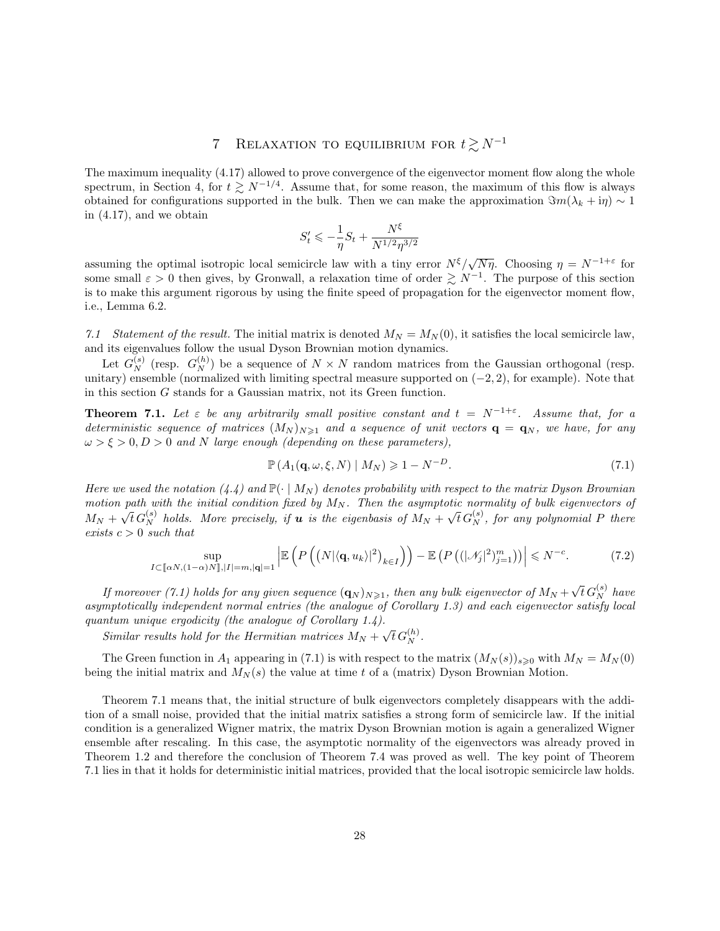# 7 RELAXATION TO EQUILIBRIUM FOR  $t \gtrsim N^{-1}$

The maximum inequality (4.17) allowed to prove convergence of the eigenvector moment flow along the whole spectrum, in Section 4, for  $t \gtrsim N^{-1/4}$ . Assume that, for some reason, the maximum of this flow is always obtained for configurations supported in the bulk. Then we can make the approximation  $\Im m(\lambda_k + i\eta) \sim 1$ in (4.17), and we obtain

$$
S'_t \leqslant -\frac{1}{\eta}S_t + \frac{N^{\xi}}{N^{1/2}\eta^{3/2}}
$$

assuming the optimal isotropic local semicircle law with a tiny error  $N^{\xi}/\sqrt{N\eta}$ . Choosing  $\eta = N^{-1+\varepsilon}$  for some small  $\varepsilon > 0$  then gives, by Gronwall, a relaxation time of order  $\gtrsim N^{-1}$ . The purpose of this section is to make this argument rigorous by using the finite speed of propagation for the eigenvector moment flow, i.e., Lemma 6.2.

7.1 Statement of the result. The initial matrix is denoted  $M_N = M_N(0)$ , it satisfies the local semicircle law, and its eigenvalues follow the usual Dyson Brownian motion dynamics.

Let  $G_N^{(s)}$  (resp.  $G_N^{(h)}$ ) be a sequence of  $N \times N$  random matrices from the Gaussian orthogonal (resp. unitary) ensemble (normalized with limiting spectral measure supported on  $(-2, 2)$ , for example). Note that in this section  $G$  stands for a Gaussian matrix, not its Green function.

**Theorem 7.1.** Let  $\varepsilon$  be any arbitrarily small positive constant and  $t = N^{-1+\varepsilon}$ . Assume that, for a deterministic sequence of matrices  $(M_N)_{N\geq 1}$  and a sequence of unit vectors  $\mathbf{q} = \mathbf{q}_N$ , we have, for any  $\omega > \xi > 0, D > 0$  and N large enough (depending on these parameters),

$$
\mathbb{P}\left(A_1(\mathbf{q},\omega,\xi,N)\mid M_N\right) \geqslant 1 - N^{-D}.\tag{7.1}
$$

Here we used the notation (4.4) and  $\mathbb{P}(\cdot \mid M_N)$  denotes probability with respect to the matrix Dyson Brownian motion path with the initial condition fixed by  $M_N$ . Then the asymptotic normality of bulk eigenvectors of  $M_N + \sqrt{t} G_N^{(s)}$  holds. More precisely, if **u** is the eigenbasis of  $M_N + \sqrt{t} G_N^{(s)}$ , for any polynomial P there exists  $c > 0$  such that

$$
\sup_{I \subset [\![\alpha N,(1-\alpha)N]\!],|I|=m,|\mathbf{q}|\!=1} \left| \mathbb{E}\left(P\left(\left(\left(N|\langle \mathbf{q},u_k\rangle|^2\right)_{k\in I}\right)\right) - \mathbb{E}\left(P\left((|\mathcal{N}_j|^2)_{j=1}^m\right)\right) \right| \le N^{-c}.\tag{7.2}
$$

If moreover (7.1) holds for any given sequence  $(\mathbf{q}_N)_{N\geqslant1}$ , then any bulk eigenvector of  $M_N+\sqrt{t}\,G^{(s)}_N$  have asymptotically independent normal entries (the analogue of Corollary 1.3) and each eigenvector satisfy local quantum unique ergodicity (the analogue of Corollary 1.4).

Similar results hold for the Hermitian matrices  $M_N + \sqrt{t} G_N^{(h)}$ .

The Green function in  $A_1$  appearing in (7.1) is with respect to the matrix  $(M_N(s))_{s\geqslant0}$  with  $M_N = M_N(0)$ being the initial matrix and  $M_N(s)$  the value at time t of a (matrix) Dyson Brownian Motion.

Theorem 7.1 means that, the initial structure of bulk eigenvectors completely disappears with the addition of a small noise, provided that the initial matrix satisfies a strong form of semicircle law. If the initial condition is a generalized Wigner matrix, the matrix Dyson Brownian motion is again a generalized Wigner ensemble after rescaling. In this case, the asymptotic normality of the eigenvectors was already proved in Theorem 1.2 and therefore the conclusion of Theorem 7.4 was proved as well. The key point of Theorem 7.1 lies in that it holds for deterministic initial matrices, provided that the local isotropic semicircle law holds.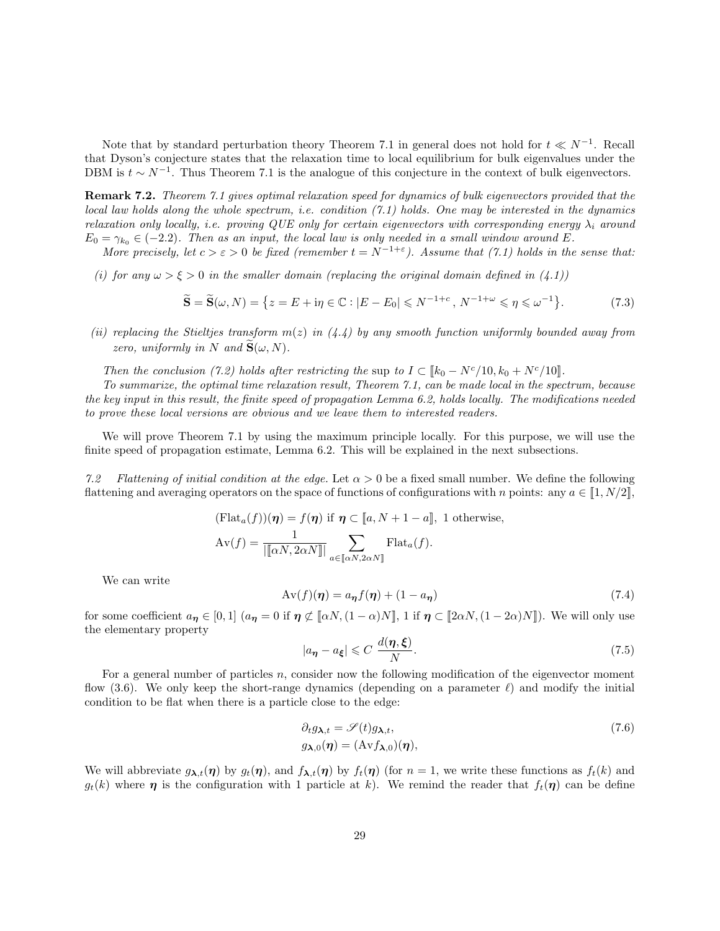Note that by standard perturbation theory Theorem 7.1 in general does not hold for  $t \ll N^{-1}$ . Recall that Dyson's conjecture states that the relaxation time to local equilibrium for bulk eigenvalues under the DBM is  $t \sim N^{-1}$ . Thus Theorem 7.1 is the analogue of this conjecture in the context of bulk eigenvectors.

Remark 7.2. Theorem 7.1 gives optimal relaxation speed for dynamics of bulk eigenvectors provided that the local law holds along the whole spectrum, i.e. condition (7.1) holds. One may be interested in the dynamics relaxation only locally, i.e. proving QUE only for certain eigenvectors with corresponding energy  $\lambda_i$  around  $E_0 = \gamma_{k_0} \in (-2.2)$ . Then as an input, the local law is only needed in a small window around E.

More precisely, let  $c > \varepsilon > 0$  be fixed (remember  $t = N^{-1+\varepsilon}$ ). Assume that (7.1) holds in the sense that:

(i) for any  $\omega > \xi > 0$  in the smaller domain (replacing the original domain defined in  $(4.1)$ )

$$
\widetilde{\mathbf{S}} = \widetilde{\mathbf{S}}(\omega, N) = \left\{ z = E + \mathrm{i}\eta \in \mathbb{C} : |E - E_0| \leq N^{-1+c}, N^{-1+\omega} \leq \eta \leq \omega^{-1} \right\}. \tag{7.3}
$$

(ii) replacing the Stieltjes transform  $m(z)$  in  $(4.4)$  by any smooth function uniformly bounded away from zero, uniformly in N and  $\mathbf{S}(\omega, N)$ .

Then the conclusion (7.2) holds after restricting the sup to  $I \subset [k_0 - N^c/10, k_0 + N^c/10]$ .

To summarize, the optimal time relaxation result, Theorem 7.1, can be made local in the spectrum, because the key input in this result, the finite speed of propagation Lemma 6.2, holds locally. The modifications needed to prove these local versions are obvious and we leave them to interested readers.

We will prove Theorem 7.1 by using the maximum principle locally. For this purpose, we will use the finite speed of propagation estimate, Lemma 6.2. This will be explained in the next subsections.

7.2 Flattening of initial condition at the edge. Let  $\alpha > 0$  be a fixed small number. We define the following flattening and averaging operators on the space of functions of configurations with n points: any  $a \in [1, N/2]$ ,

$$
(\text{Flat}_a(f))(\boldsymbol{\eta}) = f(\boldsymbol{\eta}) \text{ if } \boldsymbol{\eta} \subset [a, N+1-a], \text{ 1 otherwise,}
$$

$$
\text{Av}(f) = \frac{1}{\|\mathbf{a}N, 2\alpha N\|} \sum_{a \in \mathbf{a}N, 2\alpha N\}} \text{Flat}_a(f).
$$

We can write

$$
Av(f)(\eta) = a_{\eta} f(\eta) + (1 - a_{\eta})
$$
\n(7.4)

for some coefficient  $a_{\eta} \in [0,1]$   $(a_{\eta} = 0 \text{ if } \eta \not\subset [\![\alpha N, (1-\alpha)N]\!]$ , 1 if  $\eta \subset [\![2\alpha N, (1-2\alpha)N]\!]$ ). We will only use the elementary property

$$
|a_{\eta} - a_{\xi}| \leqslant C \frac{d(\eta, \xi)}{N}.
$$
\n(7.5)

For a general number of particles n, consider now the following modification of the eigenvector moment flow (3.6). We only keep the short-range dynamics (depending on a parameter  $\ell$ ) and modify the initial condition to be flat when there is a particle close to the edge:

$$
\partial_t g_{\lambda,t} = \mathscr{S}(t) g_{\lambda,t},
$$
  
\n
$$
g_{\lambda,0}(\eta) = (\text{Av} f_{\lambda,0})(\eta),
$$
\n(7.6)

We will abbreviate  $g_{\lambda,t}(\eta)$  by  $g_t(\eta)$ , and  $f_{\lambda,t}(\eta)$  by  $f_t(\eta)$  (for  $n = 1$ , we write these functions as  $f_t(k)$  and  $g_t(k)$  where  $\eta$  is the configuration with 1 particle at k). We remind the reader that  $f_t(\eta)$  can be define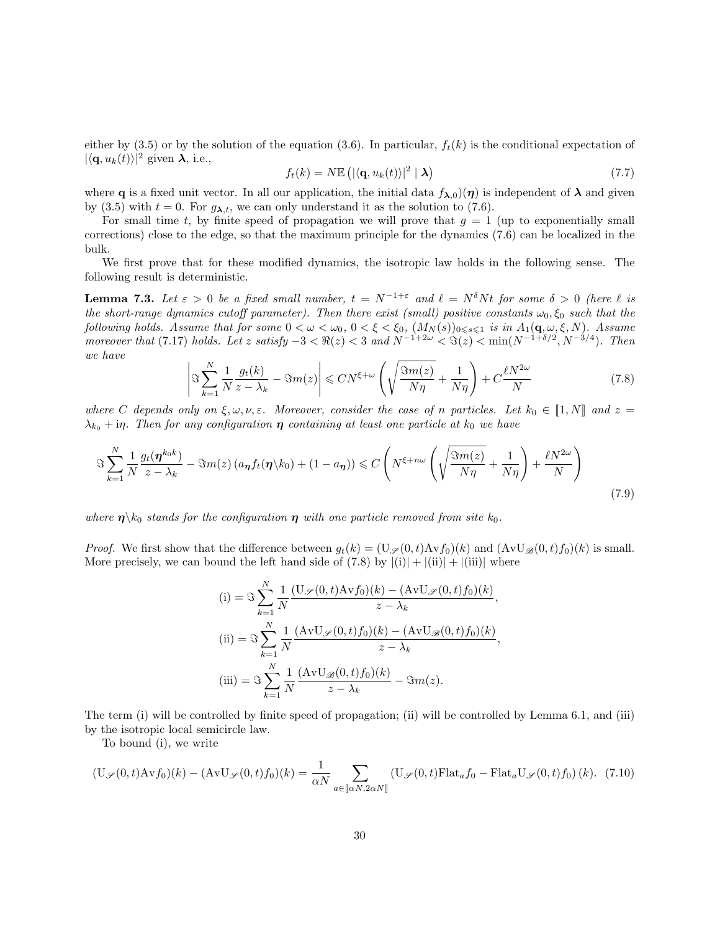either by (3.5) or by the solution of the equation (3.6). In particular,  $f_t(k)$  is the conditional expectation of  $|\langle \mathbf{q}, u_k(t) \rangle|^2$  given  $\lambda$ , i.e.,

$$
f_t(k) = N \mathbb{E} \left( |\langle \mathbf{q}, u_k(t) \rangle|^2 \mid \mathbf{\lambda} \right) \tag{7.7}
$$

where **q** is a fixed unit vector. In all our application, the initial data  $f_{\lambda,0}(\eta)$  is independent of  $\lambda$  and given by (3.5) with  $t = 0$ . For  $g_{\lambda,t}$ , we can only understand it as the solution to (7.6).

For small time t, by finite speed of propagation we will prove that  $g = 1$  (up to exponentially small corrections) close to the edge, so that the maximum principle for the dynamics (7.6) can be localized in the bulk.

We first prove that for these modified dynamics, the isotropic law holds in the following sense. The following result is deterministic.

**Lemma 7.3.** Let  $\varepsilon > 0$  be a fixed small number,  $t = N^{-1+\varepsilon}$  and  $\ell = N^{\delta}Nt$  for some  $\delta > 0$  (here  $\ell$  is the short-range dynamics cutoff parameter). Then there exist (small) positive constants  $\omega_0, \xi_0$  such that the following holds. Assume that for some  $0<\omega<\omega_0$ ,  $0<\xi<\xi_0$ ,  $(M_N(s))_{0\leqslant s\leqslant 1}$  is in  $A_1(\mathbf{q},\omega,\xi,N)$ . Assume moreover that (7.17) holds. Let z satisfy  $-3 < \Re(z) < 3$  and  $N^{-1+2\omega} < \Im(z) < \min(N^{-1+\delta/2}, N^{-3/4})$ . Then we have

$$
\left| \Im \sum_{k=1}^{N} \frac{1}{N} \frac{g_t(k)}{z - \lambda_k} - \Im m(z) \right| \leq CN^{\xi + \omega} \left( \sqrt{\frac{\Im m(z)}{N\eta}} + \frac{1}{N\eta} \right) + C \frac{\ell N^{2\omega}}{N} \tag{7.8}
$$

where C depends only on  $\xi, \omega, \nu, \varepsilon$ . Moreover, consider the case of n particles. Let  $k_0 \in [1, N]$  and  $z =$  $\lambda_{k_0}$  + in. Then for any configuration  $\eta$  containing at least one particle at  $k_0$  we have

$$
\Im\sum_{k=1}^{N}\frac{1}{N}\frac{g_t(\boldsymbol{\eta}^{k_0k})}{z-\lambda_k} - \Im m(z)\left(a_{\boldsymbol{\eta}}f_t(\boldsymbol{\eta}\backslash k_0) + (1-a_{\boldsymbol{\eta}})\right) \leq C\left(N^{\xi+n\omega}\left(\sqrt{\frac{\Im m(z)}{N\eta}} + \frac{1}{N\eta}\right) + \frac{\ell N^{2\omega}}{N}\right)
$$
\n(7.9)

where  $\eta \backslash k_0$  stands for the configuration  $\eta$  with one particle removed from site  $k_0$ .

*Proof.* We first show that the difference between  $g_t(k) = (\mathbf{U}_{\mathscr{S}}(0,t)\mathbf{A}\mathbf{v}f_0)(k)$  and  $(\mathbf{A}\mathbf{v}\mathbf{U}_{\mathscr{B}}(0,t)f_0)(k)$  is small. More precisely, we can bound the left hand side of  $(7.8)$  by  $|(i)| + |(ii)| + |(iii)|$  where

(i) = 
$$
\Im \sum_{k=1}^{N} \frac{1}{N} \frac{(U_{\mathscr{S}}(0, t)Avf_0)(k) - (AvU_{\mathscr{S}}(0, t)f_0)(k)}{z - \lambda_k}
$$
,  
\n(ii) =  $\Im \sum_{k=1}^{N} \frac{1}{N} \frac{(AvU_{\mathscr{S}}(0, t)f_0)(k) - (AvU_{\mathscr{B}}(0, t)f_0)(k)}{z - \lambda_k}$ ,  
\n(iii) =  $\Im \sum_{k=1}^{N} \frac{1}{N} \frac{(AvU_{\mathscr{B}}(0, t)f_0)(k)}{z - \lambda_k} - \Im m(z)$ .

The term (i) will be controlled by finite speed of propagation; (ii) will be controlled by Lemma 6.1, and (iii) by the isotropic local semicircle law.

To bound (i), we write

$$
(\mathbf{U}_{\mathscr{S}}(0,t)\mathbf{A}\mathbf{v}f_0)(k) - (\mathbf{A}\mathbf{v}\mathbf{U}_{\mathscr{S}}(0,t)f_0)(k) = \frac{1}{\alpha N} \sum_{a \in [\![\alpha N, 2\alpha N]\!]} (\mathbf{U}_{\mathscr{S}}(0,t)\mathbf{F}^{\dagger}_{\mathbf{a}}\mathbf{A}_0 - \mathbf{F}^{\dagger}_{\mathbf{a}}\mathbf{U}_{\mathscr{S}}(0,t)f_0)(k). \tag{7.10}
$$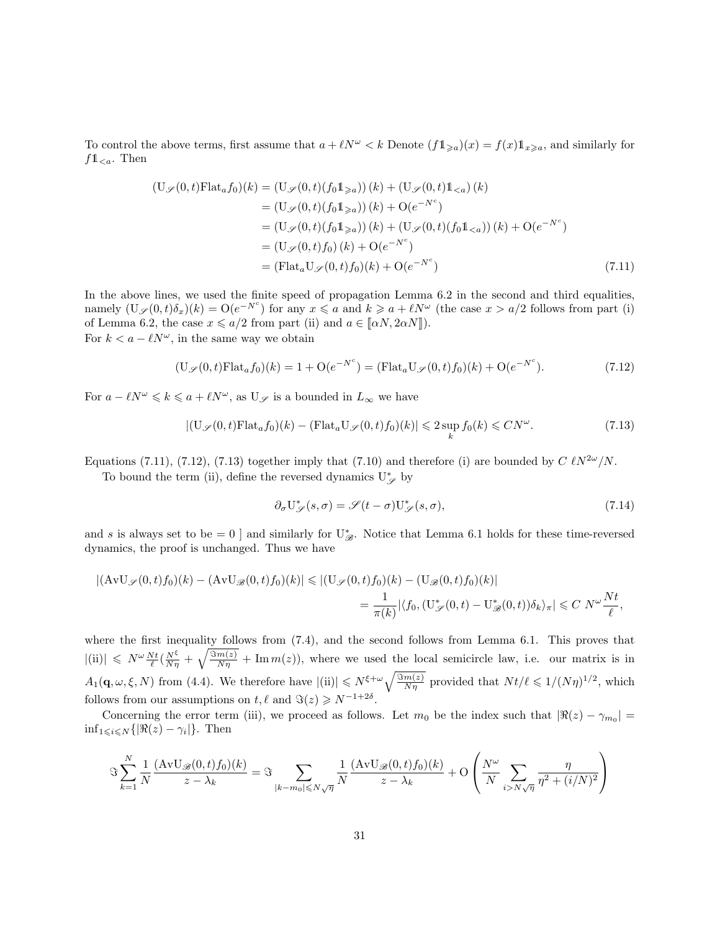To control the above terms, first assume that  $a + \ell N^{\omega} < k$  Denote  $(f1_{\geq a})(x) = f(x)1_{x \geq a}$ , and similarly for  $f1_{< a}$ . Then

$$
\begin{aligned} (\mathbf{U}_{\mathscr{S}}(0,t)\mathbf{F} \mathbf{I} \mathbf{at}_{a}f_{0})(k) &= (\mathbf{U}_{\mathscr{S}}(0,t)(f_{0}\mathbb{1}_{\geq a}))(k) + (\mathbf{U}_{\mathscr{S}}(0,t)\mathbb{1}_{
$$

In the above lines, we used the finite speed of propagation Lemma 6.2 in the second and third equalities, namely  $(\mathbf{U}_{\mathscr{S}}(0,t)\delta_x)(k) = \mathbf{O}(e^{-N^c})$  for any  $x \leq a$  and  $k \geq a + \ell N^{\omega}$  (the case  $x > a/2$  follows from part (i) of Lemma 6.2, the case  $x \le a/2$  from part (ii) and  $a \in [\![\alpha N, 2\alpha N]\!]$ ). For  $k < a - \ell N^{\omega}$ , in the same way we obtain

$$
(\mathbf{U}_{\mathscr{S}}(0,t)\mathbf{F}l\mathbf{a}t_a f_0)(k) = 1 + \mathbf{O}(e^{-N^c}) = (\mathbf{F}l\mathbf{a}t_a \mathbf{U}_{\mathscr{S}}(0,t)f_0)(k) + \mathbf{O}(e^{-N^c}).
$$
\n(7.12)

For  $a - \ell N^{\omega} \leq k \leq a + \ell N^{\omega}$ , as  $U_{\mathscr{S}}$  is a bounded in  $L_{\infty}$  we have

$$
|(\mathbf{U}_{\mathscr{S}}(0,t)\mathbf{Flat}_a f_0)(k) - (\mathbf{Flat}_a \mathbf{U}_{\mathscr{S}}(0,t)f_0)(k)| \leq 2 \sup_k f_0(k) \leq CN^{\omega}.
$$
 (7.13)

Equations (7.11), (7.12), (7.13) together imply that (7.10) and therefore (i) are bounded by  $C \ell N^{2\omega}/N$ .

To bound the term (ii), define the reversed dynamics  $U^{\ast}_{\mathscr{S}}$  by

$$
\partial_{\sigma} \mathcal{U}_{\mathscr{S}}^*(s, \sigma) = \mathscr{S}(t - \sigma) \mathcal{U}_{\mathscr{S}}^*(s, \sigma), \tag{7.14}
$$

and s is always set to be = 0 ] and similarly for  $U_{\mathscr{B}}^*$ . Notice that Lemma 6.1 holds for these time-reversed dynamics, the proof is unchanged. Thus we have

$$
|(\mathbf{A}\mathbf{v}\mathbf{U}_{\mathscr{S}}(0,t)f_0)(k) - (\mathbf{A}\mathbf{v}\mathbf{U}_{\mathscr{B}}(0,t)f_0)(k)| \le |(\mathbf{U}_{\mathscr{S}}(0,t)f_0)(k) - (\mathbf{U}_{\mathscr{B}}(0,t)f_0)(k)|
$$
  
= 
$$
\frac{1}{\pi(k)} |\langle f_0, (\mathbf{U}_{\mathscr{S}}^*(0,t) - \mathbf{U}_{\mathscr{B}}^*(0,t))\delta_k \rangle_{\pi}| \le C N^{\omega} \frac{Nt}{\ell},
$$

where the first inequality follows from (7.4), and the second follows from Lemma 6.1. This proves that  $|(\mathrm{ii})| \leq N^{\omega} \frac{Nt}{\ell} \left(\frac{N^{\xi}}{N\eta} + \sqrt{\frac{\Im m(z)}{N\eta}} + \mathrm{Im} \, m(z)\right)$ , where we used the local semicircle law, i.e. our matrix is in  $A_1(\mathbf{q},\omega,\xi,N)$  from (4.4). We therefore have  $|(\mathrm{ii})| \leq N^{\xi+\omega} \sqrt{\frac{\Im m(z)}{N\eta}}$  provided that  $Nt/\ell \leq 1/(N\eta)^{1/2}$ , which follows from our assumptions on  $t, \ell$  and  $\Im(z) \geq N^{-1+2\delta}$ .

Concerning the error term (iii), we proceed as follows. Let  $m_0$  be the index such that  $|\Re(z) - \gamma_{m_0}| =$  $\inf_{1\leqslant i\leqslant N}\{|\Re(z)-\gamma_i|\}.$  Then

$$
\Im \sum_{k=1}^N \frac{1}{N} \frac{(\mathrm{AvU}_{\mathscr{B}}(0,t) f_0)(k)}{z - \lambda_k} = \Im \sum_{|k-m_0| \leq N\sqrt{\eta}} \frac{1}{N} \frac{(\mathrm{AvU}_{\mathscr{B}}(0,t) f_0)(k)}{z - \lambda_k} + \mathcal{O}\left(\frac{N^{\omega}}{N} \sum_{i > N\sqrt{\eta}} \frac{\eta}{\eta^2 + (i/N)^2}\right)
$$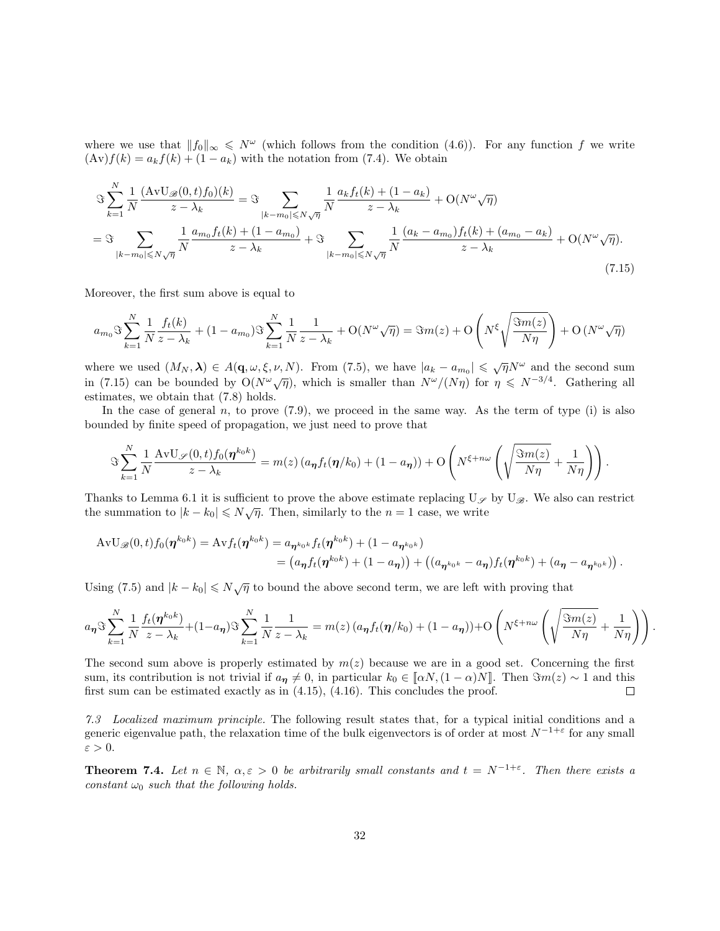where we use that  $||f_0||_{\infty} \leqslant N^{\omega}$  (which follows from the condition (4.6)). For any function f we write  $(\text{Av})f(k) = a_k f(k) + (1 - a_k)$  with the notation from (7.4). We obtain

$$
\Im \sum_{k=1}^{N} \frac{1}{N} \frac{(AvU_{\mathscr{B}}(0,t)f_0)(k)}{z - \lambda_k} = \Im \sum_{|k-m_0| \leq N\sqrt{\eta}} \frac{1}{N} \frac{a_k f_t(k) + (1 - a_k)}{z - \lambda_k} + O(N^{\omega}\sqrt{\eta})
$$
  
= 
$$
\Im \sum_{|k-m_0| \leq N\sqrt{\eta}} \frac{1}{N} \frac{a_{m_0} f_t(k) + (1 - a_{m_0})}{z - \lambda_k} + \Im \sum_{|k-m_0| \leq N\sqrt{\eta}} \frac{1}{N} \frac{(a_k - a_{m_0}) f_t(k) + (a_{m_0} - a_k)}{z - \lambda_k} + O(N^{\omega}\sqrt{\eta}).
$$
\n(7.15)

Moreover, the first sum above is equal to

$$
a_{m_0}\Im\sum_{k=1}^N\frac{1}{N}\frac{f_t(k)}{z-\lambda_k}+(1-a_{m_0})\Im\sum_{k=1}^N\frac{1}{N}\frac{1}{z-\lambda_k}+\mathcal O(N^\omega\sqrt{\eta})=\Im m(z)+\mathcal O\left(N^\xi\sqrt{\frac{\Im m(z)}{N\eta}}\right)+\mathcal O\left(N^\omega\sqrt{\eta}\right)
$$

where we used  $(M_N, \lambda) \in A(q, \omega, \xi, \nu, N)$ . From (7.5), we have  $|a_k - a_{m_0}| \leq \sqrt{\eta} N^{\omega}$  and the second sum in (7.15) can be bounded by  $O(N^{\omega}\sqrt{\eta})$ , which is smaller than  $N^{\omega}/(N\eta)$  for  $\eta \leq N^{-3/4}$ . Gathering all estimates, we obtain that (7.8) holds.

In the case of general  $n$ , to prove  $(7.9)$ , we proceed in the same way. As the term of type (i) is also bounded by finite speed of propagation, we just need to prove that

$$
\Im\sum_{k=1}^N\frac{1}{N}\frac{\mathrm{AvU}_{\mathscr{S}}(0,t)f_0(\boldsymbol{\eta}^{k_0k})}{z-\lambda_k}=m(z)\left(a_{\boldsymbol{\eta}}f_t(\boldsymbol{\eta}/k_0)+(1-a_{\boldsymbol{\eta}})\right)+O\left(N^{\xi+n\omega}\left(\sqrt{\frac{\Im m(z)}{N\eta}}+\frac{1}{N\eta}\right)\right).
$$

Thanks to Lemma 6.1 it is sufficient to prove the above estimate replacing  $U_{\mathscr{S}}$  by  $U_{\mathscr{B}}$ . We also can restrict the summation to  $|k - k_0| \le N\sqrt{\eta}$ . Then, similarly to the  $n = 1$  case, we write

$$
\begin{split} \mathrm{AvU}_{\mathscr{B}}(0,t)f_{0}(\boldsymbol{\eta}^{k_{0}k}) &= \mathrm{Av}f_{t}(\boldsymbol{\eta}^{k_{0}k}) = a_{\boldsymbol{\eta}^{k_{0}k}}f_{t}(\boldsymbol{\eta}^{k_{0}k}) + (1 - a_{\boldsymbol{\eta}^{k_{0}k}}) \\ &= \left(a_{\boldsymbol{\eta}}f_{t}(\boldsymbol{\eta}^{k_{0}k}) + (1 - a_{\boldsymbol{\eta}})\right) + \left((a_{\boldsymbol{\eta}^{k_{0}k}} - a_{\boldsymbol{\eta}})f_{t}(\boldsymbol{\eta}^{k_{0}k}) + (a_{\boldsymbol{\eta}} - a_{\boldsymbol{\eta}^{k_{0}k}})\right). \end{split}
$$

Using (7.5) and  $|k - k_0| \le N\sqrt{\eta}$  to bound the above second term, we are left with proving that

$$
a_{\eta} \Im \sum_{k=1}^{N} \frac{1}{N} \frac{f_t(\eta^{k_0 k})}{z - \lambda_k} + (1 - a_{\eta}) \Im \sum_{k=1}^{N} \frac{1}{N} \frac{1}{z - \lambda_k} = m(z) \left( a_{\eta} f_t(\eta / k_0) + (1 - a_{\eta}) \right) + O\left( N^{\xi + n\omega} \left( \sqrt{\frac{\Im m(z)}{N\eta}} + \frac{1}{N\eta} \right) \right).
$$

The second sum above is properly estimated by  $m(z)$  because we are in a good set. Concerning the first sum, its contribution is not trivial if  $a_{\eta} \neq 0$ , in particular  $k_0 \in [\alpha N, (1 - \alpha)N]$ . Then  $\Im m(z) \sim 1$  and this first sum can be estimated exactly as in (4.15), (4.16). This concludes the proof. first sum can be estimated exactly as in  $(4.15)$ ,  $(4.16)$ . This concludes the proof.

7.3 Localized maximum principle. The following result states that, for a typical initial conditions and a generic eigenvalue path, the relaxation time of the bulk eigenvectors is of order at most  $N^{-1+\varepsilon}$  for any small  $\varepsilon > 0$ .

**Theorem 7.4.** Let  $n \in \mathbb{N}$ ,  $\alpha, \varepsilon > 0$  be arbitrarily small constants and  $t = N^{-1+\varepsilon}$ . Then there exists a constant  $\omega_0$  such that the following holds.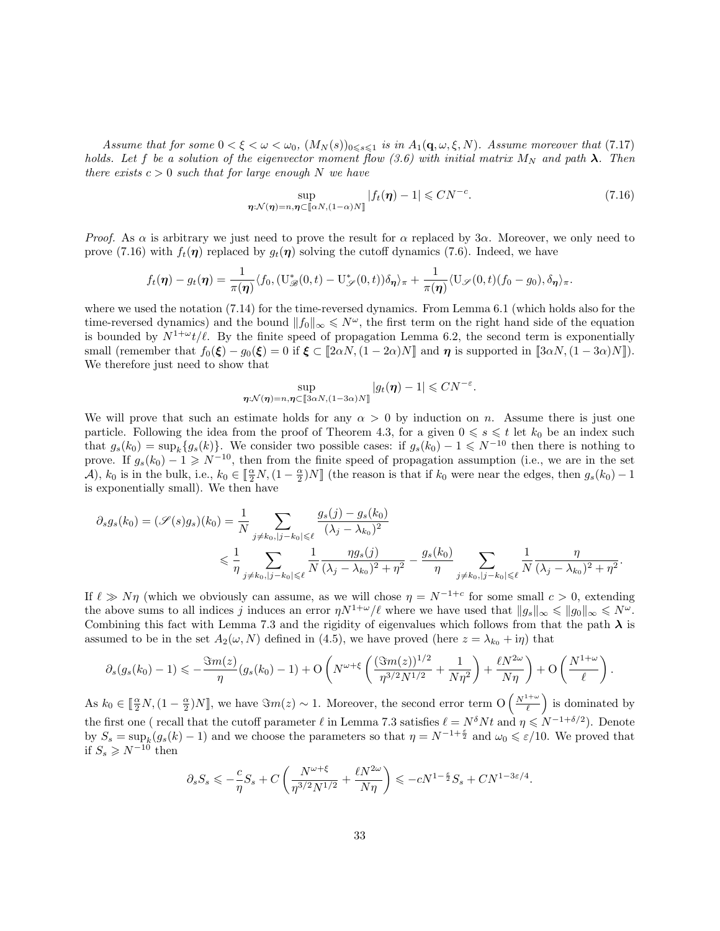Assume that for some  $0 < \xi < \omega < \omega_0$ ,  $(M_N(s))_{0 \le s \le 1}$  is in  $A_1(\mathbf{q}, \omega, \xi, N)$ . Assume moreover that (7.17) holds. Let f be a solution of the eigenvector moment flow (3.6) with initial matrix  $M_N$  and path  $\lambda$ . Then there exists  $c > 0$  such that for large enough N we have

$$
\sup_{\eta:\mathcal{N}(\eta)=n,\eta\subset[\![\alpha N,(1-\alpha)N]\!]}|f_t(\eta)-1|\le CN^{-c}.\tag{7.16}
$$

*Proof.* As  $\alpha$  is arbitrary we just need to prove the result for  $\alpha$  replaced by 3 $\alpha$ . Moreover, we only need to prove (7.16) with  $f_t(\eta)$  replaced by  $g_t(\eta)$  solving the cutoff dynamics (7.6). Indeed, we have

$$
f_t(\boldsymbol{\eta}) - g_t(\boldsymbol{\eta}) = \frac{1}{\pi(\boldsymbol{\eta})} \langle f_0, (\mathbf{U}_{\mathscr{B}}^*(0,t) - \mathbf{U}_{\mathscr{S}}^*(0,t)) \delta_{\boldsymbol{\eta}} \rangle_{\pi} + \frac{1}{\pi(\boldsymbol{\eta})} \langle \mathbf{U}_{\mathscr{S}}(0,t) (f_0 - g_0), \delta_{\boldsymbol{\eta}} \rangle_{\pi}.
$$

where we used the notation (7.14) for the time-reversed dynamics. From Lemma 6.1 (which holds also for the time-reversed dynamics) and the bound  $||f_0||_{\infty} \leq N^{\omega}$ , the first term on the right hand side of the equation is bounded by  $N^{1+\omega}t/\ell$ . By the finite speed of propagation Lemma 6.2, the second term is exponentially small (remember that  $f_0(\xi) - g_0(\xi) = 0$  if  $\xi \in [2\alpha N, (1 - 2\alpha)N]$  and  $\eta$  is supported in  $[3\alpha N, (1 - 3\alpha)N]$ . We therefore just need to show that

$$
\sup_{\boldsymbol{\eta}:\mathcal{N}(\boldsymbol{\eta})=n,\boldsymbol{\eta}\subset[\![3\alpha N,(1-3\alpha)N]\!]}|g_t(\boldsymbol{\eta})-1|\leq CN^{-\varepsilon}.
$$

We will prove that such an estimate holds for any  $\alpha > 0$  by induction on n. Assume there is just one particle. Following the idea from the proof of Theorem 4.3, for a given  $0 \le s \le t$  let  $k_0$  be an index such that  $g_s(k_0) = \sup_k \{g_s(k)\}\.$  We consider two possible cases: if  $g_s(k_0) - 1 \leq N^{-10}$  then there is nothing to prove. If  $g_s(k_0) - 1 \geq N^{-10}$ , then from the finite speed of propagation assumption (i.e., we are in the set A),  $k_0$  is in the bulk, i.e.,  $k_0 \in \left[\frac{\alpha}{2}N, (1-\frac{\alpha}{2})N\right]$  (the reason is that if  $k_0$  were near the edges, then  $g_s(k_0) - 1$ is exponentially small). We then have

$$
\partial_s g_s(k_0) = (\mathcal{S}(s)g_s)(k_0) = \frac{1}{N} \sum_{j \neq k_0, |j - k_0| \leq \ell} \frac{g_s(j) - g_s(k_0)}{(\lambda_j - \lambda_{k_0})^2} \leq \frac{1}{\eta} \sum_{j \neq k_0, |j - k_0| \leq \ell} \frac{1}{N} \frac{\eta g_s(j)}{(\lambda_j - \lambda_{k_0})^2 + \eta^2} - \frac{g_s(k_0)}{\eta} \sum_{j \neq k_0, |j - k_0| \leq \ell} \frac{1}{N} \frac{\eta}{(\lambda_j - \lambda_{k_0})^2 + \eta^2}.
$$

If  $\ell \gg N\eta$  (which we obviously can assume, as we will chose  $\eta = N^{-1+c}$  for some small  $c > 0$ , extending the above sums to all indices j induces an error  $\eta N^{1+\omega}/\ell$  where we have used that  $||g_s||_{\infty} \leq ||g_0||_{\infty} \leq N^{\omega}$ . Combining this fact with Lemma 7.3 and the rigidity of eigenvalues which follows from that the path  $\lambda$  is assumed to be in the set  $A_2(\omega, N)$  defined in (4.5), we have proved (here  $z = \lambda_{k_0} + i\eta$ ) that

$$
\partial_s(g_s(k_0)-1) \leq -\frac{\Im m(z)}{\eta}(g_s(k_0)-1)+O\left(N^{\omega+\xi}\left(\frac{(\Im m(z))^{1/2}}{\eta^{3/2}N^{1/2}}+\frac{1}{N\eta^2}\right)+\frac{\ell N^{2\omega}}{N\eta}\right)+O\left(\frac{N^{1+\omega}}{\ell}\right).
$$

As  $k_0 \in \left[\frac{\alpha}{2}N, (1-\frac{\alpha}{2})N\right]$ , we have  $\Im m(z) \sim 1$ . Moreover, the second error term  $O\left(\frac{N^{1+\omega}}{\ell}\right)$ ) is dominated by the first one ( recall that the cutoff parameter  $\ell$  in Lemma 7.3 satisfies  $\ell = N^{\delta} N t$  and  $\eta \leq N^{-1+\delta/2}$ ). Denote by  $S_s = \sup_k (g_s(k) - 1)$  and we choose the parameters so that  $\eta = N^{-1+\frac{\varepsilon}{2}}$  and  $\omega_0 \leqslant \varepsilon/10$ . We proved that if  $S_s$  ≥  $N^{-10}$  then

$$
\partial_s S_s \leqslant -\frac{c}{\eta} S_s + C \left( \frac{N^{\omega+\xi}}{\eta^{3/2} N^{1/2}} + \frac{\ell N^{2\omega}}{N\eta} \right) \leqslant -cN^{1-\frac{\varepsilon}{2}} S_s + C N^{1-3\varepsilon/4}.
$$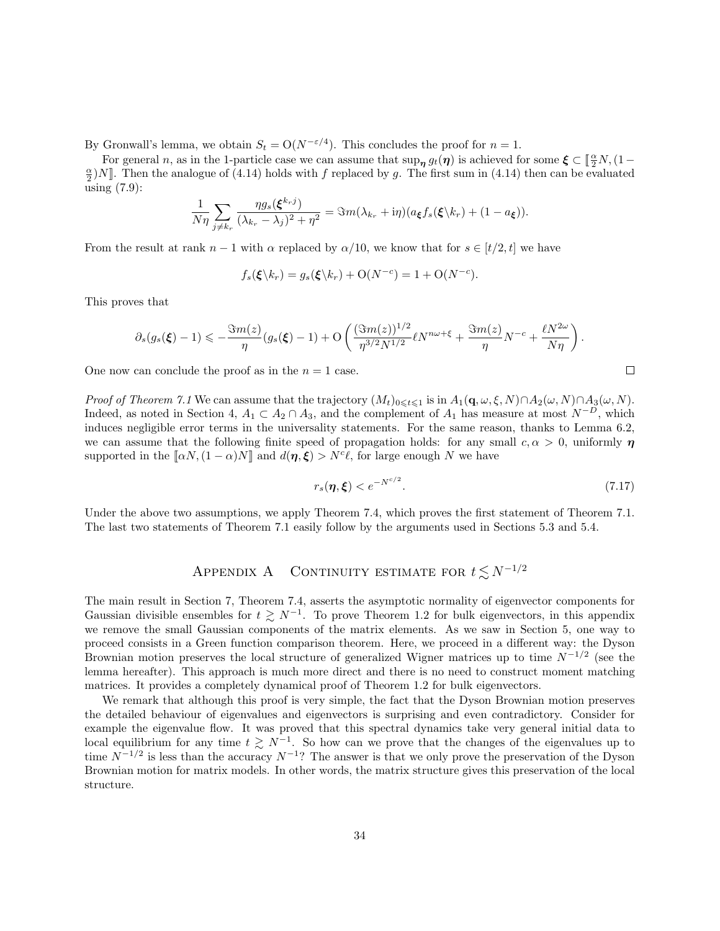By Gronwall's lemma, we obtain  $S_t = O(N^{-\epsilon/4})$ . This concludes the proof for  $n = 1$ .

For general n, as in the 1-particle case we can assume that  $\sup_{\eta} g_t(\eta)$  is achieved for some  $\xi \subset [\frac{\alpha}{2}N, (1-\frac{\alpha}{2})]$  $\frac{\alpha}{2}$ )N]. Then the analogue of (4.14) holds with f replaced by g. The first sum in (4.14) then can be evaluated using (7.9):

$$
\frac{1}{N\eta}\sum_{j\neq k_r}\frac{\eta g_s(\boldsymbol{\xi}^{k_rj})}{(\lambda_{k_r}-\lambda_j)^2+\eta^2}=\Im m(\lambda_{k_r}+\mathrm{i}\eta)(a_{\boldsymbol{\xi}}f_s(\boldsymbol{\xi}\backslash k_r)+(1-a_{\boldsymbol{\xi}})).
$$

From the result at rank  $n-1$  with  $\alpha$  replaced by  $\alpha/10$ , we know that for  $s \in [t/2, t]$  we have

$$
f_s(\xi \backslash k_r) = g_s(\xi \backslash k_r) + \mathcal{O}(N^{-c}) = 1 + \mathcal{O}(N^{-c}).
$$

This proves that

$$
\partial_s(g_s(\xi)-1) \leq -\frac{\Im m(z)}{\eta}(g_s(\xi)-1) + O\left(\frac{(\Im m(z))^{1/2}}{\eta^{3/2}N^{1/2}}\ell N^{n\omega+\xi} + \frac{\Im m(z)}{\eta}N^{-c} + \frac{\ell N^{2\omega}}{N\eta}\right).
$$

One now can conclude the proof as in the  $n = 1$  case.

*Proof of Theorem 7.1* We can assume that the trajectory  $(M_t)_{0\leq t\leq 1}$  is in  $A_1(\mathbf{q}, \omega, \xi, N) \cap A_2(\omega, N) \cap A_3(\omega, N)$ . Indeed, as noted in Section 4,  $A_1 \subset A_2 \cap A_3$ , and the complement of  $A_1$  has measure at most  $N^{-D}$ , which induces negligible error terms in the universality statements. For the same reason, thanks to Lemma 6.2, we can assume that the following finite speed of propagation holds: for any small  $c, \alpha > 0$ , uniformly  $\eta$ supported in the  $[\![\alpha N,(1-\alpha)N]\!]$  and  $d(\eta,\xi) > N^c\ell$ , for large enough N we have

$$
r_s(\boldsymbol{\eta}, \boldsymbol{\xi}) < e^{-N^{c/2}}.\tag{7.17}
$$

Under the above two assumptions, we apply Theorem 7.4, which proves the first statement of Theorem 7.1. The last two statements of Theorem 7.1 easily follow by the arguments used in Sections 5.3 and 5.4.

# APPENDIX A CONTINUITY ESTIMATE FOR  $t \lesssim N^{-1/2}$

The main result in Section 7, Theorem 7.4, asserts the asymptotic normality of eigenvector components for Gaussian divisible ensembles for  $t \geq N^{-1}$ . To prove Theorem 1.2 for bulk eigenvectors, in this appendix we remove the small Gaussian components of the matrix elements. As we saw in Section 5, one way to proceed consists in a Green function comparison theorem. Here, we proceed in a different way: the Dyson Brownian motion preserves the local structure of generalized Wigner matrices up to time  $N^{-1/2}$  (see the lemma hereafter). This approach is much more direct and there is no need to construct moment matching matrices. It provides a completely dynamical proof of Theorem 1.2 for bulk eigenvectors.

We remark that although this proof is very simple, the fact that the Dyson Brownian motion preserves the detailed behaviour of eigenvalues and eigenvectors is surprising and even contradictory. Consider for example the eigenvalue flow. It was proved that this spectral dynamics take very general initial data to local equilibrium for any time  $t \geq N^{-1}$ . So how can we prove that the changes of the eigenvalues up to time  $N^{-1/2}$  is less than the accuracy  $N^{-1}$ ? The answer is that we only prove the preservation of the Dyson Brownian motion for matrix models. In other words, the matrix structure gives this preservation of the local structure.

$$
\Box
$$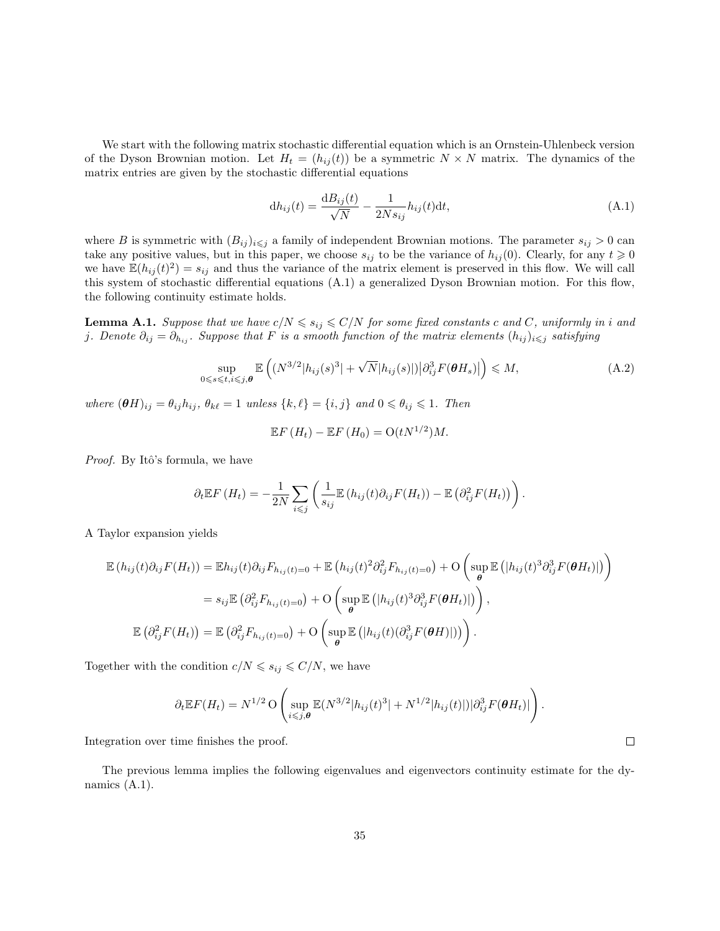We start with the following matrix stochastic differential equation which is an Ornstein-Uhlenbeck version of the Dyson Brownian motion. Let  $H_t = (h_{ij}(t))$  be a symmetric  $N \times N$  matrix. The dynamics of the matrix entries are given by the stochastic differential equations

$$
dh_{ij}(t) = \frac{dB_{ij}(t)}{\sqrt{N}} - \frac{1}{2Ns_{ij}}h_{ij}(t)dt,
$$
\n(A.1)

where B is symmetric with  $(B_{ij})_{i\leq j}$  a family of independent Brownian motions. The parameter  $s_{ij} > 0$  can take any positive values, but in this paper, we choose  $s_{ij}$  to be the variance of  $h_{ij}(0)$ . Clearly, for any  $t \geq 0$ we have  $\mathbb{E}(h_{ij}(t)^2) = s_{ij}$  and thus the variance of the matrix element is preserved in this flow. We will call this system of stochastic differential equations (A.1) a generalized Dyson Brownian motion. For this flow, the following continuity estimate holds.

**Lemma A.1.** Suppose that we have  $c/N \le s_{ij} \le C/N$  for some fixed constants c and C, uniformly in i and j. Denote  $\partial_{ij} = \partial_{h_{ij}}$ . Suppose that F is a smooth function of the matrix elements  $(h_{ij})_{i\leq j}$  satisfying

$$
\sup_{0 \leq s \leq t, i \leq j, \theta} \mathbb{E}\left( \left( N^{3/2} |h_{ij}(s)| + \sqrt{N} |h_{ij}(s)| \right) \left| \partial_{ij}^3 F(\theta H_s) \right| \right) \leq M, \tag{A.2}
$$

where  $(\theta H)_{ij} = \theta_{ij} h_{ij}, \theta_{k\ell} = 1$  unless  $\{k, \ell\} = \{i, j\}$  and  $0 \le \theta_{ij} \le 1$ . Then

$$
\mathbb{E} F(H_t) - \mathbb{E} F(H_0) = O(tN^{1/2})M.
$$

*Proof.* By Itô's formula, we have

$$
\partial_t \mathbb{E} F(H_t) = -\frac{1}{2N} \sum_{i \leq j} \left( \frac{1}{s_{ij}} \mathbb{E} (h_{ij}(t) \partial_{ij} F(H_t)) - \mathbb{E} \left( \partial_{ij}^2 F(H_t) \right) \right).
$$

A Taylor expansion yields

$$
\mathbb{E}\left(h_{ij}(t)\partial_{ij}F(H_t)\right) = \mathbb{E}h_{ij}(t)\partial_{ij}F_{h_{ij}(t)=0} + \mathbb{E}\left(h_{ij}(t)^2\partial_{ij}^2F_{h_{ij}(t)=0}\right) + \mathcal{O}\left(\sup_{\theta}\mathbb{E}\left(|h_{ij}(t)^3\partial_{ij}^3F(\theta H_t)|\right)\right)
$$

$$
= s_{ij}\mathbb{E}\left(\partial_{ij}^2F_{h_{ij}(t)=0}\right) + \mathcal{O}\left(\sup_{\theta}\mathbb{E}\left(|h_{ij}(t)^3\partial_{ij}^3F(\theta H_t)|\right)\right),
$$

$$
\mathbb{E}\left(\partial_{ij}^2F(H_t)\right) = \mathbb{E}\left(\partial_{ij}^2F_{h_{ij}(t)=0}\right) + \mathcal{O}\left(\sup_{\theta}\mathbb{E}\left(|h_{ij}(t)(\partial_{ij}^3F(\theta H)||)\right)\right).
$$

Together with the condition  $c/N \leqslant s_{ij} \leqslant C/N$ , we have

$$
\partial_t \mathbb{E} F(H_t) = N^{1/2} \operatorname{O}\left(\sup_{i \leq j,\boldsymbol{\theta}} \mathbb{E}(N^{3/2} |h_{ij}(t)^3| + N^{1/2} |h_{ij}(t)|) |\partial_{ij}^3 F(\boldsymbol{\theta} H_t)|\right).
$$

Integration over time finishes the proof.

The previous lemma implies the following eigenvalues and eigenvectors continuity estimate for the dynamics (A.1).

 $\Box$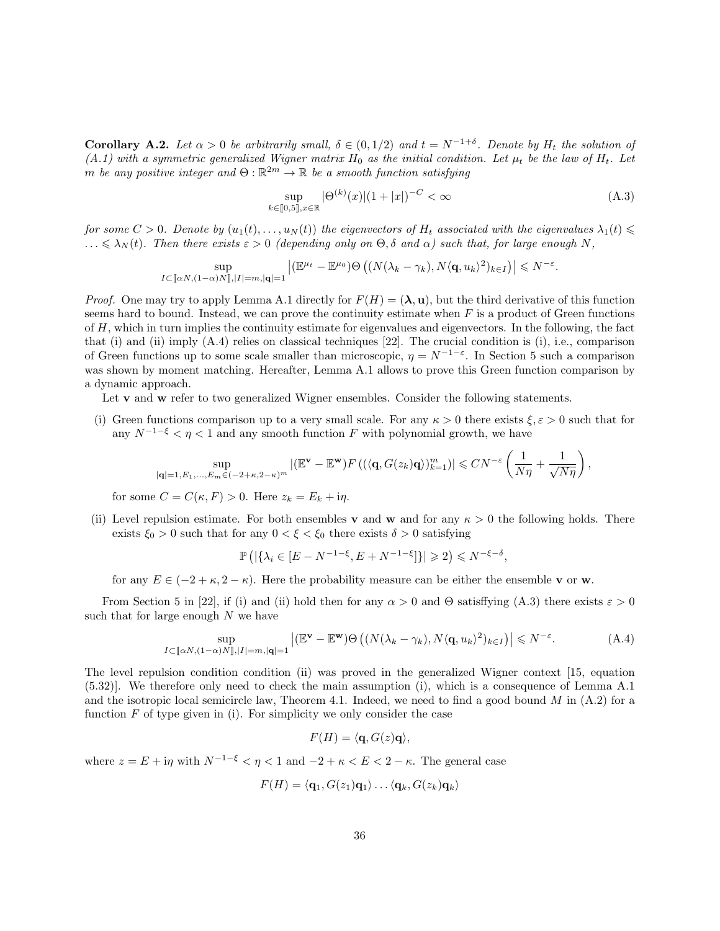**Corollary A.2.** Let  $\alpha > 0$  be arbitrarily small,  $\delta \in (0, 1/2)$  and  $t = N^{-1+\delta}$ . Denote by  $H_t$  the solution of (A.1) with a symmetric generalized Wigner matrix  $H_0$  as the initial condition. Let  $\mu_t$  be the law of  $H_t$ . Let m be any positive integer and  $\Theta : \mathbb{R}^{2m} \to \mathbb{R}$  be a smooth function satisfying

$$
\sup_{k \in [0,5], x \in \mathbb{R}} |\Theta^{(k)}(x)| (1+|x|)^{-C} < \infty
$$
\n(A.3)

.

for some  $C > 0$ . Denote by  $(u_1(t), \ldots, u_N(t))$  the eigenvectors of  $H_t$  associated with the eigenvalues  $\lambda_1(t) \leq$  $\ldots \leq \lambda_N(t)$ . Then there exists  $\varepsilon > 0$  (depending only on  $\Theta$ ,  $\delta$  and  $\alpha$ ) such that, for large enough N,

$$
\sup_{I \subset [\![\alpha N,(1-\alpha)N]\!],|I|=m,|\mathbf{q} |=1} \left| (\mathbb{E}^{\mu_t}-\mathbb{E}^{\mu_0}) \Theta \left( (N(\lambda_k-\gamma_k),N\langle \mathbf{q},u_k\rangle^2)_{k\in I}) \right| \leqslant N^{-\varepsilon}
$$

*Proof.* One may try to apply Lemma A.1 directly for  $F(H) = (\lambda, \mathbf{u})$ , but the third derivative of this function seems hard to bound. Instead, we can prove the continuity estimate when  $F$  is a product of Green functions of  $H$ , which in turn implies the continuity estimate for eigenvalues and eigenvectors. In the following, the fact that (i) and (ii) imply  $(A.4)$  relies on classical techniques [22]. The crucial condition is (i), i.e., comparison of Green functions up to some scale smaller than microscopic,  $\eta = N^{-1-\epsilon}$ . In Section 5 such a comparison was shown by moment matching. Hereafter, Lemma A.1 allows to prove this Green function comparison by a dynamic approach.

Let **v** and **w** refer to two generalized Wigner ensembles. Consider the following statements.

(i) Green functions comparison up to a very small scale. For any  $\kappa > 0$  there exists  $\xi, \varepsilon > 0$  such that for any  $N^{-1-\xi} < \eta < 1$  and any smooth function F with polynomial growth, we have

$$
\sup_{|\mathbf{q}|=1,E_1,...,E_m\in(-2+\kappa,2-\kappa)^m}|(\mathbb{E}^{\mathbf{v}}-\mathbb{E}^{\mathbf{w}})F\left((\langle\mathbf{q},G(z_k)\mathbf{q}\rangle)_{k=1}^m\right)|\leqslant CN^{-\varepsilon}\left(\frac{1}{N\eta}+\frac{1}{\sqrt{N\eta}}\right),
$$

for some  $C = C(\kappa, F) > 0$ . Here  $z_k = E_k + i\eta$ .

(ii) Level repulsion estimate. For both ensembles **v** and **w** and for any  $\kappa > 0$  the following holds. There exists  $\xi_0 > 0$  such that for any  $0 < \xi < \xi_0$  there exists  $\delta > 0$  satisfying

$$
\mathbb{P}\left(|\{\lambda_i \in [E - N^{-1-\xi}, E + N^{-1-\xi}]\}| \geq 2\right) \leq N^{-\xi-\delta},
$$

for any  $E \in (-2 + \kappa, 2 - \kappa)$ . Here the probability measure can be either the ensemble v or w.

From Section 5 in [22], if (i) and (ii) hold then for any  $\alpha > 0$  and  $\Theta$  satisffying (A.3) there exists  $\varepsilon > 0$ such that for large enough  $N$  we have

$$
\sup_{I \subset [\![\alpha N,(1-\alpha)N]\!] ,|I|=m,|\mathbf{q} |=1} \left| (\mathbb{E}^{\mathbf{v}} - \mathbb{E}^{\mathbf{w}}) \Theta \left( (N(\lambda_k - \gamma_k), N \langle \mathbf{q}, u_k \rangle^2)_{k \in I} \right) \right| \leq N^{-\varepsilon}.
$$
\n(A.4)

The level repulsion condition condition (ii) was proved in the generalized Wigner context [15, equation (5.32)]. We therefore only need to check the main assumption (i), which is a consequence of Lemma A.1 and the isotropic local semicircle law, Theorem 4.1. Indeed, we need to find a good bound  $M$  in  $(A.2)$  for a function  $F$  of type given in (i). For simplicity we only consider the case

$$
F(H) = \langle \mathbf{q}, G(z)\mathbf{q} \rangle,
$$

where  $z = E + i\eta$  with  $N^{-1-\xi} < \eta < 1$  and  $-2 + \kappa < E < 2 - \kappa$ . The general case

$$
F(H) = \langle \mathbf{q}_1, G(z_1)\mathbf{q}_1 \rangle \dots \langle \mathbf{q}_k, G(z_k)\mathbf{q}_k \rangle
$$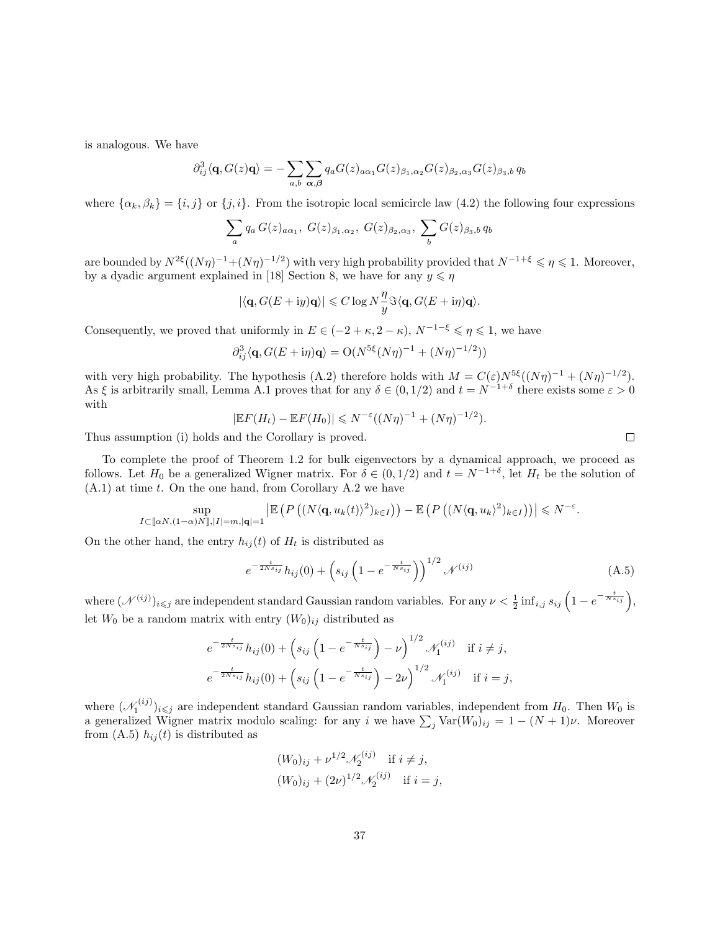is analogous. We have

$$
\partial_{ij}^3 \langle \mathbf{q}, G(z)\mathbf{q} \rangle = -\sum_{a,b} \sum_{\alpha,\beta} q_a G(z)_{a\alpha_1} G(z)_{\beta_1,\alpha_2} G(z)_{\beta_2,\alpha_3} G(z)_{\beta_3,b} q_b
$$

where  $\{\alpha_k, \beta_k\} = \{i, j\}$  or  $\{j, i\}$ . From the isotropic local semicircle law  $(4.2)$  the following four expressions

$$
\sum_{a} q_a G(z)_{a\alpha_1}, G(z)_{\beta_1,\alpha_2}, G(z)_{\beta_2,\alpha_3}, \sum_{b} G(z)_{\beta_3,b} q_b
$$

are bounded by  $N^{2\xi}((N\eta)^{-1}+(N\eta)^{-1/2})$  with very high probability provided that  $N^{-1+\xi}\leqslant\eta\leqslant 1$ . Moreover, by a dyadic argument explained in [18] Section 8, we have for any  $y \leq \eta$ 

$$
|\langle \mathbf{q}, G(E + iy)\mathbf{q}\rangle| \leq C \log N \frac{\eta}{y} \Im \langle \mathbf{q}, G(E + i\eta)\mathbf{q}\rangle.
$$

Consequently, we proved that uniformly in  $E \in (-2 + \kappa, 2 - \kappa)$ ,  $N^{-1-\xi} \leq \eta \leq 1$ , we have

$$
\partial_{ij}^3 \langle \mathbf{q}, G(E + \mathrm{i} \eta) \mathbf{q} \rangle = \mathrm{O}(N^{5\xi}(N\eta)^{-1} + (N\eta)^{-1/2}))
$$

with very high probability. The hypothesis (A.2) therefore holds with  $M = C(\varepsilon)N^{5\xi}((N\eta)^{-1} + (N\eta)^{-1/2})$ . As  $\xi$  is arbitrarily small, Lemma A.1 proves that for any  $\delta \in (0,1/2)$  and  $t = N^{-1+\delta}$  there exists some  $\varepsilon > 0$ with

$$
|\mathbb{E} F(H_t) - \mathbb{E} F(H_0)| \le N^{-\varepsilon} ((N\eta)^{-1} + (N\eta)^{-1/2}).
$$

Thus assumption (i) holds and the Corollary is proved.

To complete the proof of Theorem 1.2 for bulk eigenvectors by a dynamical approach, we proceed as follows. Let  $H_0$  be a generalized Wigner matrix. For  $\delta \in (0, 1/2)$  and  $t = N^{-1+\delta}$ , let  $H_t$  be the solution of  $(A.1)$  at time t. On the one hand, from Corollary A.2 we have

$$
\sup_{I\subset[\![\alpha N,(1-\alpha)N]\!],|I|=m,|\mathbf{q} |=1}\left|\mathbb{E}\left(P\left((N\langle\mathbf{q},u_k(t)\rangle^2)_{k\in I}\right)\right)-\mathbb{E}\left(P\left((N\langle\mathbf{q},u_k\rangle^2)_{k\in I}\right)\right)\right|\leqslant N^{-\varepsilon}.
$$

On the other hand, the entry  $h_{ij}(t)$  of  $H_t$  is distributed as

$$
e^{-\frac{t}{2Ns_{ij}}}h_{ij}(0) + \left(s_{ij}\left(1 - e^{-\frac{t}{Ns_{ij}}}\right)\right)^{1/2} \mathcal{N}^{(ij)}
$$
(A.5)

where  $(\mathcal{N}^{(ij)})_{i\leqslant j}$  are independent standard Gaussian random variables. For any  $\nu<\frac{1}{2}\inf_{i,j}s_{ij}\left(1-e^{-\frac{t}{N s_{ij}}}\right),$ let  $W_0$  be a random matrix with entry  $(W_0)_{ij}$  distributed as

$$
e^{-\frac{t}{2Ns_{ij}}}h_{ij}(0) + \left(s_{ij}\left(1 - e^{-\frac{t}{Ns_{ij}}}\right) - \nu\right)^{1/2} \mathcal{N}_1^{(ij)} \text{ if } i \neq j,
$$
  

$$
e^{-\frac{t}{2Ns_{ij}}}h_{ij}(0) + \left(s_{ij}\left(1 - e^{-\frac{t}{Ns_{ij}}}\right) - 2\nu\right)^{1/2} \mathcal{N}_1^{(ij)} \text{ if } i = j,
$$

where  $(\mathcal{N}_1^{(ij)})_{i\leq j}$  are independent standard Gaussian random variables, independent from  $H_0$ . Then  $W_0$  is a generalized Wigner matrix modulo scaling: for any i we have  $\sum_j \text{Var}(W_0)_{ij} = 1 - (N+1)\nu$ . Moreover from (A.5)  $h_{ij}(t)$  is distributed as

$$
(W_0)_{ij} + \nu^{1/2} \mathcal{N}_2^{(ij)}
$$
 if  $i \neq j$ ,  
\n $(W_0)_{ij} + (2\nu)^{1/2} \mathcal{N}_2^{(ij)}$  if  $i = j$ ,

 $\Box$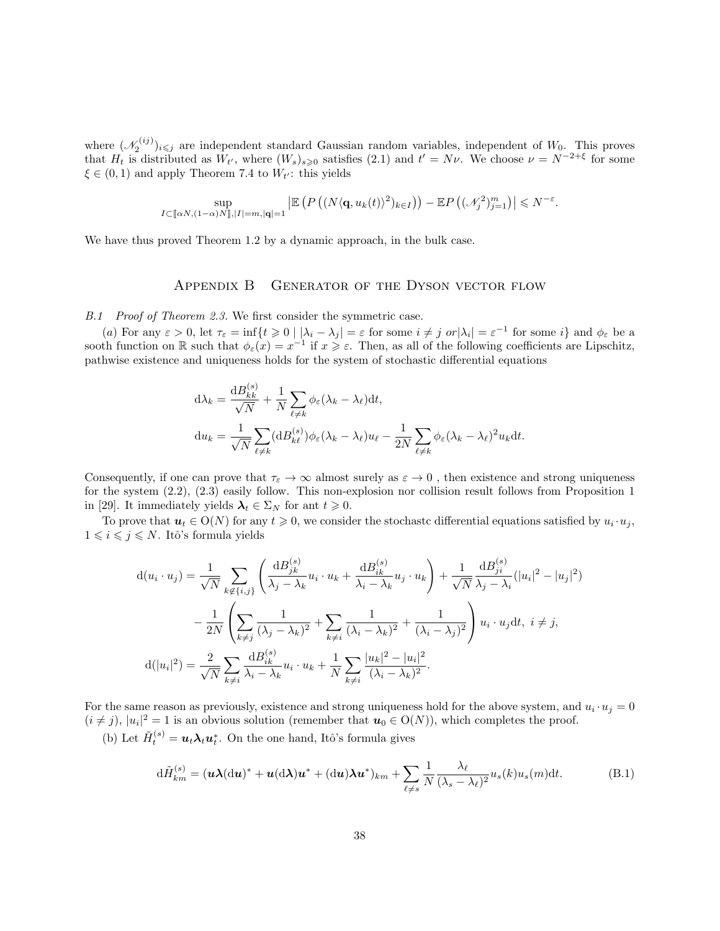where  $({\mathscr N}_2^{(ij)})_{i\leq j}$  are independent standard Gaussian random variables, independent of  $W_0$ . This proves that  $H_t$  is distributed as  $W_{t'}$ , where  $(W_s)_{s\geqslant0}$  satisfies (2.1) and  $t' = N\nu$ . We choose  $\nu = N^{-2+\xi}$  for some  $\xi \in (0, 1)$  and apply Theorem 7.4 to  $W_{t'}$ : this yields

$$
\sup_{I\subset [\![\alpha N,(1-\alpha)N]\!],|I|=m,|\mathbf{q}|=1}\left|\mathbb{E}\left(P\left((N\langle \mathbf{q},u_k(t)\rangle^2)_{k\in I}\right)\right)-\mathbb{E}P\left((\mathscr{N}_j^2)_{j=1}^m\right)\right|\leqslant N^{-\varepsilon}.
$$

We have thus proved Theorem 1.2 by a dynamic approach, in the bulk case.

#### APPENDIX B GENERATOR OF THE DYSON VECTOR FLOW

B.1 Proof of Theorem 2.3. We first consider the symmetric case.

(a) For any  $\varepsilon > 0$ , let  $\tau_{\varepsilon} = \inf\{t \geq 0 \mid |\lambda_i - \lambda_j| = \varepsilon$  for some  $i \neq j$  or  $|\lambda_i| = \varepsilon^{-1}$  for some  $i\}$  and  $\phi_{\varepsilon}$  be a sooth function on R such that  $\phi_{\varepsilon}(x) = x^{-1}$  if  $x \geq \varepsilon$ . Then, as all of the following coefficients are Lipschitz, pathwise existence and uniqueness holds for the system of stochastic differential equations

$$
d\lambda_k = \frac{dB_{kk}^{(s)}}{\sqrt{N}} + \frac{1}{N} \sum_{\ell \neq k} \phi_{\varepsilon} (\lambda_k - \lambda_{\ell}) dt,
$$
  

$$
du_k = \frac{1}{\sqrt{N}} \sum_{\ell \neq k} (dB_{k\ell}^{(s)}) \phi_{\varepsilon} (\lambda_k - \lambda_{\ell}) u_{\ell} - \frac{1}{2N} \sum_{\ell \neq k} \phi_{\varepsilon} (\lambda_k - \lambda_{\ell})^2 u_k dt.
$$

Consequently, if one can prove that  $\tau_{\varepsilon} \to \infty$  almost surely as  $\varepsilon \to 0$ , then existence and strong uniqueness for the system (2.2), (2.3) easily follow. This non-explosion nor collision result follows from Proposition 1 in [29]. It immediately yields  $\lambda_t \in \Sigma_N$  for ant  $t \geq 0$ .

To prove that  $u_t \in O(N)$  for any  $t \geq 0$ , we consider the stochastc differential equations satisfied by  $u_i \cdot u_j$ ,  $1 \leq i \leq j \leq N$ . Itô's formula yields

$$
d(u_i \cdot u_j) = \frac{1}{\sqrt{N}} \sum_{k \notin \{i,j\}} \left( \frac{dB_{jk}^{(s)}}{\lambda_j - \lambda_k} u_i \cdot u_k + \frac{dB_{ik}^{(s)}}{\lambda_i - \lambda_k} u_j \cdot u_k \right) + \frac{1}{\sqrt{N}} \frac{dB_{ji}^{(s)}}{\lambda_j - \lambda_i} (|u_i|^2 - |u_j|^2) - \frac{1}{2N} \left( \sum_{k \neq j} \frac{1}{(\lambda_j - \lambda_k)^2} + \sum_{k \neq i} \frac{1}{(\lambda_i - \lambda_k)^2} + \frac{1}{(\lambda_i - \lambda_j)^2} \right) u_i \cdot u_j dt, \ i \neq j, d(|u_i|^2) = \frac{2}{\sqrt{N}} \sum_{k \neq i} \frac{dB_{ik}^{(s)}}{\lambda_i - \lambda_k} u_i \cdot u_k + \frac{1}{N} \sum_{k \neq i} \frac{|u_k|^2 - |u_i|^2}{(\lambda_i - \lambda_k)^2}.
$$

For the same reason as previously, existence and strong uniqueness hold for the above system, and  $u_i \cdot u_j = 0$  $(i \neq j)$ ,  $|u_i|^2 = 1$  is an obvious solution (remember that  $u_0 \in O(N)$ ), which completes the proof.

(b) Let  $\tilde{H}_t^{(s)} = \boldsymbol{u}_t \boldsymbol{\lambda}_t \boldsymbol{u}_t^*$ . On the one hand, Itô's formula gives

$$
d\tilde{H}_{km}^{(s)} = (\boldsymbol{u}\boldsymbol{\lambda}(d\boldsymbol{u})^* + \boldsymbol{u}(d\boldsymbol{\lambda})\boldsymbol{u}^* + (d\boldsymbol{u})\boldsymbol{\lambda}\boldsymbol{u}^*)_{km} + \sum_{\ell \neq s} \frac{1}{N} \frac{\lambda_{\ell}}{(\lambda_s - \lambda_{\ell})^2} u_s(k) u_s(m) dt.
$$
 (B.1)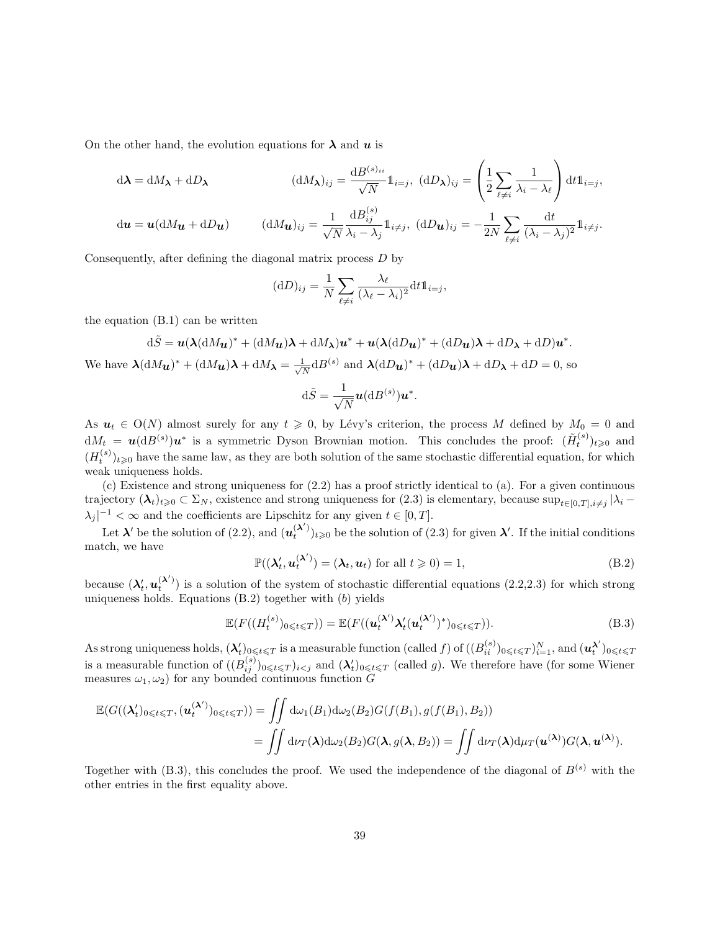On the other hand, the evolution equations for  $\lambda$  and  $u$  is

$$
d\lambda = dM_{\lambda} + dD_{\lambda}
$$
\n
$$
(dM_{\lambda})_{ij} = \frac{dB^{(s)_{ii}}}{\sqrt{N}} 1_{i=j}, \ (dD_{\lambda})_{ij} = \left(\frac{1}{2} \sum_{\ell \neq i} \frac{1}{\lambda_i - \lambda_\ell}\right) dt 1_{i=j},
$$
\n
$$
du = u(dM_{\mathbf{u}} + dD_{\mathbf{u}})
$$
\n
$$
(dM_{\mathbf{u}})_{ij} = \frac{1}{\sqrt{N}} \frac{dB^{(s)}_{ij}}{\lambda_i - \lambda_j} 1_{i \neq j}, \ (dD_{\mathbf{u}})_{ij} = -\frac{1}{2N} \sum_{\ell \neq i} \frac{dt}{(\lambda_i - \lambda_j)^2} 1_{i \neq j}.
$$

Consequently, after defining the diagonal matrix process D by

$$
(\mathrm{d}D)_{ij} = \frac{1}{N} \sum_{\ell \neq i} \frac{\lambda_{\ell}}{(\lambda_{\ell} - \lambda_i)^2} \mathrm{d}t \mathbb{1}_{i=j},
$$

the equation (B.1) can be written

$$
d\tilde{S} = \mathbf{u}(\lambda (dM_{\mathbf{u}})^* + (dM_{\mathbf{u}})\lambda + dM_{\lambda})\mathbf{u}^* + \mathbf{u}(\lambda (dD_{\mathbf{u}})^* + (dD_{\mathbf{u}})\lambda + dD_{\lambda} + dD)\mathbf{u}^*.
$$
  
We have  $\lambda (dM_{\mathbf{u}})^* + (dM_{\mathbf{u}})\lambda + dM_{\lambda} = \frac{1}{\sqrt{N}}dB^{(s)}$  and  $\lambda (dD_{\mathbf{u}})^* + (dD_{\mathbf{u}})\lambda + dD_{\lambda} + dD = 0$ , so  
 $d\tilde{S} = \frac{1}{\sqrt{N}}\mathbf{u}(dB^{(s)})\mathbf{u}^*.$ 

As  $u_t \in O(N)$  almost surely for any  $t \geq 0$ , by Lévy's criterion, the process M defined by  $M_0 = 0$  and  $dM_t = u(dB^{(s)})u^*$  is a symmetric Dyson Brownian motion. This concludes the proof:  $(\tilde{H}_t^{(s)})_{t\geqslant0}$  and  $(H_t^{(s)})_{t\geqslant0}$  have the same law, as they are both solution of the same stochastic differential equation, for which weak uniqueness holds.

(c) Existence and strong uniqueness for (2.2) has a proof strictly identical to (a). For a given continuous trajectory  $(\lambda_t)_{t\geqslant0}\subset\Sigma_N$ , existence and strong uniqueness for  $(2.3)$  is elementary, because  $\sup_{t\in[0,T],i\neq j}|\lambda_i-\lambda_j|$  $|\lambda_j|^{-1} < \infty$  and the coefficients are Lipschitz for any given  $t \in [0, T]$ .

Let  $\lambda'$  be the solution of (2.2), and  $(u_t^{(\lambda')})_{t\geqslant 0}$  be the solution of (2.3) for given  $\lambda'$ . If the initial conditions match, we have

$$
\mathbb{P}((\lambda_t', \boldsymbol{u}_t^{(\lambda')}) = (\lambda_t, \boldsymbol{u}_t) \text{ for all } t \geqslant 0) = 1,
$$
\n(B.2)

because  $(\lambda'_t, u_t^{(\lambda')})$  is a solution of the system of stochastic differential equations (2.2,2.3) for which strong uniqueness holds. Equations  $(B.2)$  together with  $(b)$  yields

$$
\mathbb{E}(F((H_t^{(s)})_{0\leqslant t\leqslant T})) = \mathbb{E}(F((\mathbf{u}_t^{(\lambda')}\lambda_t'(\mathbf{u}_t^{(\lambda')})^*)_{0\leqslant t\leqslant T})).
$$
\n(B.3)

As strong uniqueness holds,  $(\lambda_t')_{0\leqslant t\leqslant T}$  is a measurable function (called f) of  $((B_{ii}^{(s)})_{0\leqslant t\leqslant T})_{i=1}^N$ , and  $(u_t^{\lambda'})_{0\leqslant t\leqslant T}$ is a measurable function of  $((B_{ij}^{(s)})_{0\leqslant t\leqslant T})_{i\leqslant j}$  and  $(\lambda'_t)_{0\leqslant t\leqslant T}$  (called g). We therefore have (for some Wiener measures  $\omega_1, \omega_2$ ) for any bounded continuous function G

$$
\mathbb{E}(G((\lambda'_t)_{0\leqslant t\leqslant T},(\boldsymbol{u}_t^{(\boldsymbol{\lambda}')})_{0\leqslant t\leqslant T}))=\iint d\omega_1(B_1)d\omega_2(B_2)G(f(B_1),g(f(B_1),B_2))
$$
  
=\iint d\nu\_T(\boldsymbol{\lambda})d\omega\_2(B\_2)G(\boldsymbol{\lambda},g(\boldsymbol{\lambda},B\_2))=\iint d\nu\_T(\boldsymbol{\lambda})d\mu\_T(\boldsymbol{u}^{(\boldsymbol{\lambda})})G(\boldsymbol{\lambda},\boldsymbol{u}^{(\boldsymbol{\lambda})}).

Together with (B.3), this concludes the proof. We used the independence of the diagonal of  $B^{(s)}$  with the other entries in the first equality above.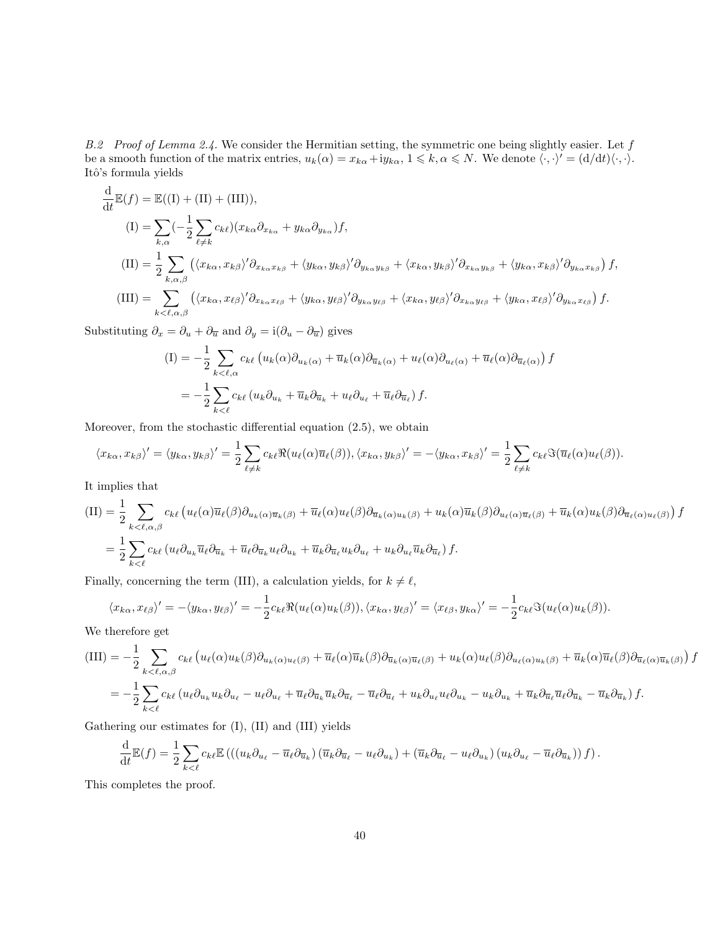B.2 Proof of Lemma 2.4. We consider the Hermitian setting, the symmetric one being slightly easier. Let  $f$ be a smooth function of the matrix entries,  $u_k(\alpha) = x_{k\alpha} + iy_{k\alpha}, 1 \leq k, \alpha \leq N$ . We denote  $\langle \cdot, \cdot \rangle' = (d/dt)\langle \cdot, \cdot \rangle$ . Itô's formula yields

$$
\frac{d}{dt}\mathbb{E}(f) = \mathbb{E}((I) + (II) + (III)),
$$
\n
$$
(I) = \sum_{k,\alpha} \left(-\frac{1}{2} \sum_{\ell \neq k} c_{k\ell} \right) (x_{k\alpha} \partial_{x_{k\alpha}} + y_{k\alpha} \partial_{y_{k\alpha}}) f,
$$
\n
$$
(III) = \frac{1}{2} \sum_{k,\alpha,\beta} \left( \langle x_{k\alpha}, x_{k\beta} \rangle' \partial_{x_{k\alpha} x_{k\beta}} + \langle y_{k\alpha}, y_{k\beta} \rangle' \partial_{y_{k\alpha} y_{k\beta}} + \langle x_{k\alpha}, y_{k\beta} \rangle' \partial_{x_{k\alpha} y_{k\beta}} + \langle y_{k\alpha}, x_{k\beta} \rangle' \partial_{y_{k\alpha} x_{k\beta}} \right) f,
$$
\n
$$
(III) = \sum_{k < \ell, \alpha, \beta} \left( \langle x_{k\alpha}, x_{\ell\beta} \rangle' \partial_{x_{k\alpha} x_{\ell\beta}} + \langle y_{k\alpha}, y_{\ell\beta} \rangle' \partial_{y_{k\alpha} y_{\ell\beta}} + \langle x_{k\alpha}, y_{\ell\beta} \rangle' \partial_{x_{k\alpha} y_{\ell\beta}} + \langle y_{k\alpha}, x_{\ell\beta} \rangle' \partial_{y_{k\alpha} x_{\ell\beta}} \right) f.
$$

Substituting  $\partial_x = \partial_u + \partial_{\overline{u}}$  and  $\partial_y = i(\partial_u - \partial_{\overline{u}})$  gives

$$
\begin{split} \text{(I)} &= -\frac{1}{2} \sum_{k < \ell, \alpha} c_{k\ell} \left( u_k(\alpha) \partial_{u_k(\alpha)} + \overline{u}_k(\alpha) \partial_{\overline{u}_k(\alpha)} + u_\ell(\alpha) \partial_{u_\ell(\alpha)} + \overline{u}_\ell(\alpha) \partial_{\overline{u}_\ell(\alpha)} \right) f \\ &= -\frac{1}{2} \sum_{k < \ell} c_{k\ell} \left( u_k \partial_{u_k} + \overline{u}_k \partial_{\overline{u}_k} + u_\ell \partial_{u_\ell} + \overline{u}_\ell \partial_{\overline{u}_\ell} \right) f. \end{split}
$$

Moreover, from the stochastic differential equation (2.5), we obtain

$$
\langle x_{k\alpha}, x_{k\beta} \rangle' = \langle y_{k\alpha}, y_{k\beta} \rangle' = \frac{1}{2} \sum_{\ell \neq k} c_{k\ell} \Re(u_{\ell}(\alpha) \overline{u}_{\ell}(\beta)), \langle x_{k\alpha}, y_{k\beta} \rangle' = -\langle y_{k\alpha}, x_{k\beta} \rangle' = \frac{1}{2} \sum_{\ell \neq k} c_{k\ell} \Im(\overline{u}_{\ell}(\alpha) u_{\ell}(\beta)).
$$

It implies that

$$
\begin{split} \text{(II)} &= \frac{1}{2} \sum_{k < \ell, \alpha, \beta} c_{k\ell} \left( u_{\ell}(\alpha) \overline{u}_{\ell}(\beta) \partial_{u_{k}(\alpha) \overline{u}_{k}(\beta)} + \overline{u}_{\ell}(\alpha) u_{\ell}(\beta) \partial_{\overline{u}_{k}(\alpha) u_{k}(\beta)} + u_{k}(\alpha) \overline{u}_{k}(\beta) \partial_{u_{\ell}(\alpha) \overline{u}_{\ell}(\beta)} + \overline{u}_{k}(\alpha) u_{k}(\beta) \partial_{\overline{u}_{\ell}(\alpha) u_{\ell}(\beta)} \right) f \\ &= \frac{1}{2} \sum_{k < \ell} c_{k\ell} \left( u_{\ell} \partial_{u_{k}} \overline{u}_{\ell} \partial_{\overline{u}_{k}} + \overline{u}_{\ell} \partial_{\overline{u}_{k}} u_{\ell} \partial_{u_{k}} + \overline{u}_{k} \partial_{\overline{u}_{\ell}} u_{k} \partial_{u_{\ell}} + u_{k} \partial_{u_{\ell}} \overline{u}_{k} \partial_{\overline{u}_{\ell}} \right) f. \end{split}
$$

Finally, concerning the term (III), a calculation yields, for  $k \neq \ell$ ,

$$
\langle x_{k\alpha}, x_{\ell\beta} \rangle' = -\langle y_{k\alpha}, y_{\ell\beta} \rangle' = -\frac{1}{2} c_{k\ell} \Re(u_{\ell}(\alpha) u_k(\beta)), \langle x_{k\alpha}, y_{\ell\beta} \rangle' = \langle x_{\ell\beta}, y_{k\alpha} \rangle' = -\frac{1}{2} c_{k\ell} \Im(u_{\ell}(\alpha) u_k(\beta)).
$$

We therefore get

$$
(III) = -\frac{1}{2} \sum_{k < \ell, \alpha, \beta} c_{k\ell} \left( u_{\ell}(\alpha) u_{k}(\beta) \partial_{u_{k}(\alpha) u_{\ell}(\beta)} + \overline{u}_{\ell}(\alpha) \overline{u}_{k}(\beta) \partial_{\overline{u}_{k}(\alpha) \overline{u}_{\ell}(\beta)} + u_{k}(\alpha) u_{\ell}(\beta) \partial_{u_{\ell}(\alpha) u_{k}(\beta)} + \overline{u}_{k}(\alpha) \overline{u}_{\ell}(\beta) \partial_{\overline{u}_{\ell}(\alpha) \overline{u}_{k}(\beta)} \right) f
$$
  

$$
= -\frac{1}{2} \sum_{k < \ell} c_{k\ell} \left( u_{\ell} \partial_{u_{k}} u_{k} \partial_{u_{\ell}} - u_{\ell} \partial_{u_{\ell}} + \overline{u}_{\ell} \partial_{\overline{u}_{k}} \overline{u}_{k} \partial_{\overline{u}_{\ell}} - \overline{u}_{\ell} \partial_{\overline{u}_{\ell}} + u_{k} \partial_{u_{\ell}} u_{\ell} \partial_{u_{k}} - u_{k} \partial_{u_{k}} + \overline{u}_{k} \partial_{\overline{u}_{\ell}} \overline{u}_{\ell} \partial_{\overline{u}_{k}} - \overline{u}_{k} \partial_{\overline{u}_{k}} \right) f.
$$

Gathering our estimates for (I), (II) and (III) yields

$$
\frac{\mathrm{d}}{\mathrm{d}t}\mathbb{E}(f) = \frac{1}{2}\sum_{k<\ell}c_{k\ell}\mathbb{E}\left(\left((u_k\partial_{u_\ell}-\overline{u}_\ell\partial_{\overline{u}_k}\right)\left(\overline{u}_k\partial_{\overline{u}_\ell}-u_\ell\partial_{u_k}\right)+\left(\overline{u}_k\partial_{\overline{u}_\ell}-u_\ell\partial_{u_k}\right)\left(u_k\partial_{u_\ell}-\overline{u}_\ell\partial_{\overline{u}_k}\right)\right)f\right).
$$

This completes the proof.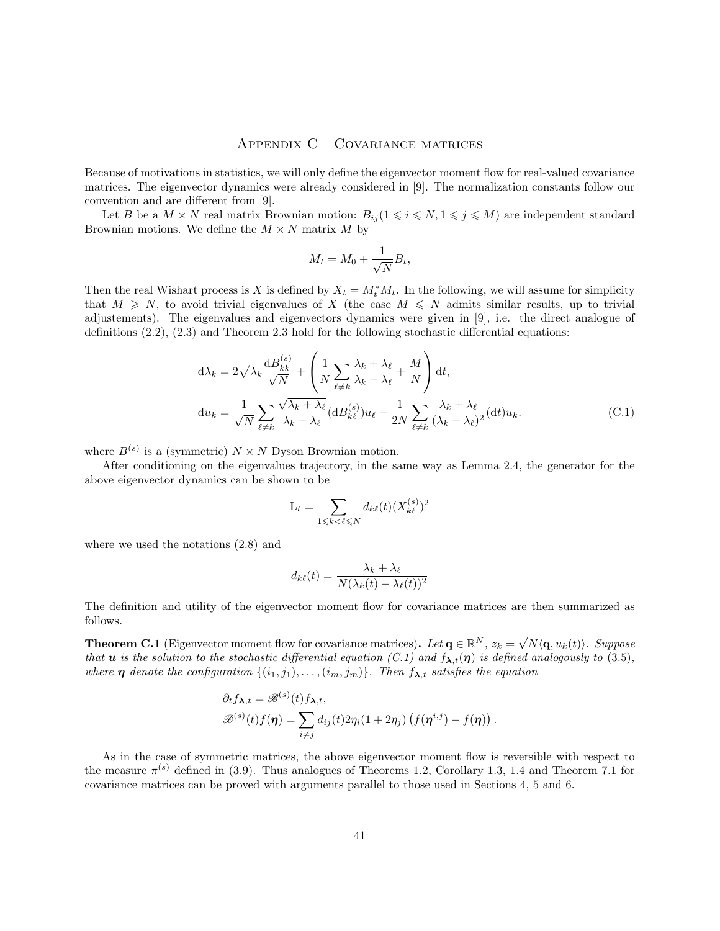### Appendix C Covariance matrices

Because of motivations in statistics, we will only define the eigenvector moment flow for real-valued covariance matrices. The eigenvector dynamics were already considered in [9]. The normalization constants follow our convention and are different from [9].

Let B be a  $M \times N$  real matrix Brownian motion:  $B_{ij} (1 \leq i \leq N, 1 \leq j \leq M)$  are independent standard Brownian motions. We define the  $M \times N$  matrix M by

$$
M_t = M_0 + \frac{1}{\sqrt{N}} B_t,
$$

Then the real Wishart process is X is defined by  $X_t = M_t^* M_t$ . In the following, we will assume for simplicity that  $M \geq N$ , to avoid trivial eigenvalues of X (the case  $M \leq N$  admits similar results, up to trivial adjustements). The eigenvalues and eigenvectors dynamics were given in [9], i.e. the direct analogue of definitions (2.2), (2.3) and Theorem 2.3 hold for the following stochastic differential equations:

$$
d\lambda_k = 2\sqrt{\lambda_k} \frac{dB_{kk}^{(s)}}{\sqrt{N}} + \left(\frac{1}{N} \sum_{\ell \neq k} \frac{\lambda_k + \lambda_\ell}{\lambda_k - \lambda_\ell} + \frac{M}{N}\right) dt,
$$
  

$$
du_k = \frac{1}{\sqrt{N}} \sum_{\ell \neq k} \frac{\sqrt{\lambda_k + \lambda_\ell}}{\lambda_k - \lambda_\ell} (dB_{k\ell}^{(s)}) u_\ell - \frac{1}{2N} \sum_{\ell \neq k} \frac{\lambda_k + \lambda_\ell}{(\lambda_k - \lambda_\ell)^2} (dt) u_k.
$$
 (C.1)

where  $B^{(s)}$  is a (symmetric)  $N \times N$  Dyson Brownian motion.

After conditioning on the eigenvalues trajectory, in the same way as Lemma 2.4, the generator for the above eigenvector dynamics can be shown to be

$$
\mathcal{L}_t = \sum_{1 \leqslant k < \ell \leqslant N} d_{k\ell}(t) (X_{k\ell}^{(s)})^2
$$

where we used the notations (2.8) and

$$
d_{k\ell}(t) = \frac{\lambda_k + \lambda_\ell}{N(\lambda_k(t) - \lambda_\ell(t))^2}
$$

The definition and utility of the eigenvector moment flow for covariance matrices are then summarized as follows.

**Theorem C.1** (Eigenvector moment flow for covariance matrices). Let  $\mathbf{q} \in \mathbb{R}^N$ ,  $z_k = \sqrt{N} \langle \mathbf{q}, u_k(t) \rangle$ . Suppose that **u** is the solution to the stochastic differential equation (C.1) and  $f_{\lambda,t}(\eta)$  is defined analogously to (3.5), where  $\eta$  denote the configuration  $\{(i_1, j_1), \ldots, (i_m, j_m)\}\.$  Then  $f_{\lambda,t}$  satisfies the equation

$$
\partial_t f_{\lambda,t} = \mathscr{B}^{(s)}(t) f_{\lambda,t},
$$
  

$$
\mathscr{B}^{(s)}(t) f(\boldsymbol{\eta}) = \sum_{i \neq j} d_{ij}(t) 2 \eta_i (1 + 2 \eta_j) (f(\boldsymbol{\eta}^{i,j}) - f(\boldsymbol{\eta})).
$$

As in the case of symmetric matrices, the above eigenvector moment flow is reversible with respect to the measure  $\pi^{(s)}$  defined in (3.9). Thus analogues of Theorems 1.2, Corollary 1.3, 1.4 and Theorem 7.1 for covariance matrices can be proved with arguments parallel to those used in Sections 4, 5 and 6.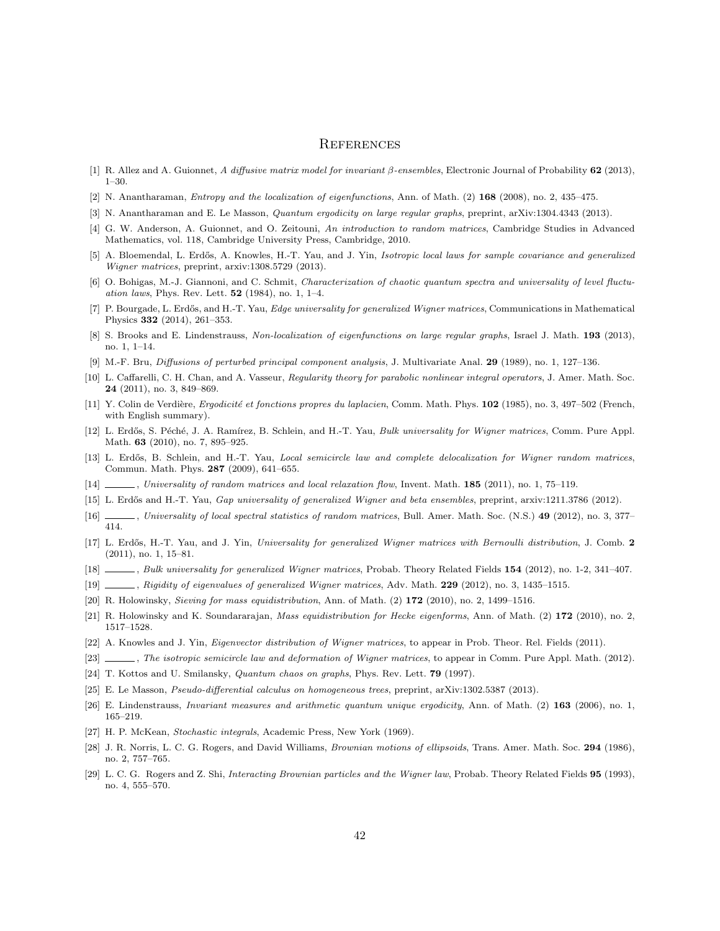#### **REFERENCES**

- [1] R. Allez and A. Guionnet, A diffusive matrix model for invariant  $\beta$ -ensembles, Electronic Journal of Probability 62 (2013), 1–30.
- [2] N. Anantharaman, Entropy and the localization of eigenfunctions, Ann. of Math. (2) 168 (2008), no. 2, 435–475.
- [3] N. Anantharaman and E. Le Masson, Quantum ergodicity on large regular graphs, preprint, arXiv:1304.4343 (2013).
- [4] G. W. Anderson, A. Guionnet, and O. Zeitouni, An introduction to random matrices, Cambridge Studies in Advanced Mathematics, vol. 118, Cambridge University Press, Cambridge, 2010.
- [5] A. Bloemendal, L. Erdős, A. Knowles, H.-T. Yau, and J. Yin, *Isotropic local laws for sample covariance and generalized* Wigner matrices, preprint, arxiv:1308.5729 (2013).
- [6] O. Bohigas, M.-J. Giannoni, and C. Schmit, Characterization of chaotic quantum spectra and universality of level fluctu*ation laws*, Phys. Rev. Lett.  $52$  (1984), no. 1, 1–4.
- [7] P. Bourgade, L. Erdős, and H.-T. Yau, Edge universality for generalized Wigner matrices, Communications in Mathematical Physics 332 (2014), 261–353.
- [8] S. Brooks and E. Lindenstrauss, Non-localization of eigenfunctions on large regular graphs, Israel J. Math. 193 (2013), no. 1, 1–14.
- [9] M.-F. Bru, Diffusions of perturbed principal component analysis, J. Multivariate Anal. 29 (1989), no. 1, 127–136.
- [10] L. Caffarelli, C. H. Chan, and A. Vasseur, Regularity theory for parabolic nonlinear integral operators, J. Amer. Math. Soc. 24 (2011), no. 3, 849–869.
- [11] Y. Colin de Verdière, *Ergodicité et fonctions propres du laplacien*, Comm. Math. Phys. 102 (1985), no. 3, 497–502 (French, with English summary).
- [12] L. Erdős, S. Péché, J. A. Ramírez, B. Schlein, and H.-T. Yau, Bulk universality for Wigner matrices, Comm. Pure Appl. Math. **63** (2010), no. 7, 895–925.
- [13] L. Erdős, B. Schlein, and H.-T. Yau, Local semicircle law and complete delocalization for Wigner random matrices, Commun. Math. Phys. 287 (2009), 641–655.
- [14] , Universality of random matrices and local relaxation flow, Invent. Math. **185** (2011), no. 1, 75–119.
- [15] L. Erdős and H.-T. Yau, *Gap universality of generalized Wigner and beta ensembles*, preprint, arxiv:1211.3786 (2012).
- [16] , Universality of local spectral statistics of random matrices, Bull. Amer. Math. Soc. (N.S.) 49 (2012), no. 3, 377– 414.
- [17] L. Erdős, H.-T. Yau, and J. Yin, Universality for generalized Wigner matrices with Bernoulli distribution, J. Comb. 2 (2011), no. 1, 15–81.
- [18] , Bulk universality for generalized Wigner matrices, Probab. Theory Related Fields 154 (2012), no. 1-2, 341–407.
- [19] , Rigidity of eigenvalues of generalized Wigner matrices, Adv. Math. 229 (2012), no. 3, 1435–1515.
- [20] R. Holowinsky, Sieving for mass equidistribution, Ann. of Math. (2) 172 (2010), no. 2, 1499–1516.
- [21] R. Holowinsky and K. Soundararajan, Mass equidistribution for Hecke eigenforms, Ann. of Math. (2) 172 (2010), no. 2, 1517–1528.
- [22] A. Knowles and J. Yin, Eigenvector distribution of Wigner matrices, to appear in Prob. Theor. Rel. Fields (2011).
- [23] , The isotropic semicircle law and deformation of Wigner matrices, to appear in Comm. Pure Appl. Math. (2012).
- [24] T. Kottos and U. Smilansky, Quantum chaos on graphs, Phys. Rev. Lett. 79 (1997).
- [25] E. Le Masson, Pseudo-differential calculus on homogeneous trees, preprint, arXiv:1302.5387 (2013).
- [26] E. Lindenstrauss, *Invariant measures and arithmetic quantum unique ergodicity*, Ann. of Math. (2) 163 (2006), no. 1, 165–219.
- [27] H. P. McKean, Stochastic integrals, Academic Press, New York (1969).
- [28] J. R. Norris, L. C. G. Rogers, and David Williams, *Brownian motions of ellipsoids*, Trans. Amer. Math. Soc. 294 (1986), no. 2, 757–765.
- [29] L. C. G. Rogers and Z. Shi, Interacting Brownian particles and the Wigner law, Probab. Theory Related Fields 95 (1993), no. 4, 555–570.